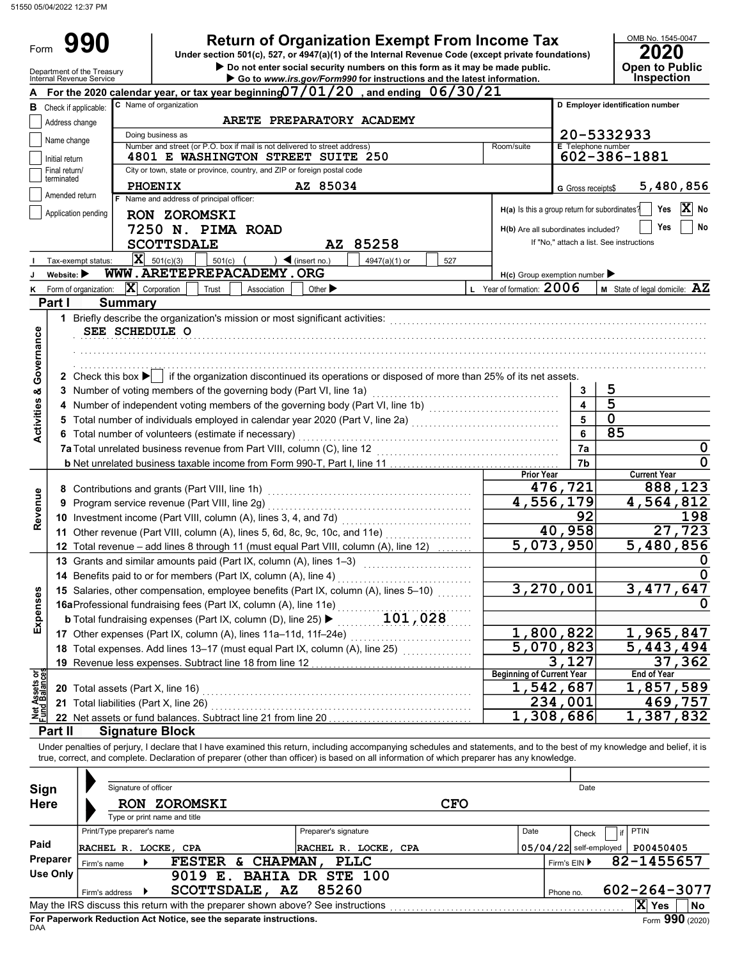Department of the Treasury

Form 990

Do not enter social security numbers on this form as it may be made public. **Open to Public** Return of Organization Exempt From Income Tax<br>
section 501(c), 527, or 4947(a)(1) of the Internal Revenue Code (except private foundations)<br>
Do not enter social security numbers on this form as it may be made public.<br>
Ope Under section 501(c), 527, or 4947(a)(1) of the Internal Revenue Code (except private foundations)

OMB No. 1545-0047

|                                    |                                | ישונוויטווג טו נווט וויטעסעוי<br>Internal Revenue Service                |                                                                                                                                                                         |               |                          |                             | Go to www.irs.gov/Form990 for instructions and the latest information.                                                                                                    |            |                                  |                                               | <b>Inspection</b>                                                                                                                                                          |
|------------------------------------|--------------------------------|--------------------------------------------------------------------------|-------------------------------------------------------------------------------------------------------------------------------------------------------------------------|---------------|--------------------------|-----------------------------|---------------------------------------------------------------------------------------------------------------------------------------------------------------------------|------------|----------------------------------|-----------------------------------------------|----------------------------------------------------------------------------------------------------------------------------------------------------------------------------|
|                                    |                                |                                                                          |                                                                                                                                                                         |               |                          |                             | For the 2020 calendar year, or tax year beginning 07/01/20, and ending 06/30/21                                                                                           |            |                                  |                                               |                                                                                                                                                                            |
| в                                  |                                | Check if applicable:                                                     | C Name of organization                                                                                                                                                  |               |                          |                             |                                                                                                                                                                           |            |                                  |                                               | D Employer identification number                                                                                                                                           |
|                                    | Address change                 |                                                                          |                                                                                                                                                                         |               |                          |                             | ARETE PREPARATORY ACADEMY                                                                                                                                                 |            |                                  |                                               |                                                                                                                                                                            |
|                                    |                                |                                                                          | Doing business as                                                                                                                                                       |               |                          |                             |                                                                                                                                                                           |            |                                  |                                               | 20-5332933                                                                                                                                                                 |
|                                    | Name change                    |                                                                          | Number and street (or P.O. box if mail is not delivered to street address)                                                                                              |               |                          |                             |                                                                                                                                                                           |            | Room/suite                       | <b>E</b> Telephone number                     |                                                                                                                                                                            |
|                                    | Initial return                 |                                                                          | 4801 E WASHINGTON STREET SUITE 250                                                                                                                                      |               |                          |                             |                                                                                                                                                                           |            |                                  |                                               | 602-386-1881                                                                                                                                                               |
|                                    | Final return/                  |                                                                          | City or town, state or province, country, and ZIP or foreign postal code                                                                                                |               |                          |                             |                                                                                                                                                                           |            |                                  |                                               |                                                                                                                                                                            |
|                                    | terminated                     |                                                                          |                                                                                                                                                                         |               |                          |                             |                                                                                                                                                                           |            |                                  |                                               |                                                                                                                                                                            |
|                                    | Amended return                 |                                                                          | <b>PHOENIX</b>                                                                                                                                                          |               |                          | AZ 85034                    |                                                                                                                                                                           |            |                                  | G Gross receipts\$                            | 5,480,856                                                                                                                                                                  |
|                                    |                                |                                                                          | F Name and address of principal officer:                                                                                                                                |               |                          |                             |                                                                                                                                                                           |            |                                  | H(a) Is this a group return for subordinates? | X<br>Yes<br>No                                                                                                                                                             |
|                                    |                                | Application pending                                                      | <b>RON ZOROMSKI</b>                                                                                                                                                     |               |                          |                             |                                                                                                                                                                           |            |                                  |                                               |                                                                                                                                                                            |
|                                    |                                |                                                                          | 7250 N. PIMA ROAD                                                                                                                                                       |               |                          |                             |                                                                                                                                                                           |            |                                  | H(b) Are all subordinates included?           | Yes<br>No                                                                                                                                                                  |
|                                    |                                |                                                                          | <b>SCOTTSDALE</b>                                                                                                                                                       |               |                          |                             | AZ 85258                                                                                                                                                                  |            |                                  |                                               | If "No," attach a list. See instructions                                                                                                                                   |
|                                    |                                | Tax-exempt status:                                                       | $\mathbf{X}$ 501(c)(3)                                                                                                                                                  | $501(c)$ (    |                          | $\big)$ (insert no.)        | 4947(a)(1) or                                                                                                                                                             | 527        |                                  |                                               |                                                                                                                                                                            |
|                                    |                                |                                                                          | WWW.ARETEPREPACADEMY.ORG                                                                                                                                                |               |                          |                             |                                                                                                                                                                           |            |                                  |                                               |                                                                                                                                                                            |
|                                    | Website: $\blacktriangleright$ |                                                                          |                                                                                                                                                                         |               |                          |                             |                                                                                                                                                                           |            |                                  | $H(c)$ Group exemption number                 |                                                                                                                                                                            |
| K                                  |                                | Form of organization:                                                    | $ \mathbf{X} $ Corporation                                                                                                                                              | Trust         | Association              | Other $\blacktriangleright$ |                                                                                                                                                                           |            | L Year of formation: 2006        |                                               | <b>M</b> State of legal domicile: $\mathbf{AZ}$                                                                                                                            |
|                                    | Part I                         | <b>Summary</b>                                                           |                                                                                                                                                                         |               |                          |                             |                                                                                                                                                                           |            |                                  |                                               |                                                                                                                                                                            |
|                                    |                                |                                                                          | 1 Briefly describe the organization's mission or most significant activities:                                                                                           |               |                          |                             |                                                                                                                                                                           |            |                                  |                                               |                                                                                                                                                                            |
|                                    |                                |                                                                          | SEE SCHEDULE O                                                                                                                                                          |               |                          |                             |                                                                                                                                                                           |            |                                  |                                               |                                                                                                                                                                            |
|                                    |                                |                                                                          |                                                                                                                                                                         |               |                          |                             |                                                                                                                                                                           |            |                                  |                                               |                                                                                                                                                                            |
|                                    |                                |                                                                          |                                                                                                                                                                         |               |                          |                             |                                                                                                                                                                           |            |                                  |                                               |                                                                                                                                                                            |
|                                    |                                |                                                                          |                                                                                                                                                                         |               |                          |                             |                                                                                                                                                                           |            |                                  |                                               |                                                                                                                                                                            |
|                                    |                                |                                                                          |                                                                                                                                                                         |               |                          |                             | 2 Check this box ▶ if the organization discontinued its operations or disposed of more than 25% of its net assets.                                                        |            |                                  |                                               |                                                                                                                                                                            |
| <b>Activities &amp; Governance</b> |                                |                                                                          | 3 Number of voting members of the governing body (Part VI, line 1a)                                                                                                     |               |                          |                             |                                                                                                                                                                           |            |                                  | 3                                             | 5                                                                                                                                                                          |
|                                    |                                |                                                                          |                                                                                                                                                                         |               |                          |                             | 4 Number of independent voting members of the governing body (Part VI, line 1b) [1] [1] [1] Number of independent voting members of the governing body (Part VI, line 1b) |            |                                  |                                               | $\overline{\bf 5}$                                                                                                                                                         |
|                                    |                                |                                                                          |                                                                                                                                                                         |               |                          |                             |                                                                                                                                                                           |            |                                  | 5                                             | $\mathbf 0$                                                                                                                                                                |
|                                    |                                |                                                                          |                                                                                                                                                                         |               |                          |                             | 5 Total number of individuals employed in calendar year 2020 (Part V, line 2a) [[[[[[[[[[[[[[[[[[[[[[[[[[[[[[[                                                            |            |                                  |                                               |                                                                                                                                                                            |
|                                    |                                |                                                                          | 6 Total number of volunteers (estimate if necessary)                                                                                                                    |               |                          |                             |                                                                                                                                                                           |            |                                  | 6                                             | 85                                                                                                                                                                         |
|                                    |                                |                                                                          | 7a Total unrelated business revenue from Part VIII, column (C), line 12                                                                                                 |               |                          |                             |                                                                                                                                                                           |            |                                  | 7a                                            | 0                                                                                                                                                                          |
|                                    |                                |                                                                          |                                                                                                                                                                         |               |                          |                             |                                                                                                                                                                           |            |                                  | 7b                                            | $\mathbf 0$                                                                                                                                                                |
|                                    |                                |                                                                          |                                                                                                                                                                         |               |                          |                             |                                                                                                                                                                           |            | <b>Prior Year</b>                |                                               | <b>Current Year</b>                                                                                                                                                        |
|                                    |                                |                                                                          | 8 Contributions and grants (Part VIII, line 1h)                                                                                                                         |               |                          |                             |                                                                                                                                                                           |            |                                  | 476,721                                       | 888,123                                                                                                                                                                    |
| Revenue                            | 9                              |                                                                          | Program service revenue (Part VIII, line 2g)                                                                                                                            |               |                          |                             |                                                                                                                                                                           |            |                                  | 4,556,179                                     | 4,564,812                                                                                                                                                                  |
|                                    |                                |                                                                          |                                                                                                                                                                         |               |                          |                             |                                                                                                                                                                           |            |                                  | 92                                            | 198                                                                                                                                                                        |
|                                    |                                |                                                                          | 10 Investment income (Part VIII, column (A), lines 3, 4, and 7d)                                                                                                        |               |                          |                             |                                                                                                                                                                           |            |                                  |                                               |                                                                                                                                                                            |
|                                    |                                |                                                                          |                                                                                                                                                                         |               |                          |                             | 11 Other revenue (Part VIII, column (A), lines 5, 6d, 8c, 9c, 10c, and 11e)                                                                                               |            |                                  | 40,958                                        | 27,723                                                                                                                                                                     |
|                                    |                                |                                                                          |                                                                                                                                                                         |               |                          |                             | 12 Total revenue - add lines 8 through 11 (must equal Part VIII, column (A), line 12)                                                                                     |            |                                  | 5,073,950                                     | 5,480,856                                                                                                                                                                  |
|                                    |                                |                                                                          | 13 Grants and similar amounts paid (Part IX, column (A), lines 1-3)                                                                                                     |               |                          |                             |                                                                                                                                                                           |            |                                  |                                               |                                                                                                                                                                            |
|                                    |                                |                                                                          | 14 Benefits paid to or for members (Part IX, column (A), line 4)                                                                                                        |               |                          |                             |                                                                                                                                                                           |            |                                  |                                               | <sup>0</sup>                                                                                                                                                               |
|                                    |                                |                                                                          |                                                                                                                                                                         |               |                          |                             | 15 Salaries, other compensation, employee benefits (Part IX, column (A), lines 5-10)                                                                                      |            |                                  | 3,270,001                                     | 3,477,647                                                                                                                                                                  |
| enses                              |                                |                                                                          |                                                                                                                                                                         |               |                          |                             |                                                                                                                                                                           |            |                                  |                                               |                                                                                                                                                                            |
|                                    |                                |                                                                          | 16aProfessional fundraising fees (Part IX, column (A), line 11e)<br>101,028<br><b>b</b> Total fundraising expenses (Part IX, column (D), line 25) $\blacktriangleright$ |               |                          |                             |                                                                                                                                                                           |            |                                  |                                               |                                                                                                                                                                            |
| Exp                                |                                |                                                                          |                                                                                                                                                                         |               |                          |                             |                                                                                                                                                                           |            |                                  |                                               |                                                                                                                                                                            |
|                                    |                                |                                                                          | 17 Other expenses (Part IX, column (A), lines 11a-11d, 11f-24e)                                                                                                         |               |                          |                             |                                                                                                                                                                           |            |                                  | 1,800,822                                     | 1,965,847                                                                                                                                                                  |
|                                    |                                |                                                                          | 18 Total expenses. Add lines 13-17 (must equal Part IX, column (A), line 25)                                                                                            |               |                          |                             |                                                                                                                                                                           |            |                                  | 5,070,823                                     | 5,443,494                                                                                                                                                                  |
|                                    |                                |                                                                          | 19 Revenue less expenses. Subtract line 18 from line 12                                                                                                                 |               |                          |                             |                                                                                                                                                                           |            |                                  | 3,127                                         | 37, 362                                                                                                                                                                    |
| Net Assets or                      |                                |                                                                          |                                                                                                                                                                         |               |                          |                             |                                                                                                                                                                           |            | <b>Beginning of Current Year</b> |                                               | <b>End of Year</b>                                                                                                                                                         |
|                                    |                                |                                                                          | 20 Total assets (Part X, line 16)                                                                                                                                       |               |                          |                             |                                                                                                                                                                           |            |                                  | 1,542,687                                     | 1,857,589                                                                                                                                                                  |
|                                    |                                |                                                                          | 21 Total liabilities (Part X, line 26)                                                                                                                                  |               |                          |                             |                                                                                                                                                                           |            |                                  | 234,001                                       | 469,757                                                                                                                                                                    |
|                                    |                                |                                                                          | 22 Net assets or fund balances. Subtract line 21 from line 20                                                                                                           |               |                          |                             |                                                                                                                                                                           |            |                                  | 1,308,686                                     | 1,387,832                                                                                                                                                                  |
|                                    |                                |                                                                          |                                                                                                                                                                         |               |                          |                             |                                                                                                                                                                           |            |                                  |                                               |                                                                                                                                                                            |
|                                    | Part II                        |                                                                          | <b>Signature Block</b>                                                                                                                                                  |               |                          |                             |                                                                                                                                                                           |            |                                  |                                               |                                                                                                                                                                            |
|                                    |                                |                                                                          |                                                                                                                                                                         |               |                          |                             |                                                                                                                                                                           |            |                                  |                                               | Under penalties of perjury, I declare that I have examined this return, including accompanying schedules and statements, and to the best of my knowledge and belief, it is |
|                                    |                                |                                                                          |                                                                                                                                                                         |               |                          |                             | true, correct, and complete. Declaration of preparer (other than officer) is based on all information of which preparer has any knowledge.                                |            |                                  |                                               |                                                                                                                                                                            |
|                                    |                                |                                                                          |                                                                                                                                                                         |               |                          |                             |                                                                                                                                                                           |            |                                  |                                               |                                                                                                                                                                            |
| Sign                               |                                |                                                                          | Signature of officer                                                                                                                                                    |               |                          |                             |                                                                                                                                                                           |            |                                  | Date                                          |                                                                                                                                                                            |
|                                    |                                |                                                                          |                                                                                                                                                                         |               |                          |                             |                                                                                                                                                                           |            |                                  |                                               |                                                                                                                                                                            |
| <b>Here</b>                        |                                |                                                                          | <b>RON ZOROMSKI</b>                                                                                                                                                     |               |                          |                             |                                                                                                                                                                           | <b>CFO</b> |                                  |                                               |                                                                                                                                                                            |
|                                    |                                |                                                                          | Type or print name and title                                                                                                                                            |               |                          |                             |                                                                                                                                                                           |            |                                  |                                               |                                                                                                                                                                            |
|                                    |                                | Print/Type preparer's name                                               |                                                                                                                                                                         |               |                          | Preparer's signature        |                                                                                                                                                                           |            | Date                             | Check                                         | <b>PTIN</b>                                                                                                                                                                |
| Paid                               |                                | RACHEL R. LOCKE, CPA<br>$05/04/22$ self-employed<br>RACHEL R. LOCKE, CPA |                                                                                                                                                                         |               |                          |                             |                                                                                                                                                                           |            |                                  |                                               | P00450405                                                                                                                                                                  |
|                                    | Preparer                       | Firm's name                                                              |                                                                                                                                                                         | <b>FESTER</b> | & CHAPMAN,               |                             | <b>PLLC</b>                                                                                                                                                               |            |                                  | Firm's EIN ▶                                  | 82-1455657                                                                                                                                                                 |
|                                    | <b>Use Only</b>                |                                                                          |                                                                                                                                                                         |               | 9019 E. BAHIA DR STE 100 |                             |                                                                                                                                                                           |            |                                  |                                               |                                                                                                                                                                            |
|                                    |                                |                                                                          |                                                                                                                                                                         |               |                          | 85260                       |                                                                                                                                                                           |            |                                  |                                               | 602-264-3077                                                                                                                                                               |
|                                    |                                | Firm's address                                                           |                                                                                                                                                                         |               | SCOTTSDALE, AZ           |                             |                                                                                                                                                                           |            |                                  | Phone no.                                     |                                                                                                                                                                            |
|                                    |                                |                                                                          |                                                                                                                                                                         |               |                          |                             |                                                                                                                                                                           |            |                                  |                                               | $\overline{X}$ Yes<br>No                                                                                                                                                   |

| Sign        | Signature of officer                                                                  |                                                                                 | Date                      |                            |  |                          |                       |  |  |  |  |  |
|-------------|---------------------------------------------------------------------------------------|---------------------------------------------------------------------------------|---------------------------|----------------------------|--|--------------------------|-----------------------|--|--|--|--|--|
| <b>Here</b> |                                                                                       | <b>RON ZOROMSKI</b>                                                             | <b>CFO</b>                |                            |  |                          |                       |  |  |  |  |  |
|             |                                                                                       | Type or print name and title                                                    |                           |                            |  |                          |                       |  |  |  |  |  |
|             | Print/Type preparer's name                                                            |                                                                                 | Preparer's signature      | Date                       |  | Check                    | <b>PTIN</b>           |  |  |  |  |  |
| Paid        | RACHEL R. LOCKE, CPA                                                                  |                                                                                 | RACHEL R. LOCKE, CPA      |                            |  | $05/04/22$ self-employed | P00450405             |  |  |  |  |  |
| Preparer    | Firm's name                                                                           | <b>CHAPMAN</b><br><b>FESTER</b><br>б.                                           |                           | 82-1455657<br>Firm's EIN ▶ |  |                          |                       |  |  |  |  |  |
| Use Only    |                                                                                       | 9019<br>Е.                                                                      | <b>BAHIA DR STE 100</b>   |                            |  |                          |                       |  |  |  |  |  |
|             | Firm's address                                                                        | SCOTTSDALE, AZ                                                                  | 602-264-3077<br>Phone no. |                            |  |                          |                       |  |  |  |  |  |
|             |                                                                                       | May the IRS discuss this return with the preparer shown above? See instructions |                           |                            |  |                          | X<br>No<br><b>Yes</b> |  |  |  |  |  |
| DAA         | Form 990 (2020)<br>For Paperwork Reduction Act Notice, see the separate instructions. |                                                                                 |                           |                            |  |                          |                       |  |  |  |  |  |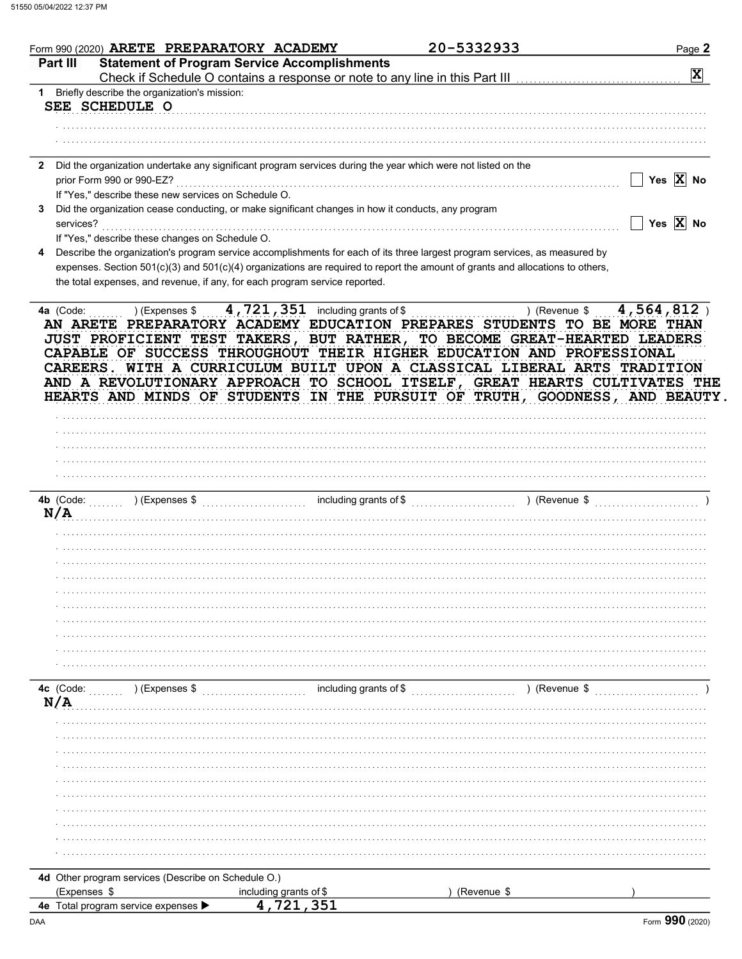| Part III     | Form 990 (2020) ARETE PREPARATORY ACADEMY<br><b>Statement of Program Service Accomplishments</b>               |                        | 20-5332933                                                                                                                                                                                                                                                                                                    | Page 2                |
|--------------|----------------------------------------------------------------------------------------------------------------|------------------------|---------------------------------------------------------------------------------------------------------------------------------------------------------------------------------------------------------------------------------------------------------------------------------------------------------------|-----------------------|
|              |                                                                                                                |                        | Check if Schedule O contains a response or note to any line in this Part III                                                                                                                                                                                                                                  | X                     |
|              | 1 Briefly describe the organization's mission:                                                                 |                        |                                                                                                                                                                                                                                                                                                               |                       |
|              | SEE SCHEDULE O                                                                                                 |                        |                                                                                                                                                                                                                                                                                                               |                       |
|              |                                                                                                                |                        |                                                                                                                                                                                                                                                                                                               |                       |
|              |                                                                                                                |                        |                                                                                                                                                                                                                                                                                                               |                       |
|              | 2 Did the organization undertake any significant program services during the year which were not listed on the |                        |                                                                                                                                                                                                                                                                                                               |                       |
|              | prior Form 990 or 990-EZ?                                                                                      |                        |                                                                                                                                                                                                                                                                                                               | Yes $X$ No            |
|              | If "Yes," describe these new services on Schedule O.                                                           |                        |                                                                                                                                                                                                                                                                                                               |                       |
|              | Did the organization cease conducting, or make significant changes in how it conducts, any program             |                        |                                                                                                                                                                                                                                                                                                               |                       |
| services?    |                                                                                                                |                        |                                                                                                                                                                                                                                                                                                               | Yes $\overline{X}$ No |
|              | If "Yes," describe these changes on Schedule O.                                                                |                        |                                                                                                                                                                                                                                                                                                               |                       |
|              |                                                                                                                |                        | Describe the organization's program service accomplishments for each of its three largest program services, as measured by                                                                                                                                                                                    |                       |
|              | the total expenses, and revenue, if any, for each program service reported.                                    |                        | expenses. Section 501(c)(3) and 501(c)(4) organizations are required to report the amount of grants and allocations to others,                                                                                                                                                                                |                       |
|              |                                                                                                                |                        |                                                                                                                                                                                                                                                                                                               |                       |
|              |                                                                                                                |                        | CAPABLE OF SUCCESS THROUGHOUT THEIR HIGHER EDUCATION AND PROFESSIONAL<br>CAREERS. WITH A CURRICULUM BUILT UPON A CLASSICAL LIBERAL ARTS TRADITION<br>AND A REVOLUTIONARY APPROACH TO SCHOOL ITSELF, GREAT HEARTS CULTIVATES THE<br>HEARTS AND MINDS OF STUDENTS IN THE PURSUIT OF TRUTH, GOODNESS, AND BEAUTY |                       |
|              |                                                                                                                |                        |                                                                                                                                                                                                                                                                                                               |                       |
|              |                                                                                                                |                        |                                                                                                                                                                                                                                                                                                               |                       |
|              |                                                                                                                |                        |                                                                                                                                                                                                                                                                                                               |                       |
|              |                                                                                                                |                        |                                                                                                                                                                                                                                                                                                               |                       |
|              |                                                                                                                |                        |                                                                                                                                                                                                                                                                                                               |                       |
| 4b (Code:    | ) (Expenses \$                                                                                                 | including grants of \$ | ) (Revenue \$                                                                                                                                                                                                                                                                                                 |                       |
| N/A          |                                                                                                                |                        |                                                                                                                                                                                                                                                                                                               |                       |
|              |                                                                                                                |                        |                                                                                                                                                                                                                                                                                                               |                       |
|              |                                                                                                                |                        |                                                                                                                                                                                                                                                                                                               |                       |
|              |                                                                                                                |                        |                                                                                                                                                                                                                                                                                                               |                       |
|              |                                                                                                                |                        |                                                                                                                                                                                                                                                                                                               |                       |
|              |                                                                                                                |                        |                                                                                                                                                                                                                                                                                                               |                       |
|              |                                                                                                                |                        |                                                                                                                                                                                                                                                                                                               |                       |
|              |                                                                                                                |                        |                                                                                                                                                                                                                                                                                                               |                       |
|              |                                                                                                                |                        |                                                                                                                                                                                                                                                                                                               |                       |
|              |                                                                                                                |                        |                                                                                                                                                                                                                                                                                                               |                       |
| 4c (Code:    | ) (Expenses \$                                                                                                 | including grants of \$ | ) (Revenue \$                                                                                                                                                                                                                                                                                                 |                       |
| N/A          |                                                                                                                |                        |                                                                                                                                                                                                                                                                                                               |                       |
|              |                                                                                                                |                        |                                                                                                                                                                                                                                                                                                               |                       |
|              |                                                                                                                |                        |                                                                                                                                                                                                                                                                                                               |                       |
|              |                                                                                                                |                        |                                                                                                                                                                                                                                                                                                               |                       |
|              |                                                                                                                |                        |                                                                                                                                                                                                                                                                                                               |                       |
|              |                                                                                                                |                        |                                                                                                                                                                                                                                                                                                               |                       |
|              |                                                                                                                |                        |                                                                                                                                                                                                                                                                                                               |                       |
|              |                                                                                                                |                        |                                                                                                                                                                                                                                                                                                               |                       |
|              |                                                                                                                |                        |                                                                                                                                                                                                                                                                                                               |                       |
|              |                                                                                                                |                        |                                                                                                                                                                                                                                                                                                               |                       |
|              | 4d Other program services (Describe on Schedule O.)                                                            |                        |                                                                                                                                                                                                                                                                                                               |                       |
| (Expenses \$ |                                                                                                                | including grants of \$ | (Revenue \$                                                                                                                                                                                                                                                                                                   |                       |
|              | 4e Total program service expenses                                                                              | 4,721,351              |                                                                                                                                                                                                                                                                                                               |                       |
|              |                                                                                                                |                        |                                                                                                                                                                                                                                                                                                               |                       |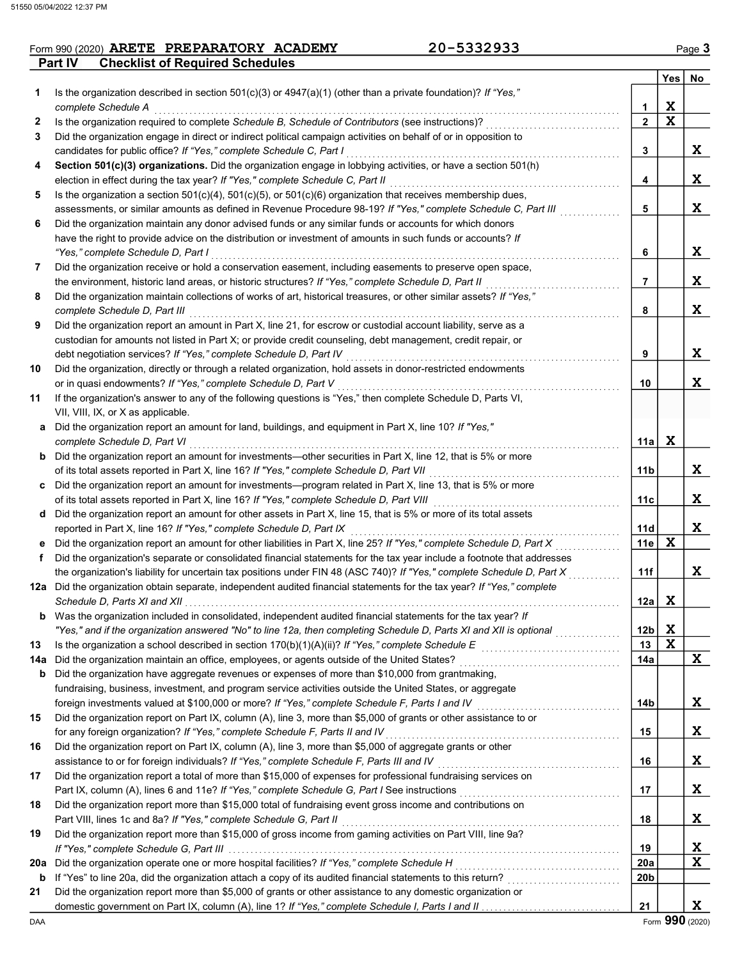## Form 990 (2020) ARETE PREPARATORY ACADEMY 20-5332933

**Part IV** Checklist of Required Schedules

|       |                                                                                                                                                                                                                           |                 | Yes          | No |
|-------|---------------------------------------------------------------------------------------------------------------------------------------------------------------------------------------------------------------------------|-----------------|--------------|----|
| 1     | Is the organization described in section $501(c)(3)$ or $4947(a)(1)$ (other than a private foundation)? If "Yes,"                                                                                                         |                 |              |    |
|       | complete Schedule A                                                                                                                                                                                                       | 1               | X            |    |
| 2     | Is the organization required to complete Schedule B, Schedule of Contributors (see instructions)?                                                                                                                         | $\mathbf{2}$    | $\mathbf x$  |    |
| 3     | Did the organization engage in direct or indirect political campaign activities on behalf of or in opposition to                                                                                                          |                 |              |    |
|       | candidates for public office? If "Yes," complete Schedule C, Part I                                                                                                                                                       | 3               |              | X  |
| 4     | Section 501(c)(3) organizations. Did the organization engage in lobbying activities, or have a section 501(h)                                                                                                             |                 |              |    |
|       | election in effect during the tax year? If "Yes," complete Schedule C, Part II                                                                                                                                            | 4               |              | X  |
| 5     | Is the organization a section $501(c)(4)$ , $501(c)(5)$ , or $501(c)(6)$ organization that receives membership dues,                                                                                                      |                 |              | X  |
|       | assessments, or similar amounts as defined in Revenue Procedure 98-19? If "Yes," complete Schedule C, Part III<br>Did the organization maintain any donor advised funds or any similar funds or accounts for which donors | 5               |              |    |
| 6     | have the right to provide advice on the distribution or investment of amounts in such funds or accounts? If                                                                                                               |                 |              |    |
|       | "Yes," complete Schedule D, Part I                                                                                                                                                                                        | 6               |              | X  |
| 7     | Did the organization receive or hold a conservation easement, including easements to preserve open space,                                                                                                                 |                 |              |    |
|       | the environment, historic land areas, or historic structures? If "Yes," complete Schedule D, Part II                                                                                                                      | 7               |              | X  |
| 8     | Did the organization maintain collections of works of art, historical treasures, or other similar assets? If "Yes,"                                                                                                       |                 |              |    |
|       | complete Schedule D, Part III                                                                                                                                                                                             | 8               |              | X  |
| 9     | Did the organization report an amount in Part X, line 21, for escrow or custodial account liability, serve as a                                                                                                           |                 |              |    |
|       | custodian for amounts not listed in Part X; or provide credit counseling, debt management, credit repair, or                                                                                                              |                 |              |    |
|       | debt negotiation services? If "Yes," complete Schedule D, Part IV                                                                                                                                                         | 9               |              | X  |
| 10    | Did the organization, directly or through a related organization, hold assets in donor-restricted endowments                                                                                                              |                 |              |    |
|       | or in quasi endowments? If "Yes," complete Schedule D, Part V                                                                                                                                                             | 10              |              | X  |
| 11    | If the organization's answer to any of the following questions is "Yes," then complete Schedule D, Parts VI,                                                                                                              |                 |              |    |
|       | VII, VIII, IX, or X as applicable.                                                                                                                                                                                        |                 |              |    |
|       | a Did the organization report an amount for land, buildings, and equipment in Part X, line 10? If "Yes,"                                                                                                                  |                 |              |    |
|       | complete Schedule D, Part VI                                                                                                                                                                                              | 11a             | $\mathbf{x}$ |    |
|       | <b>b</b> Did the organization report an amount for investments—other securities in Part X, line 12, that is 5% or more                                                                                                    |                 |              |    |
|       | of its total assets reported in Part X, line 16? If "Yes," complete Schedule D, Part VII                                                                                                                                  | 11b             |              | X  |
|       | c Did the organization report an amount for investments—program related in Part X, line 13, that is 5% or more<br>of its total assets reported in Part X, line 16? If "Yes," complete Schedule D, Part VIII               | 11c             |              | X  |
|       | d Did the organization report an amount for other assets in Part X, line 15, that is 5% or more of its total assets                                                                                                       |                 |              |    |
|       | reported in Part X, line 16? If "Yes," complete Schedule D, Part IX                                                                                                                                                       | 11d             |              | X  |
|       | e Did the organization report an amount for other liabilities in Part X, line 25? If "Yes," complete Schedule D, Part X                                                                                                   | 11e             | X            |    |
| f     | Did the organization's separate or consolidated financial statements for the tax year include a footnote that addresses                                                                                                   |                 |              |    |
|       | the organization's liability for uncertain tax positions under FIN 48 (ASC 740)? If "Yes," complete Schedule D, Part X                                                                                                    | 11f             |              | X  |
|       | 12a Did the organization obtain separate, independent audited financial statements for the tax year? If "Yes," complete                                                                                                   |                 |              |    |
|       |                                                                                                                                                                                                                           | 12a             | X            |    |
| b     | Was the organization included in consolidated, independent audited financial statements for the tax year? If                                                                                                              |                 |              |    |
|       | "Yes," and if the organization answered "No" to line 12a, then completing Schedule D, Parts XI and XII is optional                                                                                                        | 12 <sub>b</sub> | X            |    |
| 13    |                                                                                                                                                                                                                           | 13              | X            |    |
| 14а   | Did the organization maintain an office, employees, or agents outside of the United States?                                                                                                                               | 14a             |              | X  |
| b     | Did the organization have aggregate revenues or expenses of more than \$10,000 from grantmaking,                                                                                                                          |                 |              |    |
|       | fundraising, business, investment, and program service activities outside the United States, or aggregate                                                                                                                 |                 |              |    |
|       | foreign investments valued at \$100,000 or more? If "Yes," complete Schedule F, Parts I and IV [[[[[[[[[[[[[[[                                                                                                            | 14b             |              | X  |
| 15    | Did the organization report on Part IX, column (A), line 3, more than \$5,000 of grants or other assistance to or                                                                                                         |                 |              | X  |
| 16    | for any foreign organization? If "Yes," complete Schedule F, Parts II and IV<br>Did the organization report on Part IX, column (A), line 3, more than \$5,000 of aggregate grants or other                                | 15              |              |    |
|       | assistance to or for foreign individuals? If "Yes," complete Schedule F, Parts III and IV                                                                                                                                 | 16              |              | X  |
| 17    | Did the organization report a total of more than \$15,000 of expenses for professional fundraising services on                                                                                                            |                 |              |    |
|       |                                                                                                                                                                                                                           | 17              |              | X  |
| 18    | Did the organization report more than \$15,000 total of fundraising event gross income and contributions on                                                                                                               |                 |              |    |
|       | Part VIII, lines 1c and 8a? If "Yes," complete Schedule G, Part II                                                                                                                                                        | 18              |              | X  |
| 19    | Did the organization report more than \$15,000 of gross income from gaming activities on Part VIII, line 9a?                                                                                                              |                 |              |    |
|       |                                                                                                                                                                                                                           | 19              |              | X  |
| 20a l | Did the organization operate one or more hospital facilities? If "Yes," complete Schedule H                                                                                                                               | <b>20a</b>      |              | X  |
| b     |                                                                                                                                                                                                                           | 20 <sub>b</sub> |              |    |
| 21    | Did the organization report more than \$5,000 of grants or other assistance to any domestic organization or                                                                                                               |                 |              |    |
|       |                                                                                                                                                                                                                           | 21              |              | X  |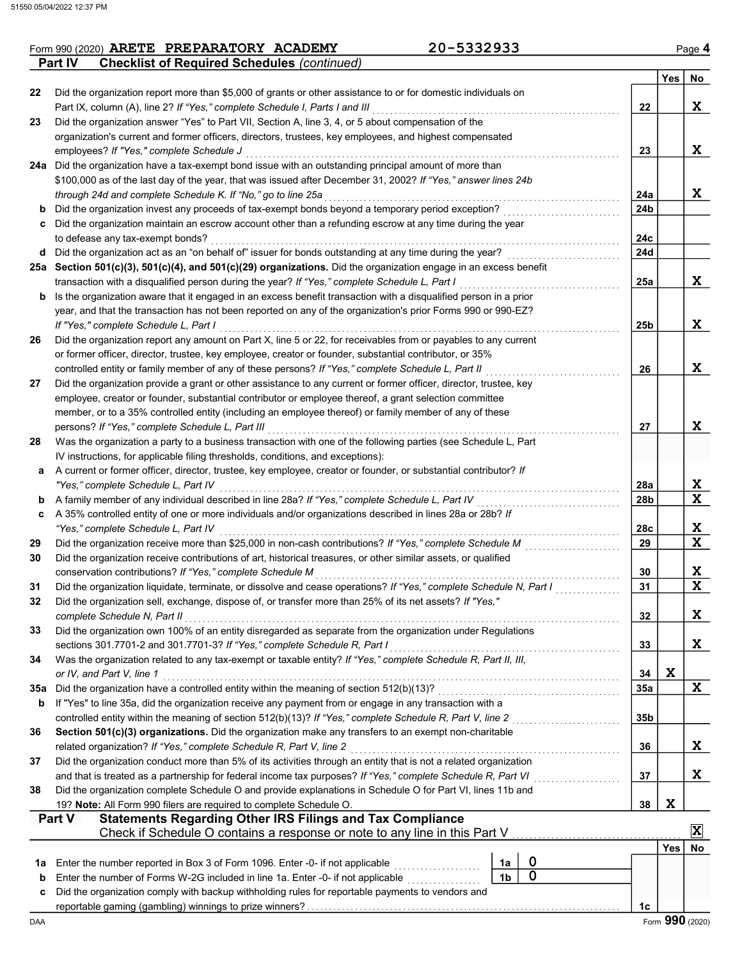**Part IV** Checklist of Required Schedules (continued)

| 22  | Did the organization report more than \$5,000 of grants or other assistance to or for domestic individuals on                                                                                                |                |             |                        |            |                             |  |  |  |  |  |
|-----|--------------------------------------------------------------------------------------------------------------------------------------------------------------------------------------------------------------|----------------|-------------|------------------------|------------|-----------------------------|--|--|--|--|--|
|     | Part IX, column (A), line 2? If "Yes," complete Schedule I, Parts I and III                                                                                                                                  |                |             | 22                     |            | X                           |  |  |  |  |  |
| 23  | Did the organization answer "Yes" to Part VII, Section A, line 3, 4, or 5 about compensation of the                                                                                                          |                |             |                        |            |                             |  |  |  |  |  |
|     | organization's current and former officers, directors, trustees, key employees, and highest compensated                                                                                                      |                |             |                        |            |                             |  |  |  |  |  |
|     | employees? If "Yes," complete Schedule J                                                                                                                                                                     |                |             | 23                     |            | X                           |  |  |  |  |  |
|     | 24a Did the organization have a tax-exempt bond issue with an outstanding principal amount of more than                                                                                                      |                |             |                        |            |                             |  |  |  |  |  |
|     | \$100,000 as of the last day of the year, that was issued after December 31, 2002? If "Yes," answer lines 24b                                                                                                |                |             |                        |            |                             |  |  |  |  |  |
|     | through 24d and complete Schedule K. If "No," go to line 25a                                                                                                                                                 |                |             | 24a                    |            | X                           |  |  |  |  |  |
| b   | Did the organization invest any proceeds of tax-exempt bonds beyond a temporary period exception?                                                                                                            |                |             | 24b                    |            |                             |  |  |  |  |  |
| C   | Did the organization maintain an escrow account other than a refunding escrow at any time during the year                                                                                                    |                |             |                        |            |                             |  |  |  |  |  |
|     | to defease any tax-exempt bonds?                                                                                                                                                                             |                |             | 24c                    |            |                             |  |  |  |  |  |
| d   | Did the organization act as an "on behalf of" issuer for bonds outstanding at any time during the year?                                                                                                      |                |             | 24d                    |            |                             |  |  |  |  |  |
|     | 25a Section 501(c)(3), 501(c)(4), and 501(c)(29) organizations. Did the organization engage in an excess benefit                                                                                             |                |             |                        |            |                             |  |  |  |  |  |
|     | transaction with a disqualified person during the year? If "Yes," complete Schedule L, Part I                                                                                                                |                |             | 25a                    |            | X                           |  |  |  |  |  |
| b   | Is the organization aware that it engaged in an excess benefit transaction with a disqualified person in a prior                                                                                             |                |             |                        |            |                             |  |  |  |  |  |
|     | year, and that the transaction has not been reported on any of the organization's prior Forms 990 or 990-EZ?                                                                                                 |                |             |                        |            |                             |  |  |  |  |  |
|     | If "Yes," complete Schedule L, Part I                                                                                                                                                                        |                |             | 25 <sub>b</sub>        |            | X                           |  |  |  |  |  |
| 26  | Did the organization report any amount on Part X, line 5 or 22, for receivables from or payables to any current                                                                                              |                |             |                        |            |                             |  |  |  |  |  |
|     | or former officer, director, trustee, key employee, creator or founder, substantial contributor, or 35%                                                                                                      |                |             |                        |            |                             |  |  |  |  |  |
|     | controlled entity or family member of any of these persons? If "Yes," complete Schedule L, Part II                                                                                                           |                |             |                        |            |                             |  |  |  |  |  |
| 27  | Did the organization provide a grant or other assistance to any current or former officer, director, trustee, key                                                                                            |                |             |                        |            |                             |  |  |  |  |  |
|     | employee, creator or founder, substantial contributor or employee thereof, a grant selection committee                                                                                                       |                |             |                        |            |                             |  |  |  |  |  |
|     | member, or to a 35% controlled entity (including an employee thereof) or family member of any of these                                                                                                       |                |             | 27                     |            | X                           |  |  |  |  |  |
|     | persons? If "Yes," complete Schedule L, Part III<br>Was the organization a party to a business transaction with one of the following parties (see Schedule L, Part                                           |                |             |                        |            |                             |  |  |  |  |  |
| 28  | IV instructions, for applicable filing thresholds, conditions, and exceptions):                                                                                                                              |                |             |                        |            |                             |  |  |  |  |  |
|     |                                                                                                                                                                                                              |                |             |                        |            |                             |  |  |  |  |  |
| а   | A current or former officer, director, trustee, key employee, creator or founder, or substantial contributor? If<br>"Yes," complete Schedule L, Part IV                                                      |                |             |                        |            |                             |  |  |  |  |  |
|     |                                                                                                                                                                                                              |                |             | 28a<br>28 <sub>b</sub> |            | $\mathbf{x}$<br>$\mathbf x$ |  |  |  |  |  |
| b   | A family member of any individual described in line 28a? If "Yes," complete Schedule L, Part IV<br>A 35% controlled entity of one or more individuals and/or organizations described in lines 28a or 28b? If |                |             |                        |            |                             |  |  |  |  |  |
| c   |                                                                                                                                                                                                              |                |             |                        |            |                             |  |  |  |  |  |
| 29  | "Yes," complete Schedule L, Part IV<br>Did the organization receive more than \$25,000 in non-cash contributions? If "Yes," complete Schedule M                                                              |                |             | 28c<br>29              |            | $\mathbf{x}$<br>$\mathbf x$ |  |  |  |  |  |
| 30  | Did the organization receive contributions of art, historical treasures, or other similar assets, or qualified                                                                                               |                |             |                        |            |                             |  |  |  |  |  |
|     | conservation contributions? If "Yes," complete Schedule M                                                                                                                                                    |                |             | 30                     |            | $\mathbf{x}$                |  |  |  |  |  |
| 31  | Did the organization liquidate, terminate, or dissolve and cease operations? If "Yes," complete Schedule N, Part I                                                                                           |                |             | 31                     |            | $\mathbf{x}$                |  |  |  |  |  |
| 32  | Did the organization sell, exchange, dispose of, or transfer more than 25% of its net assets? If "Yes,"                                                                                                      |                |             |                        |            |                             |  |  |  |  |  |
|     | complete Schedule N, Part II                                                                                                                                                                                 |                |             | 32                     |            | X                           |  |  |  |  |  |
| 33  | Did the organization own 100% of an entity disregarded as separate from the organization under Regulations                                                                                                   |                |             |                        |            |                             |  |  |  |  |  |
|     | sections 301.7701-2 and 301.7701-3? If "Yes," complete Schedule R, Part I                                                                                                                                    |                |             | 33                     |            | X                           |  |  |  |  |  |
| 34  | Was the organization related to any tax-exempt or taxable entity? If "Yes," complete Schedule R, Part II, III,                                                                                               |                |             |                        |            |                             |  |  |  |  |  |
|     | or IV, and Part V, line 1                                                                                                                                                                                    |                |             | 34                     | X          |                             |  |  |  |  |  |
| 35a | Did the organization have a controlled entity within the meaning of section 512(b)(13)?                                                                                                                      |                |             | 35a                    |            | X                           |  |  |  |  |  |
| b   | If "Yes" to line 35a, did the organization receive any payment from or engage in any transaction with a                                                                                                      |                |             |                        |            |                             |  |  |  |  |  |
|     | controlled entity within the meaning of section 512(b)(13)? If "Yes," complete Schedule R, Part V, line 2                                                                                                    |                |             | 35 <sub>b</sub>        |            |                             |  |  |  |  |  |
| 36  | Section 501(c)(3) organizations. Did the organization make any transfers to an exempt non-charitable                                                                                                         |                |             |                        |            |                             |  |  |  |  |  |
|     | related organization? If "Yes," complete Schedule R, Part V, line 2                                                                                                                                          |                |             | 36                     |            | X                           |  |  |  |  |  |
| 37  | Did the organization conduct more than 5% of its activities through an entity that is not a related organization                                                                                             |                |             |                        |            |                             |  |  |  |  |  |
|     | and that is treated as a partnership for federal income tax purposes? If "Yes," complete Schedule R, Part VI                                                                                                 |                |             | 37                     |            | X                           |  |  |  |  |  |
| 38  | Did the organization complete Schedule O and provide explanations in Schedule O for Part VI, lines 11b and                                                                                                   |                |             |                        |            |                             |  |  |  |  |  |
|     | 19? Note: All Form 990 filers are required to complete Schedule O.                                                                                                                                           |                |             | 38                     | X          |                             |  |  |  |  |  |
|     | <b>Statements Regarding Other IRS Filings and Tax Compliance</b><br><b>Part V</b>                                                                                                                            |                |             |                        |            |                             |  |  |  |  |  |
|     | Check if Schedule O contains a response or note to any line in this Part V                                                                                                                                   |                |             |                        |            | $\overline{\mathbf{x}}$     |  |  |  |  |  |
|     |                                                                                                                                                                                                              |                |             |                        | <b>Yes</b> | No                          |  |  |  |  |  |
| 1a  | Enter the number reported in Box 3 of Form 1096. Enter -0- if not applicable                                                                                                                                 | 1a             | $\mathbf 0$ |                        |            |                             |  |  |  |  |  |
| b   | Enter the number of Forms W-2G included in line 1a. Enter -0- if not applicable                                                                                                                              | 1 <sub>b</sub> | $\mathbf 0$ |                        |            |                             |  |  |  |  |  |
| c   | Did the organization comply with backup withholding rules for reportable payments to vendors and                                                                                                             |                |             |                        |            |                             |  |  |  |  |  |
|     |                                                                                                                                                                                                              |                |             |                        |            |                             |  |  |  |  |  |
| DAA |                                                                                                                                                                                                              |                |             |                        |            | Form 990 (2020)             |  |  |  |  |  |
|     |                                                                                                                                                                                                              |                |             |                        |            |                             |  |  |  |  |  |

Yes No

 $\sqrt{ }$ 

T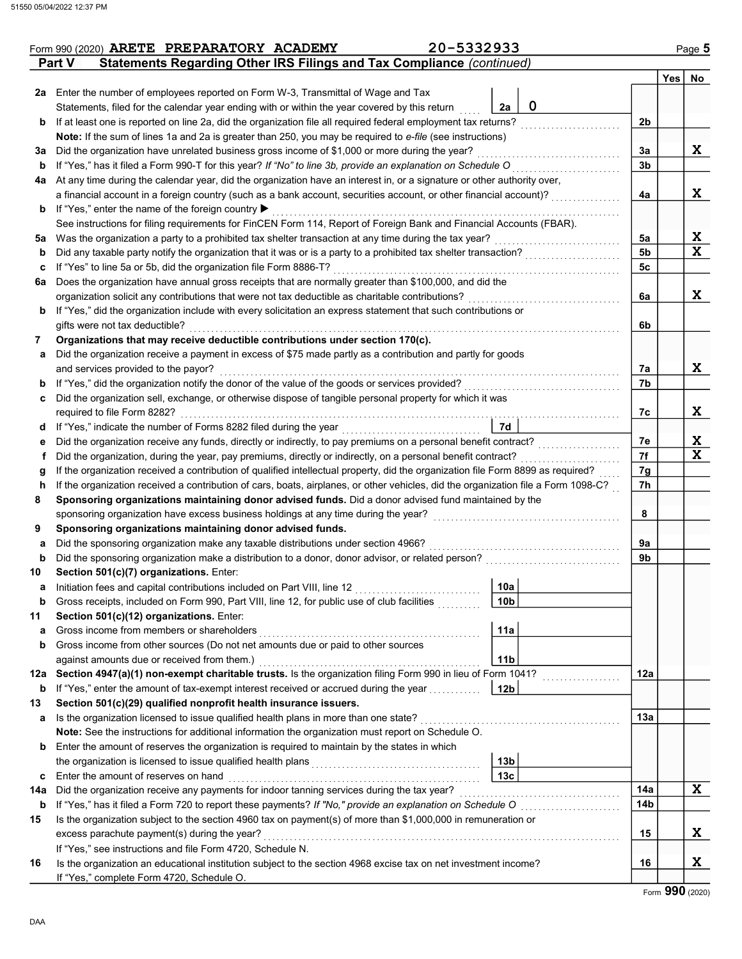|     | 20-5332933<br>Form 990 (2020) ARETE PREPARATORY ACADEMY                                                                                                                                            |                    |                                                                                                                |                |     | Page 5 |  |  |  |  |
|-----|----------------------------------------------------------------------------------------------------------------------------------------------------------------------------------------------------|--------------------|----------------------------------------------------------------------------------------------------------------|----------------|-----|--------|--|--|--|--|
|     | Statements Regarding Other IRS Filings and Tax Compliance (continued)<br><b>Part V</b>                                                                                                             |                    |                                                                                                                |                | Yes | No     |  |  |  |  |
|     | 2a Enter the number of employees reported on Form W-3, Transmittal of Wage and Tax                                                                                                                 |                    |                                                                                                                |                |     |        |  |  |  |  |
|     | Statements, filed for the calendar year ending with or within the year covered by this return                                                                                                      | 2a                 | $\mathbf 0$                                                                                                    |                |     |        |  |  |  |  |
| b   | If at least one is reported on line 2a, did the organization file all required federal employment tax returns?                                                                                     |                    |                                                                                                                | 2 <sub>b</sub> |     |        |  |  |  |  |
|     | Note: If the sum of lines 1a and 2a is greater than 250, you may be required to e-file (see instructions)                                                                                          |                    |                                                                                                                |                |     |        |  |  |  |  |
|     | Did the organization have unrelated business gross income of \$1,000 or more during the year?                                                                                                      |                    |                                                                                                                | 3a             |     | X      |  |  |  |  |
| За  |                                                                                                                                                                                                    |                    |                                                                                                                | 3 <sub>b</sub> |     |        |  |  |  |  |
| b   | If "Yes," has it filed a Form 990-T for this year? If "No" to line 3b, provide an explanation on Schedule O                                                                                        |                    |                                                                                                                |                |     |        |  |  |  |  |
| 4a  | At any time during the calendar year, did the organization have an interest in, or a signature or other authority over,                                                                            |                    |                                                                                                                |                |     |        |  |  |  |  |
|     | a financial account in a foreign country (such as a bank account, securities account, or other financial account)?                                                                                 |                    |                                                                                                                | 4a             |     | X      |  |  |  |  |
| b   | If "Yes," enter the name of the foreign country ▶                                                                                                                                                  |                    |                                                                                                                |                |     |        |  |  |  |  |
|     | See instructions for filing requirements for FinCEN Form 114, Report of Foreign Bank and Financial Accounts (FBAR).                                                                                |                    |                                                                                                                |                |     |        |  |  |  |  |
| 5a  | Was the organization a party to a prohibited tax shelter transaction at any time during the tax year?                                                                                              |                    |                                                                                                                | 5a             |     | X      |  |  |  |  |
| b   | Did any taxable party notify the organization that it was or is a party to a prohibited tax shelter transaction?                                                                                   |                    |                                                                                                                | 5 <sub>b</sub> |     | X      |  |  |  |  |
| c   | If "Yes" to line 5a or 5b, did the organization file Form 8886-T?                                                                                                                                  |                    |                                                                                                                | 5 <sub>c</sub> |     |        |  |  |  |  |
| 6a  | Does the organization have annual gross receipts that are normally greater than \$100,000, and did the                                                                                             |                    |                                                                                                                |                |     |        |  |  |  |  |
|     | organization solicit any contributions that were not tax deductible as charitable contributions?                                                                                                   |                    |                                                                                                                | 6a             |     | X      |  |  |  |  |
|     | If "Yes," did the organization include with every solicitation an express statement that such contributions or                                                                                     |                    |                                                                                                                |                |     |        |  |  |  |  |
|     | gifts were not tax deductible?                                                                                                                                                                     |                    |                                                                                                                | 6b             |     |        |  |  |  |  |
| 7   | Organizations that may receive deductible contributions under section 170(c).                                                                                                                      |                    |                                                                                                                |                |     |        |  |  |  |  |
| а   | Did the organization receive a payment in excess of \$75 made partly as a contribution and partly for goods                                                                                        |                    |                                                                                                                |                |     |        |  |  |  |  |
|     | and services provided to the payor?                                                                                                                                                                |                    |                                                                                                                | 7a             |     | X      |  |  |  |  |
| b   | If "Yes," did the organization notify the donor of the value of the goods or services provided?<br>If "Yes," did the organization notify the donor of the value of the goods or services provided? |                    |                                                                                                                | 7b             |     |        |  |  |  |  |
| c   | Did the organization sell, exchange, or otherwise dispose of tangible personal property for which it was                                                                                           |                    |                                                                                                                |                |     |        |  |  |  |  |
|     | required to file Form 8282?                                                                                                                                                                        |                    |                                                                                                                | 7с             |     | X      |  |  |  |  |
| a   | If "Yes," indicate the number of Forms 8282 filed during the year<br>[[[[[[[[[[[[[[]]]]]                                                                                                           | 7d                 |                                                                                                                |                |     |        |  |  |  |  |
| е   | Did the organization receive any funds, directly or indirectly, to pay premiums on a personal benefit contract?                                                                                    |                    |                                                                                                                | 7e             |     | X      |  |  |  |  |
| f   | Did the organization, during the year, pay premiums, directly or indirectly, on a personal benefit contract?                                                                                       |                    |                                                                                                                | 7f             |     | X      |  |  |  |  |
| g   | If the organization received a contribution of qualified intellectual property, did the organization file Form 8899 as required?                                                                   |                    |                                                                                                                |                |     |        |  |  |  |  |
| h   | If the organization received a contribution of cars, boats, airplanes, or other vehicles, did the organization file a Form 1098-C?                                                                 |                    |                                                                                                                |                |     |        |  |  |  |  |
| 8   | Sponsoring organizations maintaining donor advised funds. Did a donor advised fund maintained by the                                                                                               |                    |                                                                                                                | 7h             |     |        |  |  |  |  |
|     | sponsoring organization have excess business holdings at any time during the year?                                                                                                                 |                    |                                                                                                                | 8              |     |        |  |  |  |  |
|     | Sponsoring organizations maintaining donor advised funds.                                                                                                                                          |                    | and a complete the contract of the complete the complete the complete the complete the complete the complete t |                |     |        |  |  |  |  |
| 9   |                                                                                                                                                                                                    |                    |                                                                                                                | 9а             |     |        |  |  |  |  |
| а   | Did the sponsoring organization make any taxable distributions under section 4966?                                                                                                                 |                    |                                                                                                                |                |     |        |  |  |  |  |
| b   | Did the sponsoring organization make a distribution to a donor, donor advisor, or related person?                                                                                                  |                    |                                                                                                                | 9b             |     |        |  |  |  |  |
| 10  | Section 501(c)(7) organizations. Enter:                                                                                                                                                            | <b>The Control</b> |                                                                                                                |                |     |        |  |  |  |  |
| a   | Initiation fees and capital contributions included on Part VIII, line 12                                                                                                                           | 10a                |                                                                                                                |                |     |        |  |  |  |  |
| b   | Gross receipts, included on Form 990, Part VIII, line 12, for public use of club facilities                                                                                                        | 10b                |                                                                                                                |                |     |        |  |  |  |  |
| 11  | Section 501(c)(12) organizations. Enter:                                                                                                                                                           |                    |                                                                                                                |                |     |        |  |  |  |  |
| а   | Gross income from members or shareholders                                                                                                                                                          | 11a                |                                                                                                                |                |     |        |  |  |  |  |
| b   | Gross income from other sources (Do not net amounts due or paid to other sources                                                                                                                   |                    |                                                                                                                |                |     |        |  |  |  |  |
|     | against amounts due or received from them.)                                                                                                                                                        | 11 <sub>b</sub>    |                                                                                                                |                |     |        |  |  |  |  |
| 12a |                                                                                                                                                                                                    |                    |                                                                                                                | 12a            |     |        |  |  |  |  |
| b   | If "Yes," enter the amount of tax-exempt interest received or accrued during the year                                                                                                              | 12 <sub>b</sub>    |                                                                                                                |                |     |        |  |  |  |  |
| 13  | Section 501(c)(29) qualified nonprofit health insurance issuers.                                                                                                                                   |                    |                                                                                                                |                |     |        |  |  |  |  |
| а   | Is the organization licensed to issue qualified health plans in more than one state?                                                                                                               |                    |                                                                                                                | 13а            |     |        |  |  |  |  |
|     | Note: See the instructions for additional information the organization must report on Schedule O.                                                                                                  |                    |                                                                                                                |                |     |        |  |  |  |  |
| b   | Enter the amount of reserves the organization is required to maintain by the states in which                                                                                                       |                    |                                                                                                                |                |     |        |  |  |  |  |
|     |                                                                                                                                                                                                    | 13 <sub>b</sub>    |                                                                                                                |                |     |        |  |  |  |  |
| c   | Enter the amount of reserves on hand                                                                                                                                                               | 13 <sub>c</sub>    |                                                                                                                |                |     |        |  |  |  |  |
| 14a |                                                                                                                                                                                                    |                    |                                                                                                                | 14a            |     | X      |  |  |  |  |
| b   | If "Yes," has it filed a Form 720 to report these payments? If "No," provide an explanation on Schedule O                                                                                          |                    |                                                                                                                | 14b            |     |        |  |  |  |  |
|     | Is the organization subject to the section 4960 tax on payment(s) of more than \$1,000,000 in remuneration or                                                                                      |                    |                                                                                                                |                |     |        |  |  |  |  |
| 15  |                                                                                                                                                                                                    |                    |                                                                                                                |                |     |        |  |  |  |  |
|     | excess parachute payment(s) during the year?                                                                                                                                                       |                    |                                                                                                                | 15             |     | X      |  |  |  |  |
|     | If "Yes," see instructions and file Form 4720, Schedule N.                                                                                                                                         |                    |                                                                                                                |                |     |        |  |  |  |  |
| 16  | Is the organization an educational institution subject to the section 4968 excise tax on net investment income?                                                                                    |                    |                                                                                                                | 16             |     | X      |  |  |  |  |
|     | If "Yes," complete Form 4720, Schedule O.                                                                                                                                                          |                    |                                                                                                                |                |     |        |  |  |  |  |

Form 990 (2020)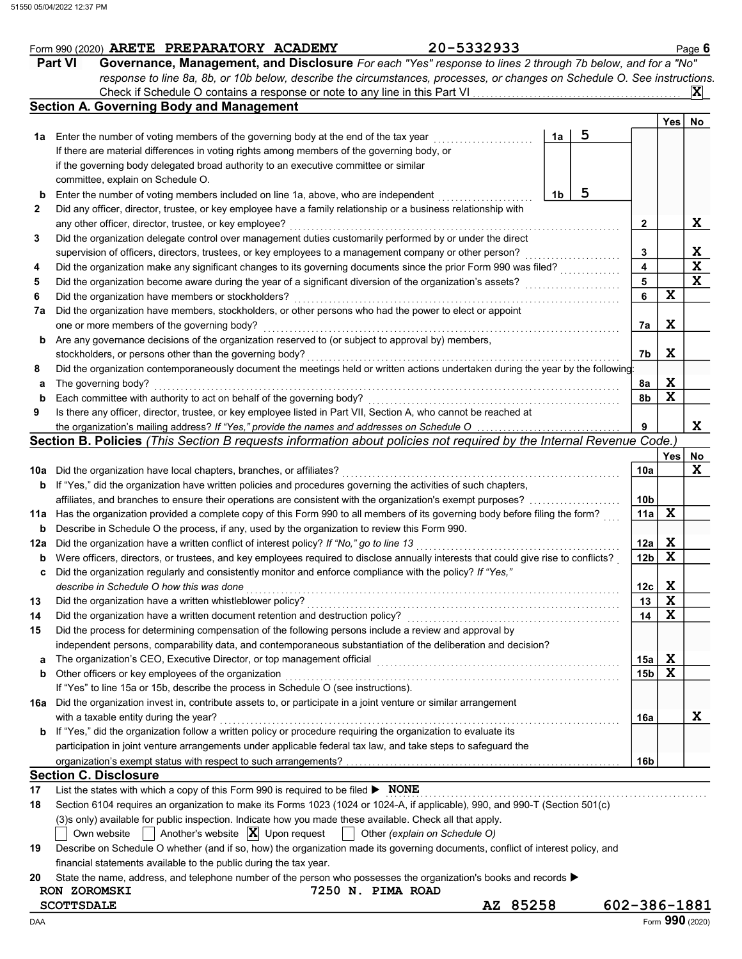|          | response to line 8a, 8b, or 10b below, describe the circumstances, processes, or changes on Schedule O. See instructions.                                                                                                        |                              |                         |                  |  |  |  |  |  |  |  |  |
|----------|----------------------------------------------------------------------------------------------------------------------------------------------------------------------------------------------------------------------------------|------------------------------|-------------------------|------------------|--|--|--|--|--|--|--|--|
|          |                                                                                                                                                                                                                                  |                              |                         | IX.              |  |  |  |  |  |  |  |  |
|          | <b>Section A. Governing Body and Management</b>                                                                                                                                                                                  |                              |                         |                  |  |  |  |  |  |  |  |  |
|          |                                                                                                                                                                                                                                  |                              | Yes                     | No               |  |  |  |  |  |  |  |  |
| 1a       | 5<br>Enter the number of voting members of the governing body at the end of the tax year<br>1a                                                                                                                                   |                              |                         |                  |  |  |  |  |  |  |  |  |
|          | If there are material differences in voting rights among members of the governing body, or                                                                                                                                       |                              |                         |                  |  |  |  |  |  |  |  |  |
|          | if the governing body delegated broad authority to an executive committee or similar                                                                                                                                             |                              |                         |                  |  |  |  |  |  |  |  |  |
|          | committee, explain on Schedule O.<br>5                                                                                                                                                                                           |                              |                         |                  |  |  |  |  |  |  |  |  |
| b        | 1b<br>Enter the number of voting members included on line 1a, above, who are independent                                                                                                                                         |                              |                         |                  |  |  |  |  |  |  |  |  |
| 2        | Did any officer, director, trustee, or key employee have a family relationship or a business relationship with                                                                                                                   |                              |                         |                  |  |  |  |  |  |  |  |  |
|          | any other officer, director, trustee, or key employee?                                                                                                                                                                           | $\mathbf{2}$                 |                         | X                |  |  |  |  |  |  |  |  |
| 3        | Did the organization delegate control over management duties customarily performed by or under the direct                                                                                                                        |                              |                         |                  |  |  |  |  |  |  |  |  |
|          | supervision of officers, directors, trustees, or key employees to a management company or other person?                                                                                                                          | 3<br>$\overline{\mathbf{4}}$ |                         | X<br>$\mathbf x$ |  |  |  |  |  |  |  |  |
| 4        | Did the organization make any significant changes to its governing documents since the prior Form 990 was filed?                                                                                                                 | 5                            |                         | X                |  |  |  |  |  |  |  |  |
| 5        | Did the organization become aware during the year of a significant diversion of the organization's assets?                                                                                                                       | 6                            | $\mathbf x$             |                  |  |  |  |  |  |  |  |  |
| 6<br>7a  | Did the organization have members or stockholders?<br>Did the organization have members, stockholders, or other persons who had the power to elect or appoint                                                                    |                              |                         |                  |  |  |  |  |  |  |  |  |
|          | one or more members of the governing body?                                                                                                                                                                                       |                              |                         |                  |  |  |  |  |  |  |  |  |
| b        | Are any governance decisions of the organization reserved to (or subject to approval by) members,                                                                                                                                | 7a                           | X                       |                  |  |  |  |  |  |  |  |  |
|          | stockholders, or persons other than the governing body?                                                                                                                                                                          |                              |                         |                  |  |  |  |  |  |  |  |  |
| 8        | Did the organization contemporaneously document the meetings held or written actions undertaken during the year by the following:                                                                                                |                              |                         |                  |  |  |  |  |  |  |  |  |
|          | The governing body?<br>а                                                                                                                                                                                                         |                              |                         |                  |  |  |  |  |  |  |  |  |
|          | Each committee with authority to act on behalf of the governing body?                                                                                                                                                            |                              |                         |                  |  |  |  |  |  |  |  |  |
| 9        | b<br>Is there any officer, director, trustee, or key employee listed in Part VII, Section A, who cannot be reached at                                                                                                            |                              |                         |                  |  |  |  |  |  |  |  |  |
|          | the organization's mailing address? If "Yes," provide the names and addresses on Schedule O                                                                                                                                      |                              |                         |                  |  |  |  |  |  |  |  |  |
|          | Section B. Policies (This Section B requests information about policies not required by the Internal Revenue Code.)                                                                                                              | 9                            |                         | X.               |  |  |  |  |  |  |  |  |
|          |                                                                                                                                                                                                                                  |                              | Yes                     | No               |  |  |  |  |  |  |  |  |
|          | 10a Did the organization have local chapters, branches, or affiliates?                                                                                                                                                           | 10a                          |                         | X.               |  |  |  |  |  |  |  |  |
| b        | If "Yes," did the organization have written policies and procedures governing the activities of such chapters,                                                                                                                   |                              |                         |                  |  |  |  |  |  |  |  |  |
|          | affiliates, and branches to ensure their operations are consistent with the organization's exempt purposes?                                                                                                                      |                              |                         |                  |  |  |  |  |  |  |  |  |
| 11a      | Has the organization provided a complete copy of this Form 990 to all members of its governing body before filing the form?                                                                                                      |                              |                         |                  |  |  |  |  |  |  |  |  |
| b        | Describe in Schedule O the process, if any, used by the organization to review this Form 990.                                                                                                                                    |                              |                         |                  |  |  |  |  |  |  |  |  |
| 12a      | Did the organization have a written conflict of interest policy? If "No," go to line 13                                                                                                                                          | 12a                          | X                       |                  |  |  |  |  |  |  |  |  |
| b        | Were officers, directors, or trustees, and key employees required to disclose annually interests that could give rise to conflicts?                                                                                              | 12 <sub>b</sub>              | $\mathbf x$             |                  |  |  |  |  |  |  |  |  |
| c        | Did the organization regularly and consistently monitor and enforce compliance with the policy? If "Yes,"                                                                                                                        |                              |                         |                  |  |  |  |  |  |  |  |  |
|          | describe in Schedule O how this was done                                                                                                                                                                                         | 12c                          | X                       |                  |  |  |  |  |  |  |  |  |
| 13       | Did the organization have a written whistleblower policy?<br>.                                                                                                                                                                   | 13                           | $\mathbf x$             |                  |  |  |  |  |  |  |  |  |
| 14       | Did the organization have a written document retention and destruction policy?                                                                                                                                                   | 14                           | $\overline{\mathbf{x}}$ |                  |  |  |  |  |  |  |  |  |
| 15       | Did the process for determining compensation of the following persons include a review and approval by                                                                                                                           |                              |                         |                  |  |  |  |  |  |  |  |  |
|          | independent persons, comparability data, and contemporaneous substantiation of the deliberation and decision?                                                                                                                    |                              |                         |                  |  |  |  |  |  |  |  |  |
| а        | The organization's CEO, Executive Director, or top management official                                                                                                                                                           | 15a                          | X                       |                  |  |  |  |  |  |  |  |  |
| b        | Other officers or key employees of the organization                                                                                                                                                                              | 15 <sub>b</sub>              | $\mathbf X$             |                  |  |  |  |  |  |  |  |  |
|          | If "Yes" to line 15a or 15b, describe the process in Schedule O (see instructions).                                                                                                                                              |                              |                         |                  |  |  |  |  |  |  |  |  |
|          | 16a Did the organization invest in, contribute assets to, or participate in a joint venture or similar arrangement                                                                                                               |                              |                         |                  |  |  |  |  |  |  |  |  |
|          | with a taxable entity during the year?                                                                                                                                                                                           | 16a                          |                         | X                |  |  |  |  |  |  |  |  |
| b        | If "Yes," did the organization follow a written policy or procedure requiring the organization to evaluate its                                                                                                                   |                              |                         |                  |  |  |  |  |  |  |  |  |
|          | participation in joint venture arrangements under applicable federal tax law, and take steps to safeguard the                                                                                                                    |                              |                         |                  |  |  |  |  |  |  |  |  |
|          |                                                                                                                                                                                                                                  | 16b                          |                         |                  |  |  |  |  |  |  |  |  |
|          | <b>Section C. Disclosure</b>                                                                                                                                                                                                     |                              |                         |                  |  |  |  |  |  |  |  |  |
| 17<br>18 | List the states with which a copy of this Form 990 is required to be filed $\triangleright$ NONE<br>Section 6104 requires an organization to make its Forms 1023 (1024 or 1024-A, if applicable), 990, and 990-T (Section 501(c) |                              |                         |                  |  |  |  |  |  |  |  |  |
|          | (3)s only) available for public inspection. Indicate how you made these available. Check all that apply.                                                                                                                         |                              |                         |                  |  |  |  |  |  |  |  |  |
|          | Another's website $ \mathbf{X} $ Upon request<br>Own website<br>Other (explain on Schedule O)                                                                                                                                    |                              |                         |                  |  |  |  |  |  |  |  |  |
| 19       | Describe on Schedule O whether (and if so, how) the organization made its governing documents, conflict of interest policy, and                                                                                                  |                              |                         |                  |  |  |  |  |  |  |  |  |
|          | financial statements available to the public during the tax year.                                                                                                                                                                |                              |                         |                  |  |  |  |  |  |  |  |  |
| 20       | State the name, address, and telephone number of the person who possesses the organization's books and records                                                                                                                   |                              |                         |                  |  |  |  |  |  |  |  |  |
|          | 7250 N. PIMA ROAD<br>RON ZOROMSKI                                                                                                                                                                                                |                              |                         |                  |  |  |  |  |  |  |  |  |
|          | AZ 85258<br>602-386-1881<br><b>SCOTTSDALE</b>                                                                                                                                                                                    |                              |                         |                  |  |  |  |  |  |  |  |  |
|          |                                                                                                                                                                                                                                  |                              |                         |                  |  |  |  |  |  |  |  |  |

|                | Form 990 (2020) ARETE PREPARATORY ACADEMY | 20-5332933                                                                                                 | Page 6 |
|----------------|-------------------------------------------|------------------------------------------------------------------------------------------------------------|--------|
| <b>Part VI</b> |                                           | Governance, Management, and Disclosure For each "Yes" response to lines 2 through 7b below, and for a "No" |        |

| r |  |
|---|--|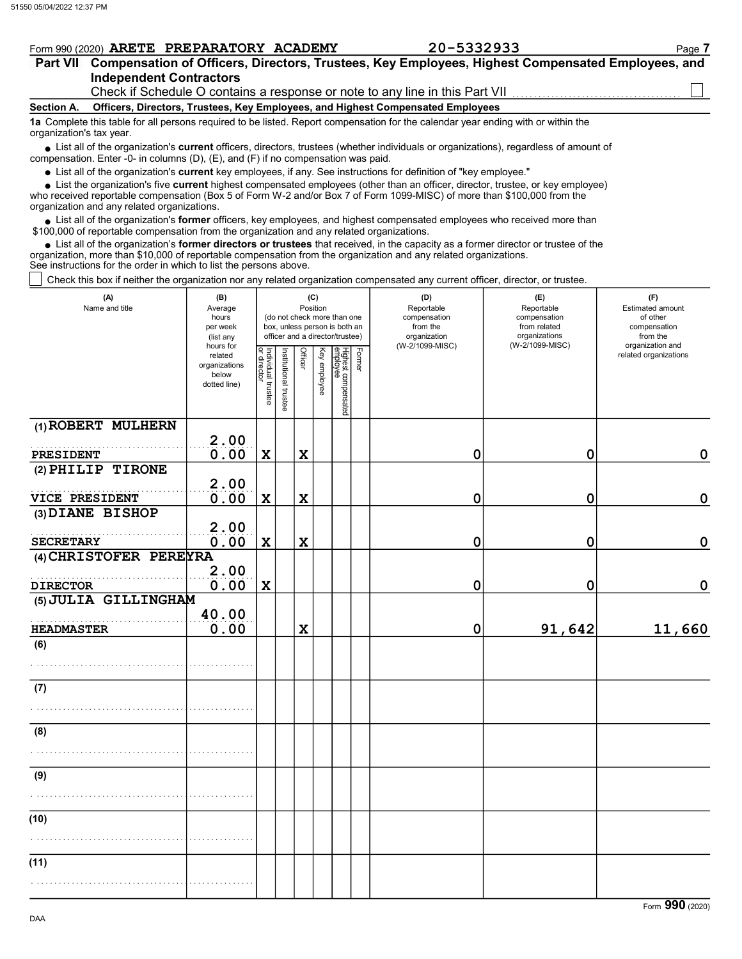|                 |                                                                                                                                                                                                                             | Form 990 (2020) ARETE PREPARATORY ACADEMY |  | 20-5332933                                                                                       | Page 7 |  |  |  |  |  |  |  |
|-----------------|-----------------------------------------------------------------------------------------------------------------------------------------------------------------------------------------------------------------------------|-------------------------------------------|--|--------------------------------------------------------------------------------------------------|--------|--|--|--|--|--|--|--|
| <b>Part VII</b> |                                                                                                                                                                                                                             |                                           |  | Compensation of Officers, Directors, Trustees, Key Employees, Highest Compensated Employees, and |        |  |  |  |  |  |  |  |
|                 | <b>Independent Contractors</b>                                                                                                                                                                                              |                                           |  |                                                                                                  |        |  |  |  |  |  |  |  |
|                 | Check if Schedule O contains a response or note to any line in this Part VII                                                                                                                                                |                                           |  |                                                                                                  |        |  |  |  |  |  |  |  |
| Section A.      | Officers, Directors, Trustees, Key Employees, and Highest Compensated Employees                                                                                                                                             |                                           |  |                                                                                                  |        |  |  |  |  |  |  |  |
|                 | 1a Complete this table for all persons required to be listed. Report compensation for the calendar year ending with or within the<br>organization's tax year.                                                               |                                           |  |                                                                                                  |        |  |  |  |  |  |  |  |
|                 | • List all of the organization's current officers, directors, trustees (whether individuals or organizations), regardless of amount of<br>compensation. Enter -0- in columns (D), (E), and (F) if no compensation was paid. |                                           |  |                                                                                                  |        |  |  |  |  |  |  |  |

• List all of the organization's **current** key employees, if any. See instructions for definition of "key employee."

who received reportable compensation (Box 5 of Form W-2 and/or Box 7 of Form 1099-MISC) of more than \$100,000 from the organization and any related organizations. • List the organization's five **current** highest compensated employees (other than an officer, director, trustee, or key employee)<br>• received reportable compensation (Box 5 of Form W 2 and/or Box 7 of Form 1000 MISC) of m

 $\bullet$  List all of the organization's **former** officers, key employees, and highest compensated employees who received more than  $\Omega$  0.00 of reportable compensation from the erganization and any related erganizations. \$100,000 of reportable compensation from the organization and any related organizations.

 $\bullet$  List all of the organization's **former directors or trustees** that received, in the capacity as a former director or trustee of the entrance in the organization and any related organizations organization, more than \$10,000 of reportable compensation from the organization and any related organizations. See instructions for the order in which to list the persons above.

Check this box if neither the organization nor any related organization compensated any current officer, director, or trustee.

| (A)<br>(B)<br>Name and title<br>Average<br>hours<br>per week<br>(list any<br>hours for |                                                   |                                          |                       |                | (C)<br>Position | (do not check more than one<br>box, unless person is both an<br>officer and a director/trustee) |        | (D)<br>Reportable<br>compensation<br>from the<br>organization<br>(W-2/1099-MISC) | (E)<br>Reportable<br>compensation<br>from related<br>organizations<br>(W-2/1099-MISC) | (F)<br>Estimated amount<br>of other<br>compensation<br>from the<br>organization and |  |  |
|----------------------------------------------------------------------------------------|---------------------------------------------------|------------------------------------------|-----------------------|----------------|-----------------|-------------------------------------------------------------------------------------------------|--------|----------------------------------------------------------------------------------|---------------------------------------------------------------------------------------|-------------------------------------------------------------------------------------|--|--|
|                                                                                        | related<br>organizations<br>below<br>dotted line) | Individual trustee<br><u>or director</u> | Institutional trustee | <b>Officer</b> | Key employee    | Highest compensated<br>employee                                                                 | Former |                                                                                  |                                                                                       | related organizations                                                               |  |  |
| (1) ROBERT MULHERN                                                                     |                                                   |                                          |                       |                |                 |                                                                                                 |        |                                                                                  |                                                                                       |                                                                                     |  |  |
| PRESIDENT                                                                              | 2.00<br>0.00                                      | $\mathbf x$                              |                       | $\mathbf x$    |                 |                                                                                                 |        | $\mathbf 0$                                                                      | $\mathbf 0$                                                                           | $\mathbf 0$                                                                         |  |  |
| (2) PHILIP TIRONE                                                                      |                                                   |                                          |                       |                |                 |                                                                                                 |        |                                                                                  |                                                                                       |                                                                                     |  |  |
| VICE PRESIDENT                                                                         | 2.00<br>0.00                                      | $\mathbf x$                              |                       | $\mathbf x$    |                 |                                                                                                 |        | $\mathbf 0$                                                                      | $\mathbf 0$                                                                           | 0                                                                                   |  |  |
| (3) DIANE BISHOP                                                                       |                                                   |                                          |                       |                |                 |                                                                                                 |        |                                                                                  |                                                                                       |                                                                                     |  |  |
| <b>SECRETARY</b>                                                                       | 2.00<br>0.00                                      | $\mathbf x$                              |                       | $\mathbf x$    |                 |                                                                                                 |        | $\mathbf 0$                                                                      | 0                                                                                     | $\mathbf 0$                                                                         |  |  |
| (4) CHRISTOFER PEREYRA                                                                 |                                                   |                                          |                       |                |                 |                                                                                                 |        |                                                                                  |                                                                                       |                                                                                     |  |  |
| <b>DIRECTOR</b>                                                                        | 2.00<br>0.00                                      | $\mathbf x$                              |                       |                |                 |                                                                                                 |        | $\mathbf 0$                                                                      | 0                                                                                     | $\mathbf 0$                                                                         |  |  |
| (5) JULIA GILLINGHAM                                                                   |                                                   |                                          |                       |                |                 |                                                                                                 |        |                                                                                  |                                                                                       |                                                                                     |  |  |
| <b>HEADMASTER</b>                                                                      | 40.00<br>0.00                                     |                                          |                       | X              |                 |                                                                                                 |        | 0                                                                                | 91,642                                                                                | 11,660                                                                              |  |  |
| (6)                                                                                    |                                                   |                                          |                       |                |                 |                                                                                                 |        |                                                                                  |                                                                                       |                                                                                     |  |  |
|                                                                                        |                                                   |                                          |                       |                |                 |                                                                                                 |        |                                                                                  |                                                                                       |                                                                                     |  |  |
| (7)                                                                                    |                                                   |                                          |                       |                |                 |                                                                                                 |        |                                                                                  |                                                                                       |                                                                                     |  |  |
|                                                                                        |                                                   |                                          |                       |                |                 |                                                                                                 |        |                                                                                  |                                                                                       |                                                                                     |  |  |
| (8)                                                                                    |                                                   |                                          |                       |                |                 |                                                                                                 |        |                                                                                  |                                                                                       |                                                                                     |  |  |
|                                                                                        |                                                   |                                          |                       |                |                 |                                                                                                 |        |                                                                                  |                                                                                       |                                                                                     |  |  |
| (9)                                                                                    |                                                   |                                          |                       |                |                 |                                                                                                 |        |                                                                                  |                                                                                       |                                                                                     |  |  |
|                                                                                        |                                                   |                                          |                       |                |                 |                                                                                                 |        |                                                                                  |                                                                                       |                                                                                     |  |  |
| (10)                                                                                   |                                                   |                                          |                       |                |                 |                                                                                                 |        |                                                                                  |                                                                                       |                                                                                     |  |  |
|                                                                                        |                                                   |                                          |                       |                |                 |                                                                                                 |        |                                                                                  |                                                                                       |                                                                                     |  |  |
| (11)                                                                                   |                                                   |                                          |                       |                |                 |                                                                                                 |        |                                                                                  |                                                                                       |                                                                                     |  |  |
|                                                                                        |                                                   |                                          |                       |                |                 |                                                                                                 |        |                                                                                  |                                                                                       |                                                                                     |  |  |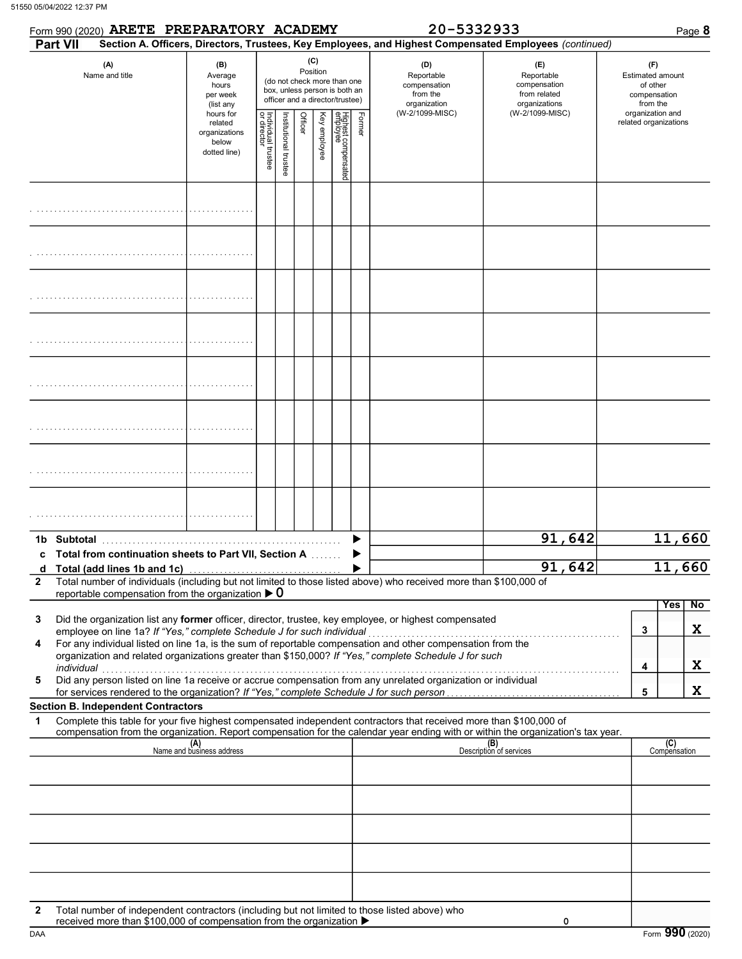|                   | Form 990 (2020) ARETE PREPARATORY ACADEMY                                                                                                                                                                                          |                                                                                           |                                                                                                                                                                                                                      |  |  |  |                                 |  | 20-5332933                                                                       |                                                                                                                                                                                                 |                                                                                                                     | Page 8              |
|-------------------|------------------------------------------------------------------------------------------------------------------------------------------------------------------------------------------------------------------------------------|-------------------------------------------------------------------------------------------|----------------------------------------------------------------------------------------------------------------------------------------------------------------------------------------------------------------------|--|--|--|---------------------------------|--|----------------------------------------------------------------------------------|-------------------------------------------------------------------------------------------------------------------------------------------------------------------------------------------------|---------------------------------------------------------------------------------------------------------------------|---------------------|
|                   | <b>Part VII</b><br>(A)<br>Name and title                                                                                                                                                                                           | (B)<br>Average<br>hours<br>per week<br>(list any<br>hours for<br>related<br>organizations | (C)<br>Position<br>(do not check more than one<br>box, unless person is both an<br>officer and a director/trustee)<br>Former<br>Individual trustee<br>or director<br>Institutional truste<br>Officer<br>Key employee |  |  |  |                                 |  | (D)<br>Reportable<br>compensation<br>from the<br>organization<br>(W-2/1099-MISC) | Section A. Officers, Directors, Trustees, Key Employees, and Highest Compensated Employees (continued)<br>(E)<br>Reportable<br>compensation<br>from related<br>organizations<br>(W-2/1099-MISC) | (F)<br><b>Estimated amount</b><br>of other<br>compensation<br>from the<br>organization and<br>related organizations |                     |
|                   |                                                                                                                                                                                                                                    | below<br>dotted line)                                                                     |                                                                                                                                                                                                                      |  |  |  | Highest compensated<br>employee |  |                                                                                  |                                                                                                                                                                                                 |                                                                                                                     |                     |
|                   |                                                                                                                                                                                                                                    |                                                                                           |                                                                                                                                                                                                                      |  |  |  |                                 |  |                                                                                  |                                                                                                                                                                                                 |                                                                                                                     |                     |
|                   |                                                                                                                                                                                                                                    |                                                                                           |                                                                                                                                                                                                                      |  |  |  |                                 |  |                                                                                  |                                                                                                                                                                                                 |                                                                                                                     |                     |
|                   |                                                                                                                                                                                                                                    |                                                                                           |                                                                                                                                                                                                                      |  |  |  |                                 |  |                                                                                  |                                                                                                                                                                                                 |                                                                                                                     |                     |
|                   |                                                                                                                                                                                                                                    |                                                                                           |                                                                                                                                                                                                                      |  |  |  |                                 |  |                                                                                  |                                                                                                                                                                                                 |                                                                                                                     |                     |
|                   |                                                                                                                                                                                                                                    |                                                                                           |                                                                                                                                                                                                                      |  |  |  |                                 |  |                                                                                  |                                                                                                                                                                                                 |                                                                                                                     |                     |
|                   |                                                                                                                                                                                                                                    |                                                                                           |                                                                                                                                                                                                                      |  |  |  |                                 |  |                                                                                  |                                                                                                                                                                                                 |                                                                                                                     |                     |
|                   |                                                                                                                                                                                                                                    |                                                                                           |                                                                                                                                                                                                                      |  |  |  |                                 |  |                                                                                  |                                                                                                                                                                                                 |                                                                                                                     |                     |
|                   |                                                                                                                                                                                                                                    |                                                                                           |                                                                                                                                                                                                                      |  |  |  |                                 |  |                                                                                  |                                                                                                                                                                                                 |                                                                                                                     |                     |
|                   | c Total from continuation sheets to Part VII, Section A                                                                                                                                                                            |                                                                                           |                                                                                                                                                                                                                      |  |  |  |                                 |  |                                                                                  | 91,642                                                                                                                                                                                          |                                                                                                                     | 11,660              |
| d<br>$\mathbf{2}$ | Total (add lines 1b and 1c)<br>Total number of individuals (including but not limited to those listed above) who received more than \$100,000 of<br>reportable compensation from the organization $\triangleright$ 0               |                                                                                           |                                                                                                                                                                                                                      |  |  |  |                                 |  |                                                                                  | 91,642                                                                                                                                                                                          |                                                                                                                     | 11,660              |
| 3                 | Did the organization list any former officer, director, trustee, key employee, or highest compensated<br>employee on line 1a? If "Yes," complete Schedule J for such individual                                                    |                                                                                           |                                                                                                                                                                                                                      |  |  |  |                                 |  |                                                                                  |                                                                                                                                                                                                 | 3                                                                                                                   | Yes<br>No<br>X      |
| 4                 | For any individual listed on line 1a, is the sum of reportable compensation and other compensation from the<br>organization and related organizations greater than \$150,000? If "Yes," complete Schedule J for such<br>individual |                                                                                           |                                                                                                                                                                                                                      |  |  |  |                                 |  |                                                                                  |                                                                                                                                                                                                 | 4                                                                                                                   | X                   |
| 5                 | Did any person listed on line 1a receive or accrue compensation from any unrelated organization or individual                                                                                                                      |                                                                                           |                                                                                                                                                                                                                      |  |  |  |                                 |  |                                                                                  |                                                                                                                                                                                                 | 5                                                                                                                   | X                   |
| 1                 | <b>Section B. Independent Contractors</b><br>Complete this table for your five highest compensated independent contractors that received more than \$100,000 of                                                                    |                                                                                           |                                                                                                                                                                                                                      |  |  |  |                                 |  |                                                                                  |                                                                                                                                                                                                 |                                                                                                                     |                     |
|                   | compensation from the organization. Report compensation for the calendar year ending with or within the organization's tax year.                                                                                                   | (A)<br>Name and business address                                                          |                                                                                                                                                                                                                      |  |  |  |                                 |  |                                                                                  | (B)<br>Description of services                                                                                                                                                                  |                                                                                                                     | (C)<br>Compensation |
|                   |                                                                                                                                                                                                                                    |                                                                                           |                                                                                                                                                                                                                      |  |  |  |                                 |  |                                                                                  |                                                                                                                                                                                                 |                                                                                                                     |                     |
|                   |                                                                                                                                                                                                                                    |                                                                                           |                                                                                                                                                                                                                      |  |  |  |                                 |  |                                                                                  |                                                                                                                                                                                                 |                                                                                                                     |                     |
|                   |                                                                                                                                                                                                                                    |                                                                                           |                                                                                                                                                                                                                      |  |  |  |                                 |  |                                                                                  |                                                                                                                                                                                                 |                                                                                                                     |                     |
|                   |                                                                                                                                                                                                                                    |                                                                                           |                                                                                                                                                                                                                      |  |  |  |                                 |  |                                                                                  |                                                                                                                                                                                                 |                                                                                                                     |                     |
| 2                 | Total number of independent contractors (including but not limited to those listed above) who<br>received more than \$100,000 of compensation from the organization ▶                                                              |                                                                                           |                                                                                                                                                                                                                      |  |  |  |                                 |  |                                                                                  | 0                                                                                                                                                                                               |                                                                                                                     |                     |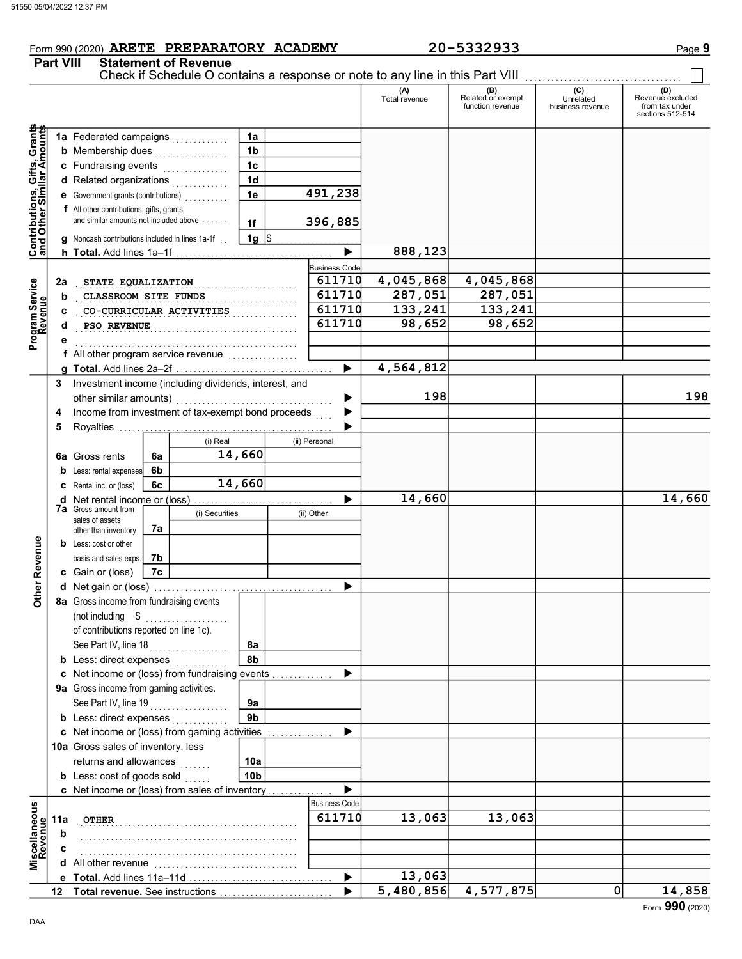## Form 990 (2020) ARETE PREPARATORY ACADEMY 20-5332933

## **Part VIII Statement of Revenue**

|                                                                  |     |                                                                                                                                                                                                                                                                                                                          |    |                                                   |                  |   |                       | Check if Schedule O contains a response or note to any line in this Part VIII |                                              |                                      |                                                               |
|------------------------------------------------------------------|-----|--------------------------------------------------------------------------------------------------------------------------------------------------------------------------------------------------------------------------------------------------------------------------------------------------------------------------|----|---------------------------------------------------|------------------|---|-----------------------|-------------------------------------------------------------------------------|----------------------------------------------|--------------------------------------|---------------------------------------------------------------|
|                                                                  |     |                                                                                                                                                                                                                                                                                                                          |    |                                                   |                  |   |                       | Total revenue                                                                 | (B)<br>Related or exempt<br>function revenue | (C)<br>Unrelated<br>business revenue | (D)<br>Revenue excluded<br>from tax under<br>sections 512-514 |
|                                                                  |     |                                                                                                                                                                                                                                                                                                                          |    |                                                   | 1a               |   |                       |                                                                               |                                              |                                      |                                                               |
| <b>Contributions, Gifts, Grants</b><br>and Other Similar Amounts |     | <b>b</b> Membership dues                                                                                                                                                                                                                                                                                                 |    | .                                                 | 1 <sub>b</sub>   |   |                       |                                                                               |                                              |                                      |                                                               |
|                                                                  |     | c Fundraising events                                                                                                                                                                                                                                                                                                     |    | .                                                 | 1 <sub>c</sub>   |   |                       |                                                                               |                                              |                                      |                                                               |
|                                                                  |     | d Related organizations                                                                                                                                                                                                                                                                                                  |    | <u>.</u>                                          | 1d               |   |                       |                                                                               |                                              |                                      |                                                               |
|                                                                  |     | <b>e</b> Government grants (contributions)                                                                                                                                                                                                                                                                               |    |                                                   | 1e               |   | 491,238               |                                                                               |                                              |                                      |                                                               |
|                                                                  |     | f All other contributions, gifts, grants,                                                                                                                                                                                                                                                                                |    |                                                   |                  |   |                       |                                                                               |                                              |                                      |                                                               |
|                                                                  |     | and similar amounts not included above                                                                                                                                                                                                                                                                                   |    |                                                   | 1f               |   | 396,885               |                                                                               |                                              |                                      |                                                               |
|                                                                  |     | <b>g</b> Noncash contributions included in lines 1a-1f                                                                                                                                                                                                                                                                   |    |                                                   | 1g $\frac{1}{3}$ |   |                       |                                                                               |                                              |                                      |                                                               |
|                                                                  |     |                                                                                                                                                                                                                                                                                                                          |    |                                                   |                  |   | $\blacktriangleright$ | 888,123                                                                       |                                              |                                      |                                                               |
|                                                                  |     |                                                                                                                                                                                                                                                                                                                          |    |                                                   |                  |   | <b>Business Code</b>  |                                                                               |                                              |                                      |                                                               |
|                                                                  | 2a  | STATE EQUALIZATION                                                                                                                                                                                                                                                                                                       |    |                                                   |                  |   | 611710                | 4,045,868                                                                     | 4,045,868                                    |                                      |                                                               |
| Program Service<br>Revenue                                       | b   | CLASSROOM SITE FUNDS                                                                                                                                                                                                                                                                                                     |    |                                                   |                  | . | 611710                | 287,051                                                                       | 287,051                                      |                                      |                                                               |
|                                                                  |     |                                                                                                                                                                                                                                                                                                                          |    | CO-CURRICULAR ACTIVITIES                          |                  | . | 611710                | 133,241                                                                       | 133,241                                      |                                      |                                                               |
|                                                                  |     | PSO REVENUE                                                                                                                                                                                                                                                                                                              |    |                                                   |                  |   | 611710                | 98,652                                                                        | 98,652                                       |                                      |                                                               |
|                                                                  |     |                                                                                                                                                                                                                                                                                                                          |    |                                                   |                  |   |                       |                                                                               |                                              |                                      |                                                               |
|                                                                  |     | f All other program service revenue                                                                                                                                                                                                                                                                                      |    |                                                   |                  |   |                       |                                                                               |                                              |                                      |                                                               |
|                                                                  |     |                                                                                                                                                                                                                                                                                                                          |    |                                                   |                  |   | ▶                     | 4,564,812                                                                     |                                              |                                      |                                                               |
|                                                                  | 3   | Investment income (including dividends, interest, and                                                                                                                                                                                                                                                                    |    |                                                   |                  |   |                       |                                                                               |                                              |                                      |                                                               |
|                                                                  |     | other similar amounts)                                                                                                                                                                                                                                                                                                   |    |                                                   |                  |   | ▶                     | 198                                                                           |                                              |                                      | 198                                                           |
|                                                                  | 4   | Income from investment of tax-exempt bond proceeds                                                                                                                                                                                                                                                                       |    |                                                   |                  |   |                       |                                                                               |                                              |                                      |                                                               |
|                                                                  | 5   |                                                                                                                                                                                                                                                                                                                          |    |                                                   |                  |   |                       |                                                                               |                                              |                                      |                                                               |
|                                                                  |     |                                                                                                                                                                                                                                                                                                                          |    | (i) Real                                          |                  |   | (ii) Personal         |                                                                               |                                              |                                      |                                                               |
|                                                                  |     | <b>6a</b> Gross rents                                                                                                                                                                                                                                                                                                    | 6a |                                                   | 14,660           |   |                       |                                                                               |                                              |                                      |                                                               |
|                                                                  | b   | Less: rental expenses                                                                                                                                                                                                                                                                                                    | 6b |                                                   |                  |   |                       |                                                                               |                                              |                                      |                                                               |
|                                                                  |     | <b>C</b> Rental inc. or (loss)                                                                                                                                                                                                                                                                                           | 6c |                                                   | 14,660           |   |                       |                                                                               |                                              |                                      |                                                               |
|                                                                  |     |                                                                                                                                                                                                                                                                                                                          |    |                                                   |                  |   |                       | 14,660                                                                        |                                              |                                      | 14,660                                                        |
|                                                                  |     | <b>7a</b> Gross amount from<br>sales of assets                                                                                                                                                                                                                                                                           |    | (i) Securities                                    |                  |   | (ii) Other            |                                                                               |                                              |                                      |                                                               |
|                                                                  |     | other than inventory                                                                                                                                                                                                                                                                                                     | 7a |                                                   |                  |   |                       |                                                                               |                                              |                                      |                                                               |
|                                                                  |     | <b>b</b> Less: cost or other                                                                                                                                                                                                                                                                                             |    |                                                   |                  |   |                       |                                                                               |                                              |                                      |                                                               |
|                                                                  |     | basis and sales exps.                                                                                                                                                                                                                                                                                                    | 7b |                                                   |                  |   |                       |                                                                               |                                              |                                      |                                                               |
| Other Revenue                                                    |     | c Gain or (loss)                                                                                                                                                                                                                                                                                                         | 7c |                                                   |                  |   |                       |                                                                               |                                              |                                      |                                                               |
|                                                                  |     |                                                                                                                                                                                                                                                                                                                          |    |                                                   |                  |   | ▶                     |                                                                               |                                              |                                      |                                                               |
|                                                                  |     | 8a Gross income from fundraising events                                                                                                                                                                                                                                                                                  |    |                                                   |                  |   |                       |                                                                               |                                              |                                      |                                                               |
|                                                                  |     | (not including $\quad$ , $\quad$ , $\quad$ , $\quad$ , $\quad$ , $\quad$ , $\quad$ , $\quad$ , $\quad$ , $\quad$ , $\quad$ , $\quad$ , $\quad$ , $\quad$ , $\quad$ , $\quad$ , $\quad$ , $\quad$ , $\quad$ , $\quad$ , $\quad$ , $\quad$ , $\quad$ , $\quad$ , $\quad$ , $\quad$ , $\quad$ , $\quad$ , $\quad$ , $\quad$ |    |                                                   |                  |   |                       |                                                                               |                                              |                                      |                                                               |
|                                                                  |     | of contributions reported on line 1c).                                                                                                                                                                                                                                                                                   |    |                                                   |                  |   |                       |                                                                               |                                              |                                      |                                                               |
|                                                                  |     | See Part IV, line 18                                                                                                                                                                                                                                                                                                     |    | <u> 1986 - Johann Stoff, Amerikaansk kanton o</u> | 8a               |   |                       |                                                                               |                                              |                                      |                                                               |
|                                                                  |     | <b>b</b> Less: direct expenses                                                                                                                                                                                                                                                                                           |    |                                                   | 8b               |   |                       |                                                                               |                                              |                                      |                                                               |
|                                                                  |     | c Net income or (loss) from fundraising events                                                                                                                                                                                                                                                                           |    |                                                   |                  |   |                       |                                                                               |                                              |                                      |                                                               |
|                                                                  |     | 9a Gross income from gaming activities.                                                                                                                                                                                                                                                                                  |    |                                                   |                  |   |                       |                                                                               |                                              |                                      |                                                               |
|                                                                  |     | See Part IV, line 19                                                                                                                                                                                                                                                                                                     |    |                                                   | 9a               |   |                       |                                                                               |                                              |                                      |                                                               |
|                                                                  |     | <b>b</b> Less: direct expenses                                                                                                                                                                                                                                                                                           |    |                                                   | 9 <sub>b</sub>   |   |                       |                                                                               |                                              |                                      |                                                               |
|                                                                  |     | c Net income or (loss) from gaming activities                                                                                                                                                                                                                                                                            |    |                                                   |                  |   |                       |                                                                               |                                              |                                      |                                                               |
|                                                                  |     | 10a Gross sales of inventory, less                                                                                                                                                                                                                                                                                       |    |                                                   |                  |   |                       |                                                                               |                                              |                                      |                                                               |
|                                                                  |     | returns and allowances                                                                                                                                                                                                                                                                                                   |    | .                                                 | 10a              |   |                       |                                                                               |                                              |                                      |                                                               |
|                                                                  |     | <b>b</b> Less: cost of goods sold                                                                                                                                                                                                                                                                                        |    |                                                   | 10 <sub>b</sub>  |   |                       |                                                                               |                                              |                                      |                                                               |
|                                                                  |     | c Net income or (loss) from sales of inventory                                                                                                                                                                                                                                                                           |    |                                                   |                  |   |                       |                                                                               |                                              |                                      |                                                               |
|                                                                  |     |                                                                                                                                                                                                                                                                                                                          |    |                                                   |                  |   | <b>Business Code</b>  |                                                                               |                                              |                                      |                                                               |
| Miscellaneous<br>Revenue                                         | 11a | OTHER                                                                                                                                                                                                                                                                                                                    |    |                                                   |                  |   | 611710                | 13,063                                                                        | 13,063                                       |                                      |                                                               |
|                                                                  | b   |                                                                                                                                                                                                                                                                                                                          |    |                                                   |                  |   |                       |                                                                               |                                              |                                      |                                                               |
|                                                                  |     |                                                                                                                                                                                                                                                                                                                          |    |                                                   |                  |   |                       |                                                                               |                                              |                                      |                                                               |
|                                                                  |     |                                                                                                                                                                                                                                                                                                                          |    |                                                   |                  |   |                       |                                                                               |                                              |                                      |                                                               |
|                                                                  |     |                                                                                                                                                                                                                                                                                                                          |    |                                                   |                  |   | ▶                     | 13,063                                                                        |                                              |                                      |                                                               |
|                                                                  |     | 12 Total revenue. See instructions                                                                                                                                                                                                                                                                                       |    |                                                   |                  |   |                       | $\overline{5,480,856}$                                                        | 4,577,875                                    | 0                                    | 14,858                                                        |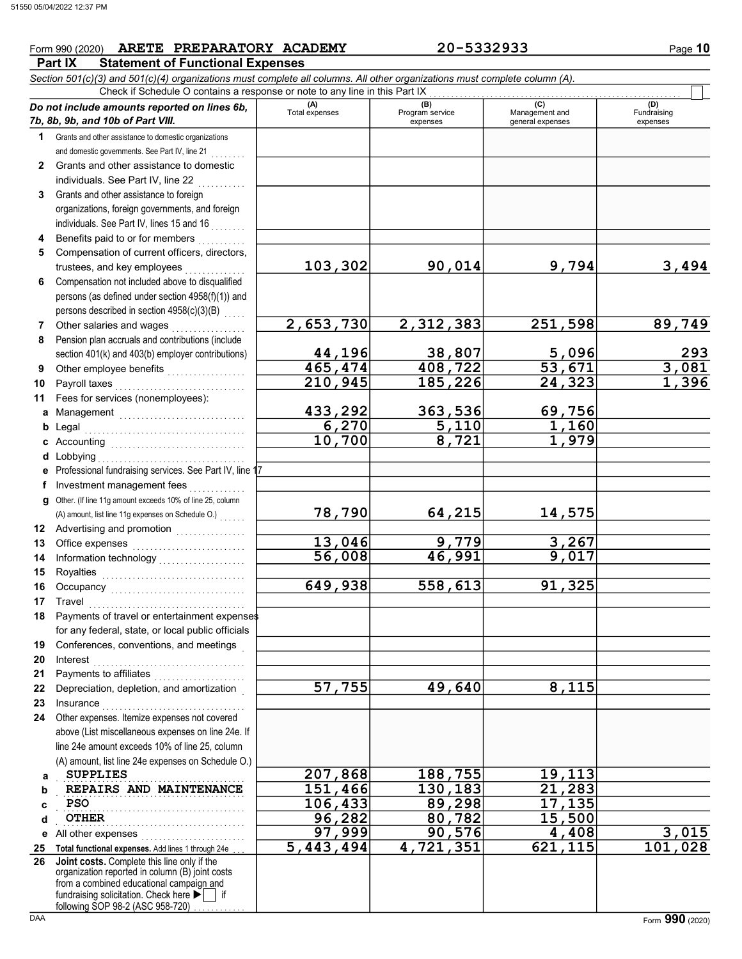#### Part IX Statement of Functional Expenses Form 990 (2020) ARETE PREPARATORY ACADEMY 20-5332933 Section 501(c)(3) and 501(c)(4) organizations must complete all columns. All other organizations must complete column (A). Do not include amounts reported on lines 6b, 7b, 8b, 9b, and 10b of Part VIII. 1 2 3 4 5 6 7 8 9 10 11 **a** Management ............................. b Legal **c** Accounting ................................ **d** Lobbying e Professional fundraising services. See Part IV, line 17 f g Other. (If line 11g amount exceeds 10% of line 25, column **12** Advertising and promotion ................ 13 14 15 16 17 18 19 20 21 22 23  $24$ a b c d e All other expenses . . . . . . . . . . . . . . . . . . . . . . . . 25 Total functional expenses. Add lines 1 through 24e ... 26 Grants and other assistance to domestic organizations and domestic governments. See Part IV, line 21 **.** . . . . . . . Grants and other assistance to domestic individuals. See Part IV, line 22 Grants and other assistance to foreign organizations, foreign governments, and foreign individuals. See Part IV, lines 15 and 16 Benefits paid to or for members . . . . . . . . . . . Compensation of current officers, directors, trustees, and key employees Compensation not included above to disqualified persons (as defined under section 4958(f)(1)) and persons described in section 4958(c)(3)(B) . . . . . Other salaries and wages . . . . . . . . . . . . . . . . . Pension plan accruals and contributions (include section 401(k) and 403(b) employer contributions) Other employee benefits . . . . . . . . . . . . . . . . . . Payroll taxes . . . . . . . . . . . . . . . . . . . . . . . . . . . . . . Fees for services (nonemployees): . . . . . . . . . . . . . . . . . . . . . . . . . . . . . . . . . . . . . Lobbying . . . . . . . . . . . . . . . . . . . . . . . . . . . . . . . . . . Investment management fees . . . . . . . . . . . . Office expenses . . . . . . . . . . . . . . . . . . . . . . . . . . Information technology . . . . . . . . . . . . . . . . . . . . Royalties . . . . . . . . . . . . . . . . . . . . . . . . . . . . . . . . . Occupancy . . . . . . . . . . . . . . . . . . . . . . . . . . . . . . . Travel . . . . . . . . . . . . . . . . . . . . . . . . . . . . . . . . . . . . Payments of travel or entertainment expenses for any federal, state, or local public officials Conferences, conventions, and meetings . Interest . . . . . . . . . . . . . . . . . . . . . . . . . . . . . . . . . . . Payments to affiliates ....................... Depreciation, depletion, and amortization . Insurance . . . . . . . . . . . . . . . . . . . . . . . . . . . . . . . . . Other expenses. Itemize expenses not covered above (List miscellaneous expenses on line 24e. If line 24e amount exceeds 10% of line 25, column (A) amount, list line 24e expenses on Schedule O.) fundraising solicitation. Check here  $\blacktriangleright$  | if organization reported in column (B) joint costs from a combined educational campaign and (A) (B) (C) (D) Total expenses Program service Management and expenses and general expenses (D)<br>Fundraising expenses . . . . . . . . . . . . . . . . . . . . . . . . . . . . . . . . . . . . . . . . . . . REPAIRS AND MAINTENANCE 151,466 130,183 21,283 . . . . . . . . . . . . . . . . . . . . . . . . . . . . . . . . . . . . . . . . . . . . . . . . . . . . . . . . . . . . . . . . . . . . . . . . . . . . . . . . . . . . . . Check if Schedule O contains a response or note to any line in this Part IX Joint costs. Complete this line only if the (A) amount, list line 11g expenses on Schedule O.) . . . . . . 103,302 90,014 9,794 3,494 2,653,730 2,312,383 251,598 89,749 44,196 38,807 5,096 293 465,474 408,722 53,671 3,081 210,945 185,226 24,323 1,396 <u>433,292 363,536 69,756</u><br>6,270 5,110 1,160  $\begin{array}{|c|c|c|}\n 5,110 & \overline{1,160} \\
 \hline\n 8,721 & \overline{1,979}\n \end{array}$  $10,700$ 78,790 64,215 14,575 13,046 9,779 3,267<br>56,008 46,991 9,017  $56,008$ 649,938 558,613 91,325 57,755 49,640 8,115 SUPPLIES 207,868 188,755 19,113 PSO 106,433 89,298 17,135 OTHER 96,282 80,782 15,500 97,999 90,576 4,408 3,015 5,443,494 4,721,351 621,115 101,028

following SOP 98-2 (ASC 958-720)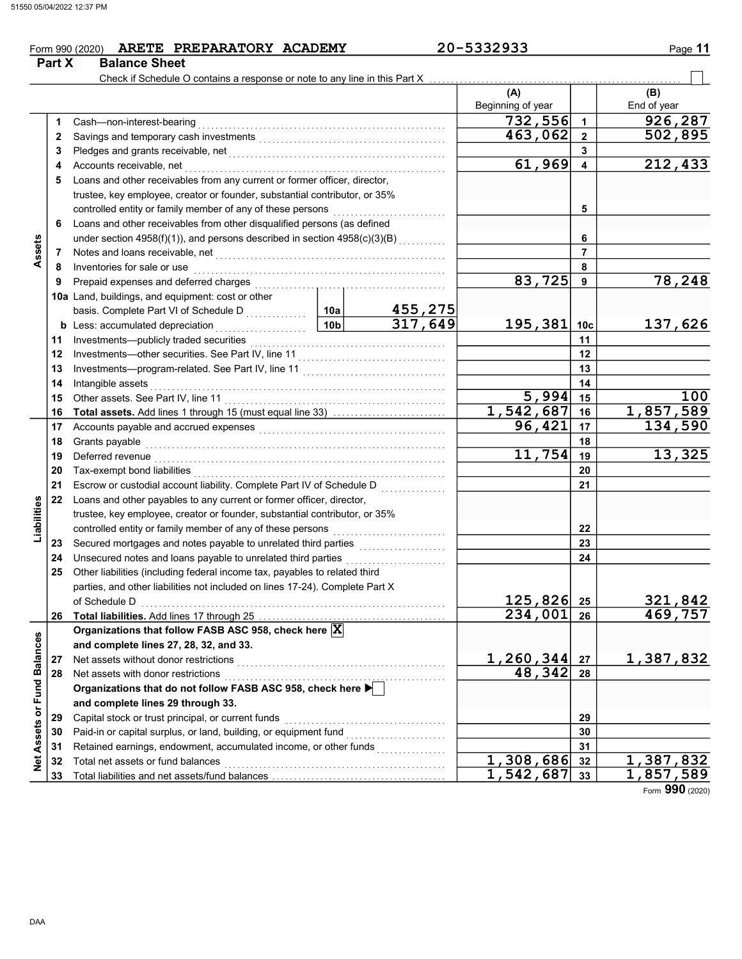**Part X** Balance Sheet

## Form 990 (2020) ARETE PREPARATORY ACADEMY 20-5332933

|                             |    | Check if Schedule O contains a response or note to any line in this Part X                                                                                                                                                          |                 |                                 |                          |                 |                    |
|-----------------------------|----|-------------------------------------------------------------------------------------------------------------------------------------------------------------------------------------------------------------------------------------|-----------------|---------------------------------|--------------------------|-----------------|--------------------|
|                             |    |                                                                                                                                                                                                                                     |                 |                                 | (A)<br>Beginning of year |                 | (B)<br>End of year |
|                             | 1  | Cash-non-interest-bearing                                                                                                                                                                                                           |                 |                                 | 732,556                  | $\mathbf{1}$    | 926,287            |
|                             | 2  |                                                                                                                                                                                                                                     |                 |                                 | 463,062                  | $\overline{2}$  | 502,895            |
|                             | 3  | Pledges and grants receivable, net <b>constructs</b> and a set of the set of the set of the set of the set of the set of the set of the set of the set of the set of the set of the set of the set of the set of the set of the set |                 |                                 |                          | 3               |                    |
|                             | 4  | Accounts receivable, net                                                                                                                                                                                                            | 61,969          | $\overline{\mathbf{4}}$         | 212,433                  |                 |                    |
|                             | 5  | Loans and other receivables from any current or former officer, director,                                                                                                                                                           |                 |                                 |                          |                 |                    |
|                             |    | trustee, key employee, creator or founder, substantial contributor, or 35%                                                                                                                                                          |                 |                                 |                          |                 |                    |
|                             |    | controlled entity or family member of any of these persons                                                                                                                                                                          |                 |                                 |                          | 5               |                    |
|                             | 6  | Loans and other receivables from other disqualified persons (as defined                                                                                                                                                             |                 |                                 |                          |                 |                    |
|                             |    | under section 4958(f)(1)), and persons described in section 4958(c)(3)(B)                                                                                                                                                           |                 |                                 |                          | 6               |                    |
| Assets                      | 7  |                                                                                                                                                                                                                                     |                 |                                 |                          | $\overline{7}$  |                    |
|                             | 8  | Inventories for sale or use                                                                                                                                                                                                         |                 |                                 |                          | 8               |                    |
|                             | 9  | Prepaid expenses and deferred charges                                                                                                                                                                                               |                 |                                 | 83,725                   | 9               | 78,248             |
|                             |    | 10a Land, buildings, and equipment: cost or other                                                                                                                                                                                   |                 |                                 |                          |                 |                    |
|                             |    | basis. Complete Part VI of Schedule D                                                                                                                                                                                               | 10a             |                                 |                          |                 |                    |
|                             | b  | Less: accumulated depreciation<br>.                                                                                                                                                                                                 | 10 <sub>b</sub> | $\frac{455,275}{317,649}$       | 195, 381                 | 10 <sub>c</sub> | 137,626            |
|                             | 11 |                                                                                                                                                                                                                                     |                 |                                 |                          | 11              |                    |
|                             | 12 |                                                                                                                                                                                                                                     |                 |                                 |                          | 12              |                    |
|                             | 13 |                                                                                                                                                                                                                                     |                 |                                 |                          | 13              |                    |
|                             | 14 | Intangible assets                                                                                                                                                                                                                   |                 |                                 |                          | 14              |                    |
|                             | 15 | Other assets. See Part IV, line 11                                                                                                                                                                                                  |                 |                                 | 5,994                    | 15              | 100                |
|                             | 16 |                                                                                                                                                                                                                                     |                 |                                 | 1,542,687                | 16              | 1,857,589          |
|                             | 17 |                                                                                                                                                                                                                                     |                 |                                 | 96,421                   | 17              | 134,590            |
|                             | 18 | Grants payable                                                                                                                                                                                                                      |                 |                                 |                          | 18              |                    |
|                             | 19 | Deferred revenue                                                                                                                                                                                                                    |                 |                                 | 11,754                   | 19              | 13,325             |
|                             | 20 | Tax-exempt bond liabilities                                                                                                                                                                                                         |                 |                                 |                          | 20              |                    |
|                             | 21 | Escrow or custodial account liability. Complete Part IV of Schedule D                                                                                                                                                               |                 | <u> 1999 - Jan Salaman Sala</u> |                          | 21              |                    |
|                             | 22 | Loans and other payables to any current or former officer, director,                                                                                                                                                                |                 |                                 |                          |                 |                    |
| Liabilities                 |    | trustee, key employee, creator or founder, substantial contributor, or 35%                                                                                                                                                          |                 |                                 |                          |                 |                    |
|                             |    | controlled entity or family member of any of these persons                                                                                                                                                                          |                 |                                 |                          | 22              |                    |
|                             | 23 |                                                                                                                                                                                                                                     |                 |                                 |                          | 23              |                    |
|                             | 24 | Unsecured notes and loans payable to unrelated third parties                                                                                                                                                                        |                 | .                               |                          | 24              |                    |
|                             | 25 | Other liabilities (including federal income tax, payables to related third                                                                                                                                                          |                 |                                 |                          |                 |                    |
|                             |    | parties, and other liabilities not included on lines 17-24). Complete Part X                                                                                                                                                        |                 |                                 |                          |                 |                    |
|                             |    |                                                                                                                                                                                                                                     |                 |                                 | $125,826$ 25             |                 | 321,842            |
|                             |    | 26 Total liabilities. Add lines 17 through 25                                                                                                                                                                                       |                 |                                 | $\overline{234,001}$     | 26              | 469,757            |
|                             |    | Organizations that follow FASB ASC 958, check here X                                                                                                                                                                                |                 |                                 |                          |                 |                    |
|                             |    | and complete lines 27, 28, 32, and 33.                                                                                                                                                                                              |                 |                                 |                          |                 |                    |
|                             | 27 | Net assets without donor restrictions                                                                                                                                                                                               |                 |                                 | $1,260,344$ 27           |                 | 1,387,832          |
|                             | 28 | Net assets with donor restrictions                                                                                                                                                                                                  |                 |                                 | 48,342                   | 28              |                    |
|                             |    | Organizations that do not follow FASB ASC 958, check here                                                                                                                                                                           |                 |                                 |                          |                 |                    |
|                             |    | and complete lines 29 through 33.                                                                                                                                                                                                   |                 |                                 |                          |                 |                    |
| Net Assets or Fund Balances | 29 | Capital stock or trust principal, or current funds                                                                                                                                                                                  |                 |                                 |                          | 29              |                    |
|                             | 30 | Paid-in or capital surplus, or land, building, or equipment fund                                                                                                                                                                    |                 |                                 |                          | 30              |                    |
|                             | 31 | Retained earnings, endowment, accumulated income, or other funds                                                                                                                                                                    |                 |                                 |                          | 31              |                    |
|                             | 32 | Total net assets or fund balances                                                                                                                                                                                                   |                 |                                 | 1,308,686                | 32              | 1,387,832          |
|                             | 33 |                                                                                                                                                                                                                                     |                 |                                 | 1,542,687                | 33              | 1,857,589          |

Form 990 (2020)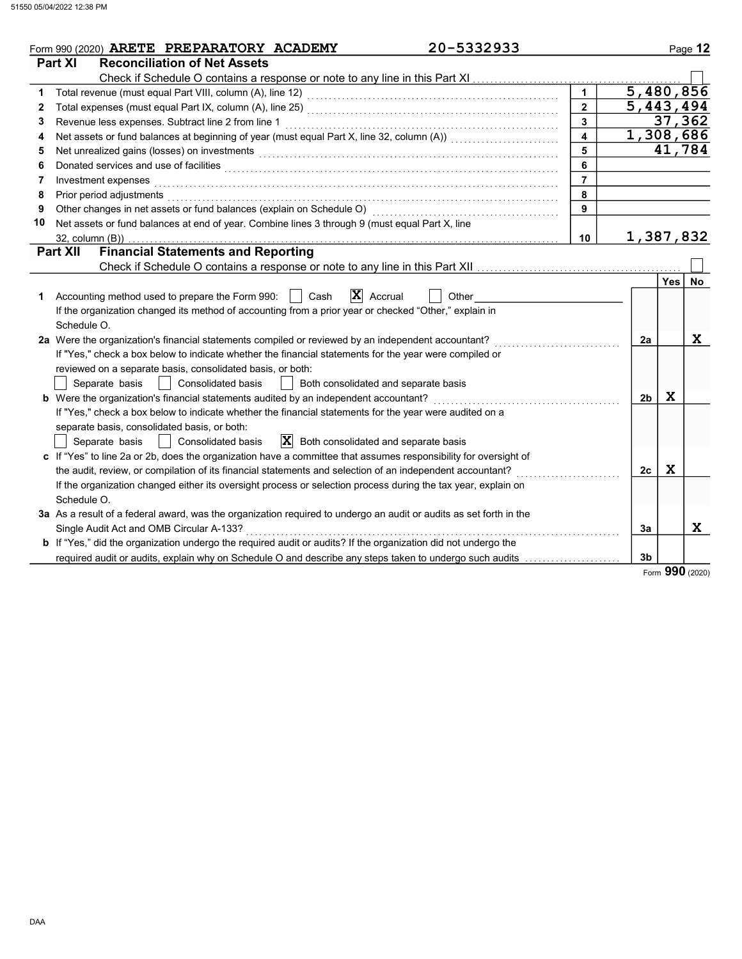| <b>Reconciliation of Net Assets</b><br><b>Part XI</b>                                                                                                                                                                                    |                         |
|------------------------------------------------------------------------------------------------------------------------------------------------------------------------------------------------------------------------------------------|-------------------------|
|                                                                                                                                                                                                                                          |                         |
|                                                                                                                                                                                                                                          |                         |
| 1                                                                                                                                                                                                                                        | 5,480,856               |
| $\overline{2}$<br>$\mathbf{2}$                                                                                                                                                                                                           | 5,443,494               |
| $\overline{3}$<br>Revenue less expenses. Subtract line 2 from line 1<br>3                                                                                                                                                                | 37,362                  |
| $\overline{\mathbf{4}}$<br>4                                                                                                                                                                                                             | 1,308,686               |
| 5<br>Net unrealized gains (losses) on investments<br>5                                                                                                                                                                                   | 41,784                  |
| 6<br>6                                                                                                                                                                                                                                   |                         |
| $\overline{7}$<br>Investment expenses<br>7                                                                                                                                                                                               |                         |
| Prior period adjustments [11, 12] with the contract of the contract of the contract of the contract of the contract of the contract of the contract of the contract of the contract of the contract of the contract of the con<br>8<br>8 |                         |
| Other changes in net assets or fund balances (explain on Schedule O)<br>9<br>9                                                                                                                                                           |                         |
| Net assets or fund balances at end of year. Combine lines 3 through 9 (must equal Part X, line<br>10                                                                                                                                     |                         |
| 10<br>32, column (B))                                                                                                                                                                                                                    | 1,387,832               |
| <b>Financial Statements and Reporting</b><br><b>Part XII</b>                                                                                                                                                                             |                         |
|                                                                                                                                                                                                                                          |                         |
|                                                                                                                                                                                                                                          | <b>Yes</b><br><b>No</b> |
| X<br>Cash<br>Accounting method used to prepare the Form 990:<br>Accrual<br>Other<br>1.                                                                                                                                                   |                         |
| If the organization changed its method of accounting from a prior year or checked "Other," explain in                                                                                                                                    |                         |
| Schedule O.                                                                                                                                                                                                                              |                         |
| 2a Were the organization's financial statements compiled or reviewed by an independent accountant?<br>2a                                                                                                                                 | $\mathbf x$             |
| If "Yes," check a box below to indicate whether the financial statements for the year were compiled or                                                                                                                                   |                         |
| reviewed on a separate basis, consolidated basis, or both:                                                                                                                                                                               |                         |
| Separate basis<br><b>Consolidated basis</b><br>Both consolidated and separate basis                                                                                                                                                      |                         |
| b Were the organization's financial statements audited by an independent accountant?<br>2 <sub>b</sub>                                                                                                                                   | X                       |
| If "Yes," check a box below to indicate whether the financial statements for the year were audited on a                                                                                                                                  |                         |
| separate basis, consolidated basis, or both:                                                                                                                                                                                             |                         |
| $ \mathbf{X} $ Both consolidated and separate basis<br>Consolidated basis<br>Separate basis                                                                                                                                              |                         |
| c If "Yes" to line 2a or 2b, does the organization have a committee that assumes responsibility for oversight of                                                                                                                         |                         |
| the audit, review, or compilation of its financial statements and selection of an independent accountant?<br>2 <sub>c</sub>                                                                                                              | X                       |
| If the organization changed either its oversight process or selection process during the tax year, explain on                                                                                                                            |                         |
| Schedule O.                                                                                                                                                                                                                              |                         |
| 3a As a result of a federal award, was the organization required to undergo an audit or audits as set forth in the                                                                                                                       |                         |
| Single Audit Act and OMB Circular A-133?<br>3a                                                                                                                                                                                           | X                       |
| <b>b</b> If "Yes," did the organization undergo the required audit or audits? If the organization did not undergo the                                                                                                                    |                         |
| required audit or audits, explain why on Schedule O and describe any steps taken to undergo such audits<br>3b                                                                                                                            | ۵۵Λ                     |

Form 990 (2020)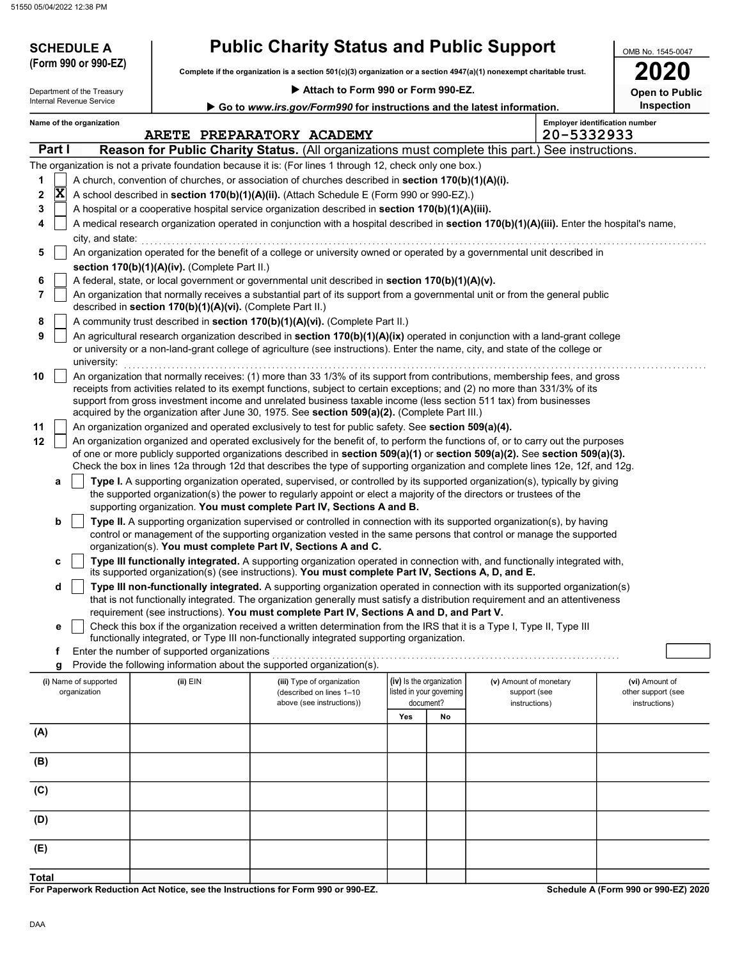51550 05/04/2022 12:38 PM

| <b>SCHEDULE A</b>                     |                                                            | <b>Public Charity Status and Public Support</b>                                                                                                                                                                                                     |                                                      |    |                                        | OMB No. 1545-0047                     |
|---------------------------------------|------------------------------------------------------------|-----------------------------------------------------------------------------------------------------------------------------------------------------------------------------------------------------------------------------------------------------|------------------------------------------------------|----|----------------------------------------|---------------------------------------|
| (Form 990 or 990-EZ)                  |                                                            | Complete if the organization is a section 501(c)(3) organization or a section 4947(a)(1) nonexempt charitable trust.                                                                                                                                |                                                      |    |                                        |                                       |
| Department of the Treasury            |                                                            | Attach to Form 990 or Form 990-EZ.                                                                                                                                                                                                                  | <b>Open to Public</b>                                |    |                                        |                                       |
| Internal Revenue Service              |                                                            | Go to www.irs.gov/Form990 for instructions and the latest information.                                                                                                                                                                              |                                                      |    |                                        | Inspection                            |
| Name of the organization              |                                                            |                                                                                                                                                                                                                                                     |                                                      |    |                                        | <b>Employer identification number</b> |
|                                       |                                                            | ARETE PREPARATORY ACADEMY                                                                                                                                                                                                                           |                                                      |    | 20-5332933                             |                                       |
| Part I                                |                                                            | <b>Reason for Public Charity Status.</b> (All organizations must complete this part.) See instructions.                                                                                                                                             |                                                      |    |                                        |                                       |
|                                       |                                                            | The organization is not a private foundation because it is: (For lines 1 through 12, check only one box.)                                                                                                                                           |                                                      |    |                                        |                                       |
| 1<br>$\mathbf{x}$<br>2                |                                                            | A church, convention of churches, or association of churches described in section 170(b)(1)(A)(i).<br>A school described in section 170(b)(1)(A)(ii). (Attach Schedule E (Form 990 or 990-EZ).)                                                     |                                                      |    |                                        |                                       |
| 3                                     |                                                            | A hospital or a cooperative hospital service organization described in section 170(b)(1)(A)(iii).                                                                                                                                                   |                                                      |    |                                        |                                       |
| 4                                     |                                                            | A medical research organization operated in conjunction with a hospital described in section 170(b)(1)(A)(iii). Enter the hospital's name,                                                                                                          |                                                      |    |                                        |                                       |
| city, and state:                      |                                                            |                                                                                                                                                                                                                                                     |                                                      |    |                                        |                                       |
| 5                                     |                                                            | An organization operated for the benefit of a college or university owned or operated by a governmental unit described in                                                                                                                           |                                                      |    |                                        |                                       |
|                                       | section 170(b)(1)(A)(iv). (Complete Part II.)              |                                                                                                                                                                                                                                                     |                                                      |    |                                        |                                       |
| 6                                     |                                                            | A federal, state, or local government or governmental unit described in section 170(b)(1)(A)(v).                                                                                                                                                    |                                                      |    |                                        |                                       |
| 7                                     | described in section 170(b)(1)(A)(vi). (Complete Part II.) | An organization that normally receives a substantial part of its support from a governmental unit or from the general public                                                                                                                        |                                                      |    |                                        |                                       |
| 8                                     |                                                            | A community trust described in section 170(b)(1)(A)(vi). (Complete Part II.)                                                                                                                                                                        |                                                      |    |                                        |                                       |
| 9                                     |                                                            | An agricultural research organization described in section 170(b)(1)(A)(ix) operated in conjunction with a land-grant college                                                                                                                       |                                                      |    |                                        |                                       |
|                                       |                                                            | or university or a non-land-grant college of agriculture (see instructions). Enter the name, city, and state of the college or                                                                                                                      |                                                      |    |                                        |                                       |
| university:<br>10                     |                                                            | An organization that normally receives: (1) more than 33 1/3% of its support from contributions, membership fees, and gross                                                                                                                         |                                                      |    |                                        |                                       |
|                                       |                                                            | receipts from activities related to its exempt functions, subject to certain exceptions; and (2) no more than 331/3% of its                                                                                                                         |                                                      |    |                                        |                                       |
|                                       |                                                            | support from gross investment income and unrelated business taxable income (less section 511 tax) from businesses                                                                                                                                   |                                                      |    |                                        |                                       |
| 11                                    |                                                            | acquired by the organization after June 30, 1975. See section 509(a)(2). (Complete Part III.)<br>An organization organized and operated exclusively to test for public safety. See section 509(a)(4).                                               |                                                      |    |                                        |                                       |
| 12                                    |                                                            | An organization organized and operated exclusively for the benefit of, to perform the functions of, or to carry out the purposes                                                                                                                    |                                                      |    |                                        |                                       |
|                                       |                                                            | of one or more publicly supported organizations described in section 509(a)(1) or section 509(a)(2). See section 509(a)(3).                                                                                                                         |                                                      |    |                                        |                                       |
|                                       |                                                            | Check the box in lines 12a through 12d that describes the type of supporting organization and complete lines 12e, 12f, and 12g.                                                                                                                     |                                                      |    |                                        |                                       |
| a                                     |                                                            | Type I. A supporting organization operated, supervised, or controlled by its supported organization(s), typically by giving<br>the supported organization(s) the power to regularly appoint or elect a majority of the directors or trustees of the |                                                      |    |                                        |                                       |
|                                       |                                                            | supporting organization. You must complete Part IV, Sections A and B.                                                                                                                                                                               |                                                      |    |                                        |                                       |
| b                                     |                                                            | Type II. A supporting organization supervised or controlled in connection with its supported organization(s), by having                                                                                                                             |                                                      |    |                                        |                                       |
|                                       |                                                            | control or management of the supporting organization vested in the same persons that control or manage the supported                                                                                                                                |                                                      |    |                                        |                                       |
|                                       |                                                            | organization(s). You must complete Part IV, Sections A and C.<br>Type III functionally integrated. A supporting organization operated in connection with, and functionally integrated with,                                                         |                                                      |    |                                        |                                       |
| c                                     |                                                            | its supported organization(s) (see instructions). You must complete Part IV, Sections A, D, and E.                                                                                                                                                  |                                                      |    |                                        |                                       |
| d                                     |                                                            | Type III non-functionally integrated. A supporting organization operated in connection with its supported organization(s)                                                                                                                           |                                                      |    |                                        |                                       |
|                                       |                                                            | that is not functionally integrated. The organization generally must satisfy a distribution requirement and an attentiveness<br>requirement (see instructions). You must complete Part IV, Sections A and D, and Part V.                            |                                                      |    |                                        |                                       |
| е                                     |                                                            | Check this box if the organization received a written determination from the IRS that it is a Type I, Type II, Type III                                                                                                                             |                                                      |    |                                        |                                       |
|                                       |                                                            | functionally integrated, or Type III non-functionally integrated supporting organization.                                                                                                                                                           |                                                      |    |                                        |                                       |
| f                                     | Enter the number of supported organizations                |                                                                                                                                                                                                                                                     |                                                      |    |                                        |                                       |
| g                                     |                                                            | Provide the following information about the supported organization(s).                                                                                                                                                                              |                                                      |    |                                        |                                       |
| (i) Name of supported<br>organization | $(ii)$ EIN                                                 | (iii) Type of organization<br>(described on lines 1-10                                                                                                                                                                                              | (iv) Is the organization<br>listed in your governing |    | (v) Amount of monetary<br>support (see | (vi) Amount of<br>other support (see  |
|                                       |                                                            | above (see instructions))                                                                                                                                                                                                                           | document?                                            |    | instructions)                          | instructions)                         |
|                                       |                                                            |                                                                                                                                                                                                                                                     | Yes                                                  | No |                                        |                                       |
| (A)                                   |                                                            |                                                                                                                                                                                                                                                     |                                                      |    |                                        |                                       |
| (B)                                   |                                                            |                                                                                                                                                                                                                                                     |                                                      |    |                                        |                                       |
|                                       |                                                            |                                                                                                                                                                                                                                                     |                                                      |    |                                        |                                       |
| (C)                                   |                                                            |                                                                                                                                                                                                                                                     |                                                      |    |                                        |                                       |
|                                       |                                                            |                                                                                                                                                                                                                                                     |                                                      |    |                                        |                                       |
| (D)                                   |                                                            |                                                                                                                                                                                                                                                     |                                                      |    |                                        |                                       |
|                                       |                                                            |                                                                                                                                                                                                                                                     |                                                      |    |                                        |                                       |
| (E)                                   |                                                            |                                                                                                                                                                                                                                                     |                                                      |    |                                        |                                       |
| Total                                 |                                                            |                                                                                                                                                                                                                                                     |                                                      |    |                                        |                                       |

For Paperwork Reduction Act Notice, see the Instructions for Form 990 or 990-EZ.

Schedule A (Form 990 or 990-EZ) 2020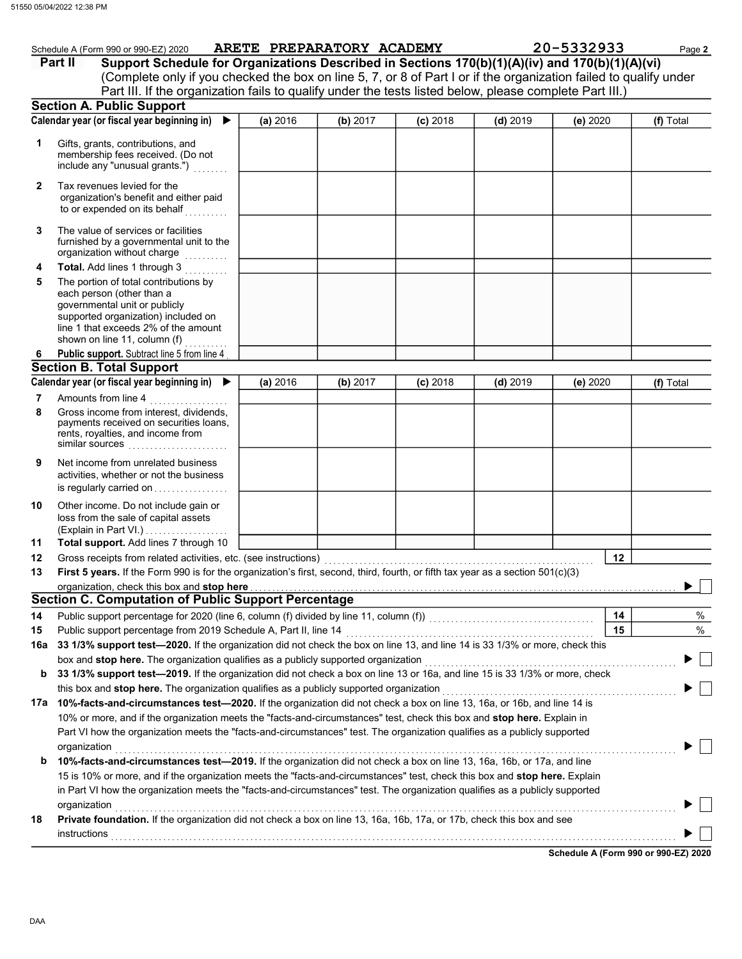|              | Schedule A (Form 990 or 990-EZ) 2020<br>Support Schedule for Organizations Described in Sections 170(b)(1)(A)(iv) and 170(b)(1)(A)(vi)<br>Part II<br>(Complete only if you checked the box on line 5, 7, or 8 of Part I or if the organization failed to qualify under |          | <b>ARETE PREPARATORY ACADEMY</b> |            |            | 20-5332933 | Page 2    |
|--------------|------------------------------------------------------------------------------------------------------------------------------------------------------------------------------------------------------------------------------------------------------------------------|----------|----------------------------------|------------|------------|------------|-----------|
|              | Part III. If the organization fails to qualify under the tests listed below, please complete Part III.)                                                                                                                                                                |          |                                  |            |            |            |           |
|              | <b>Section A. Public Support</b>                                                                                                                                                                                                                                       |          |                                  |            |            |            |           |
|              | Calendar year (or fiscal year beginning in) $\blacktriangleright$                                                                                                                                                                                                      | (a) 2016 | (b) 2017                         | $(c)$ 2018 | $(d)$ 2019 | (e) 2020   | (f) Total |
| 1            | Gifts, grants, contributions, and<br>membership fees received. (Do not<br>include any "unusual grants.")                                                                                                                                                               |          |                                  |            |            |            |           |
| $\mathbf{2}$ | Tax revenues levied for the<br>organization's benefit and either paid<br>to or expended on its behalf                                                                                                                                                                  |          |                                  |            |            |            |           |
| 3            | The value of services or facilities<br>furnished by a governmental unit to the<br>organization without charge                                                                                                                                                          |          |                                  |            |            |            |           |
| 4            | Total. Add lines 1 through 3                                                                                                                                                                                                                                           |          |                                  |            |            |            |           |
| 5            | The portion of total contributions by<br>each person (other than a<br>governmental unit or publicly<br>supported organization) included on<br>line 1 that exceeds 2% of the amount<br>shown on line 11, column (f)<br>.                                                |          |                                  |            |            |            |           |
| 6            | Public support. Subtract line 5 from line 4                                                                                                                                                                                                                            |          |                                  |            |            |            |           |
|              | <b>Section B. Total Support</b><br>Calendar year (or fiscal year beginning in)                                                                                                                                                                                         |          |                                  |            |            |            |           |
|              |                                                                                                                                                                                                                                                                        | (a) 2016 | (b) 2017                         | $(c)$ 2018 | $(d)$ 2019 | (e) 2020   | (f) Total |
| 7<br>8       | Amounts from line 4<br>Gross income from interest, dividends,<br>payments received on securities loans,<br>rents, royalties, and income from<br>similar sources                                                                                                        |          |                                  |            |            |            |           |
| 9            | Net income from unrelated business<br>activities, whether or not the business<br>is regularly carried on                                                                                                                                                               |          |                                  |            |            |            |           |
| 10           | Other income. Do not include gain or<br>loss from the sale of capital assets<br>(Explain in Part VI.)                                                                                                                                                                  |          |                                  |            |            |            |           |
| 11           | Total support. Add lines 7 through 10                                                                                                                                                                                                                                  |          |                                  |            |            |            |           |
| 12           |                                                                                                                                                                                                                                                                        |          |                                  |            |            | 12         |           |
| 13           | First 5 years. If the Form 990 is for the organization's first, second, third, fourth, or fifth tax year as a section 501(c)(3)                                                                                                                                        |          |                                  |            |            |            |           |
|              | organization, check this box and stop here with the content of the content of the content of the content of the content of the content of the content of the content of the content of the content of the content of the conte                                         |          |                                  |            |            |            |           |
|              | <b>Section C. Computation of Public Support Percentage</b>                                                                                                                                                                                                             |          |                                  |            |            |            |           |
| 14           |                                                                                                                                                                                                                                                                        |          |                                  |            |            | 14         | %         |
| 15           | Public support percentage from 2019 Schedule A, Part II, line 14                                                                                                                                                                                                       |          |                                  |            |            | 15         | %         |
| 16a          | 33 1/3% support test-2020. If the organization did not check the box on line 13, and line 14 is 33 1/3% or more, check this                                                                                                                                            |          |                                  |            |            |            |           |
|              | box and stop here. The organization qualifies as a publicly supported organization<br>33 1/3% support test-2019. If the organization did not check a box on line 13 or 16a, and line 15 is 33 1/3% or more, check                                                      |          |                                  |            |            |            |           |
| b            |                                                                                                                                                                                                                                                                        |          |                                  |            |            |            |           |
|              | this box and stop here. The organization qualifies as a publicly supported organization<br>17a 10%-facts-and-circumstances test-2020. If the organization did not check a box on line 13, 16a, or 16b, and line 14 is                                                  |          |                                  |            |            |            |           |
|              | 10% or more, and if the organization meets the "facts-and-circumstances" test, check this box and stop here. Explain in                                                                                                                                                |          |                                  |            |            |            |           |
|              | Part VI how the organization meets the "facts-and-circumstances" test. The organization qualifies as a publicly supported                                                                                                                                              |          |                                  |            |            |            |           |
|              | organization                                                                                                                                                                                                                                                           |          |                                  |            |            |            |           |
| b            | 10%-facts-and-circumstances test-2019. If the organization did not check a box on line 13, 16a, 16b, or 17a, and line                                                                                                                                                  |          |                                  |            |            |            |           |
|              | 15 is 10% or more, and if the organization meets the "facts-and-circumstances" test, check this box and stop here. Explain                                                                                                                                             |          |                                  |            |            |            |           |
|              | in Part VI how the organization meets the "facts-and-circumstances" test. The organization qualifies as a publicly supported                                                                                                                                           |          |                                  |            |            |            |           |
|              | organization                                                                                                                                                                                                                                                           |          |                                  |            |            |            |           |
| 18           | Private foundation. If the organization did not check a box on line 13, 16a, 16b, 17a, or 17b, check this box and see<br><b>instructions</b>                                                                                                                           |          |                                  |            |            |            |           |

Schedule A (Form 990 or 990-EZ) 2020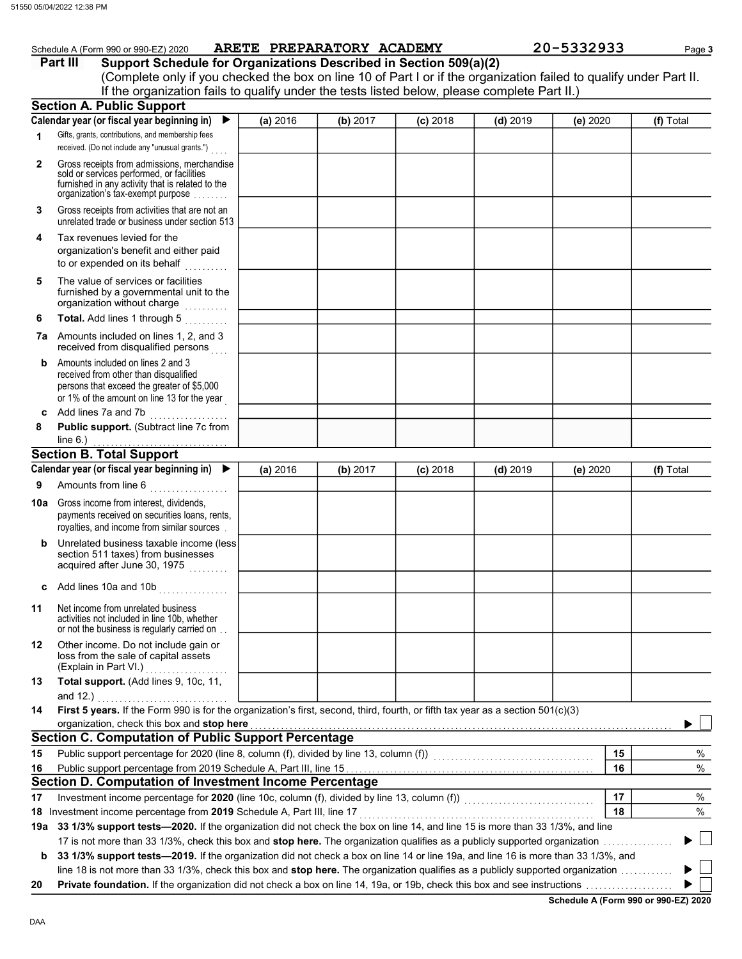|              |                     | Schedule A (Form 990 or 990-EZ) 2020                                                                                                                                                         |          | ARETE PREPARATORY ACADEMY |            |            | 20-5332933 |    | Page 3    |
|--------------|---------------------|----------------------------------------------------------------------------------------------------------------------------------------------------------------------------------------------|----------|---------------------------|------------|------------|------------|----|-----------|
|              | Part III            | Support Schedule for Organizations Described in Section 509(a)(2)<br>(Complete only if you checked the box on line 10 of Part I or if the organization failed to qualify under Part II.      |          |                           |            |            |            |    |           |
|              |                     | If the organization fails to qualify under the tests listed below, please complete Part II.)                                                                                                 |          |                           |            |            |            |    |           |
|              |                     | <b>Section A. Public Support</b>                                                                                                                                                             |          |                           |            |            |            |    |           |
|              |                     | Calendar year (or fiscal year beginning in)<br>▶                                                                                                                                             | (a) 2016 | (b) 2017                  | $(c)$ 2018 | $(d)$ 2019 | (e) 2020   |    | (f) Total |
| 1            |                     | Gifts, grants, contributions, and membership fees<br>received. (Do not include any "unusual grants.")                                                                                        |          |                           |            |            |            |    |           |
| $\mathbf{2}$ |                     | Gross receipts from admissions, merchandise<br>sold or services performed, or facilities<br>furnished in any activity that is related to the<br>organization's tax-exempt purpose            |          |                           |            |            |            |    |           |
| 3            |                     | Gross receipts from activities that are not an<br>unrelated trade or business under section 513                                                                                              |          |                           |            |            |            |    |           |
| 4            |                     | Tax revenues levied for the<br>organization's benefit and either paid<br>to or expended on its behalf<br>in de la cala                                                                       |          |                           |            |            |            |    |           |
| 5            |                     | The value of services or facilities<br>furnished by a governmental unit to the<br>organization without charge                                                                                |          |                           |            |            |            |    |           |
| 6            |                     | Total. Add lines 1 through 5                                                                                                                                                                 |          |                           |            |            |            |    |           |
|              |                     | 7a Amounts included on lines 1, 2, and 3<br>received from disqualified persons                                                                                                               |          |                           |            |            |            |    |           |
| b            |                     | Amounts included on lines 2 and 3<br>received from other than disqualified<br>persons that exceed the greater of \$5,000<br>or 1% of the amount on line 13 for the year                      |          |                           |            |            |            |    |           |
| c            | Add lines 7a and 7b | .                                                                                                                                                                                            |          |                           |            |            |            |    |           |
| 8            |                     | Public support. (Subtract line 7c from                                                                                                                                                       |          |                           |            |            |            |    |           |
|              | line $6.$ )         |                                                                                                                                                                                              |          |                           |            |            |            |    |           |
|              |                     | <b>Section B. Total Support</b>                                                                                                                                                              |          |                           |            |            |            |    |           |
|              |                     | Calendar year (or fiscal year beginning in) ▶                                                                                                                                                | (a) 2016 | (b) 2017                  | $(c)$ 2018 | $(d)$ 2019 | (e) 2020   |    | (f) Total |
| 9            | Amounts from line 6 | . <b>.</b> .                                                                                                                                                                                 |          |                           |            |            |            |    |           |
|              |                     | <b>10a</b> Gross income from interest, dividends,<br>payments received on securities loans, rents,<br>royalties, and income from similar sources                                             |          |                           |            |            |            |    |           |
|              |                     | <b>b</b> Unrelated business taxable income (less<br>section 511 taxes) from businesses<br>acquired after June 30, 1975                                                                       |          |                           |            |            |            |    |           |
| C            |                     | Add lines 10a and 10b                                                                                                                                                                        |          |                           |            |            |            |    |           |
| 11           |                     | Net income from unrelated business<br>activities not included in line 10b, whether<br>or not the business is regularly carried on                                                            |          |                           |            |            |            |    |           |
| 12           |                     | Other income. Do not include gain or<br>loss from the sale of capital assets<br>(Explain in Part VI.)                                                                                        |          |                           |            |            |            |    |           |
| 13           |                     | Total support. (Add lines 9, 10c, 11,<br>and 12.) $\ldots$                                                                                                                                   |          |                           |            |            |            |    |           |
| 14           |                     | First 5 years. If the Form 990 is for the organization's first, second, third, fourth, or fifth tax year as a section 501(c)(3)                                                              |          |                           |            |            |            |    |           |
|              |                     | organization, check this box and stop here                                                                                                                                                   |          |                           |            |            |            |    |           |
|              |                     | <b>Section C. Computation of Public Support Percentage</b>                                                                                                                                   |          |                           |            |            |            |    |           |
| 15           |                     | Public support percentage for 2020 (line 8, column (f), divided by line 13, column (f))<br>Public support percentage for 2020 (line 8, column (f), divided by line 13, column (f))           |          |                           |            |            |            | 15 | %         |
| 16           |                     |                                                                                                                                                                                              |          |                           |            |            |            | 16 | %         |
|              |                     | Section D. Computation of Investment Income Percentage                                                                                                                                       |          |                           |            |            |            |    |           |
| 17           |                     | Investment income percentage for 2020 (line 10c, column (f), divided by line 13, column (f))<br>Investment income percentage for 2020 (line 10c, column (f), divided by line 13, column (f)) |          |                           |            |            |            | 17 | %         |
|              |                     | 18 Investment income percentage from 2019 Schedule A, Part III, line 17                                                                                                                      |          |                           |            |            |            | 18 | $\%$      |

b 33 1/3% support tests-2019. If the organization did not check a box on line 14 or line 19a, and line 16 is more than 33 1/3%, and line 18 is not more than 33 1/3%, check this box and stop here. The organization qualifies as a publicly supported organization ............

20 Private foundation. If the organization did not check a box on line 14, 19a, or 19b, check this box and see instructions . . . . . . . . . . . . . . . . . . . .

Schedule A (Form 990 or 990-EZ) 2020

 $\blacktriangleright$  $\blacktriangleright$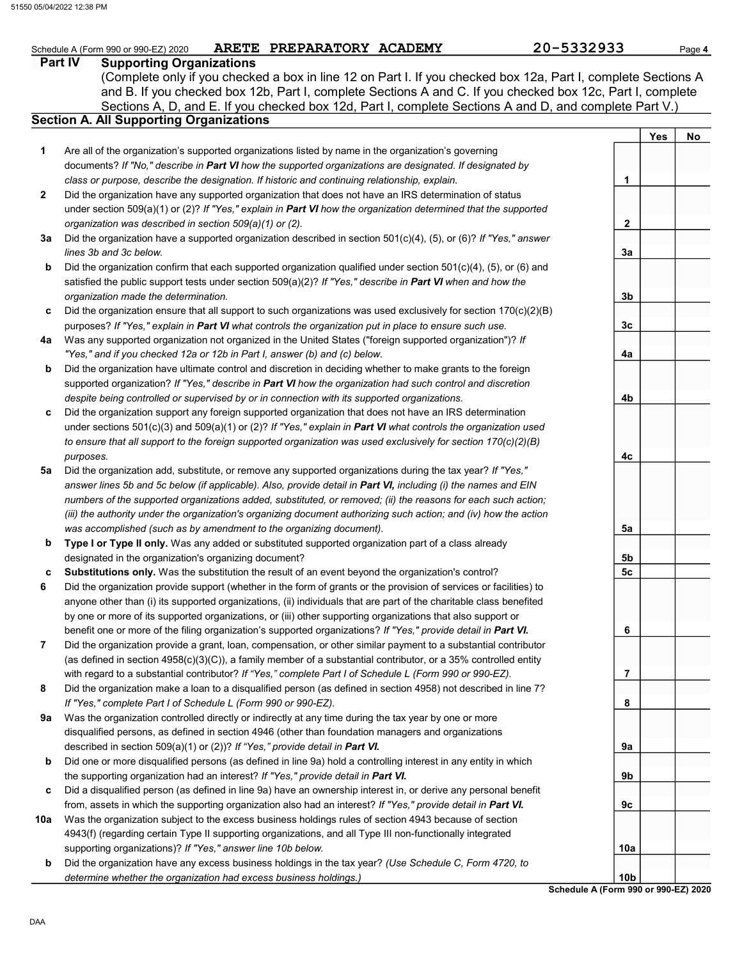|     | ARETE PREPARATORY ACADEMY<br>Schedule A (Form 990 or 990-EZ) 2020                                                                                                                                                               | 20-5332933      |     | Page 4 |
|-----|---------------------------------------------------------------------------------------------------------------------------------------------------------------------------------------------------------------------------------|-----------------|-----|--------|
|     | <b>Supporting Organizations</b><br>Part IV                                                                                                                                                                                      |                 |     |        |
|     | (Complete only if you checked a box in line 12 on Part I. If you checked box 12a, Part I, complete Sections A                                                                                                                   |                 |     |        |
|     | and B. If you checked box 12b, Part I, complete Sections A and C. If you checked box 12c, Part I, complete                                                                                                                      |                 |     |        |
|     | Sections A, D, and E. If you checked box 12d, Part I, complete Sections A and D, and complete Part V.)                                                                                                                          |                 |     |        |
|     | <b>Section A. All Supporting Organizations</b>                                                                                                                                                                                  |                 |     |        |
|     |                                                                                                                                                                                                                                 |                 | Yes | No     |
| 1   | Are all of the organization's supported organizations listed by name in the organization's governing                                                                                                                            |                 |     |        |
|     | documents? If "No," describe in Part VI how the supported organizations are designated. If designated by                                                                                                                        |                 |     |        |
|     | class or purpose, describe the designation. If historic and continuing relationship, explain.                                                                                                                                   | 1               |     |        |
| 2   | Did the organization have any supported organization that does not have an IRS determination of status                                                                                                                          |                 |     |        |
|     | under section 509(a)(1) or (2)? If "Yes," explain in Part VI how the organization determined that the supported                                                                                                                 |                 |     |        |
|     | organization was described in section 509(a)(1) or (2).                                                                                                                                                                         | $\mathbf 2$     |     |        |
| За  | Did the organization have a supported organization described in section 501(c)(4), (5), or (6)? If "Yes," answer                                                                                                                |                 |     |        |
|     | lines 3b and 3c below.                                                                                                                                                                                                          | За              |     |        |
| b   | Did the organization confirm that each supported organization qualified under section 501(c)(4), (5), or (6) and                                                                                                                |                 |     |        |
|     | satisfied the public support tests under section $509(a)(2)$ ? If "Yes," describe in Part VI when and how the                                                                                                                   |                 |     |        |
|     | organization made the determination.                                                                                                                                                                                            | 3b              |     |        |
| c   | Did the organization ensure that all support to such organizations was used exclusively for section 170(c)(2)(B)                                                                                                                |                 |     |        |
|     | purposes? If "Yes," explain in Part VI what controls the organization put in place to ensure such use.                                                                                                                          | 3c              |     |        |
| 4a  | Was any supported organization not organized in the United States ("foreign supported organization")? If                                                                                                                        |                 |     |        |
|     | "Yes," and if you checked 12a or 12b in Part I, answer (b) and (c) below.                                                                                                                                                       | 4a              |     |        |
| b   | Did the organization have ultimate control and discretion in deciding whether to make grants to the foreign                                                                                                                     |                 |     |        |
|     | supported organization? If "Yes," describe in Part VI how the organization had such control and discretion                                                                                                                      |                 |     |        |
|     | despite being controlled or supervised by or in connection with its supported organizations.                                                                                                                                    | 4b              |     |        |
| c   | Did the organization support any foreign supported organization that does not have an IRS determination                                                                                                                         |                 |     |        |
|     | under sections $501(c)(3)$ and $509(a)(1)$ or (2)? If "Yes," explain in Part VI what controls the organization used                                                                                                             |                 |     |        |
|     | to ensure that all support to the foreign supported organization was used exclusively for section $170(c)(2)(B)$                                                                                                                |                 |     |        |
|     | purposes.                                                                                                                                                                                                                       | 4с              |     |        |
| 5a  | Did the organization add, substitute, or remove any supported organizations during the tax year? If "Yes,"                                                                                                                      |                 |     |        |
|     | answer lines 5b and 5c below (if applicable). Also, provide detail in Part VI, including (i) the names and EIN<br>numbers of the supported organizations added, substituted, or removed; (ii) the reasons for each such action; |                 |     |        |
|     | (iii) the authority under the organization's organizing document authorizing such action; and (iv) how the action                                                                                                               |                 |     |        |
|     | was accomplished (such as by amendment to the organizing document).                                                                                                                                                             | 5a              |     |        |
| b   | Type I or Type II only. Was any added or substituted supported organization part of a class already                                                                                                                             |                 |     |        |
|     | designated in the organization's organizing document?                                                                                                                                                                           | 5b              |     |        |
| c   | Substitutions only. Was the substitution the result of an event beyond the organization's control?                                                                                                                              | 5c              |     |        |
| 6   | Did the organization provide support (whether in the form of grants or the provision of services or facilities) to                                                                                                              |                 |     |        |
|     | anyone other than (i) its supported organizations, (ii) individuals that are part of the charitable class benefited                                                                                                             |                 |     |        |
|     | by one or more of its supported organizations, or (iii) other supporting organizations that also support or                                                                                                                     |                 |     |        |
|     | benefit one or more of the filing organization's supported organizations? If "Yes," provide detail in Part VI.                                                                                                                  | 6               |     |        |
| 7   | Did the organization provide a grant, loan, compensation, or other similar payment to a substantial contributor                                                                                                                 |                 |     |        |
|     | (as defined in section $4958(c)(3)(C)$ ), a family member of a substantial contributor, or a 35% controlled entity                                                                                                              |                 |     |        |
|     | with regard to a substantial contributor? If "Yes," complete Part I of Schedule L (Form 990 or 990-EZ).                                                                                                                         | 7               |     |        |
| 8   | Did the organization make a loan to a disqualified person (as defined in section 4958) not described in line 7?                                                                                                                 |                 |     |        |
|     | If "Yes," complete Part I of Schedule L (Form 990 or 990-EZ).                                                                                                                                                                   | 8               |     |        |
| 9а  | Was the organization controlled directly or indirectly at any time during the tax year by one or more                                                                                                                           |                 |     |        |
|     | disqualified persons, as defined in section 4946 (other than foundation managers and organizations                                                                                                                              |                 |     |        |
|     | described in section 509(a)(1) or (2))? If "Yes," provide detail in Part VI.                                                                                                                                                    | 9а              |     |        |
| b   | Did one or more disqualified persons (as defined in line 9a) hold a controlling interest in any entity in which                                                                                                                 |                 |     |        |
|     | the supporting organization had an interest? If "Yes," provide detail in Part VI.                                                                                                                                               | 9b              |     |        |
| c   | Did a disqualified person (as defined in line 9a) have an ownership interest in, or derive any personal benefit                                                                                                                 |                 |     |        |
|     | from, assets in which the supporting organization also had an interest? If "Yes," provide detail in Part VI.                                                                                                                    | 9c              |     |        |
| 10a | Was the organization subject to the excess business holdings rules of section 4943 because of section                                                                                                                           |                 |     |        |
|     | 4943(f) (regarding certain Type II supporting organizations, and all Type III non-functionally integrated                                                                                                                       |                 |     |        |
|     | supporting organizations)? If "Yes," answer line 10b below.                                                                                                                                                                     | 10a             |     |        |
| b   | Did the organization have any excess business holdings in the tax year? (Use Schedule C, Form 4720, to                                                                                                                          |                 |     |        |
|     | determine whether the organization had excess business holdings.)                                                                                                                                                               | 10 <sub>b</sub> |     |        |

Schedule A (Form 990 or 990-EZ) 2020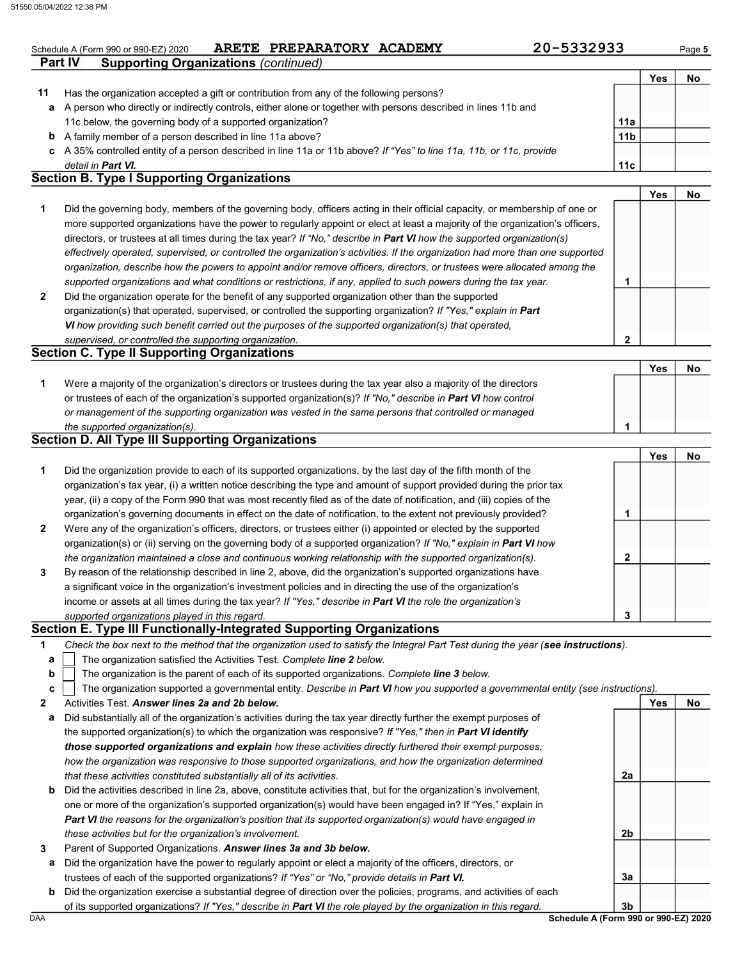### Part IV Supporting Organizations (continued) Schedule A (Form 990 or 990-EZ) 2020 ARETE PREPARATORY ACADEMY  $20-5332933$  Page 5

|    |                                                                                                                      |                 | Yes | No |  |  |  |  |
|----|----------------------------------------------------------------------------------------------------------------------|-----------------|-----|----|--|--|--|--|
| 11 | Has the organization accepted a gift or contribution from any of the following persons?                              |                 |     |    |  |  |  |  |
|    | a A person who directly or indirectly controls, either alone or together with persons described in lines 11b and     |                 |     |    |  |  |  |  |
|    | 11c below, the governing body of a supported organization?                                                           | 11a             |     |    |  |  |  |  |
|    | <b>b</b> A family member of a person described in line 11a above?                                                    | 11 <sub>b</sub> |     |    |  |  |  |  |
|    | c A 35% controlled entity of a person described in line 11a or 11b above? If "Yes" to line 11a, 11b, or 11c, provide |                 |     |    |  |  |  |  |
|    | detail in <b>Part VI.</b>                                                                                            | 11c             |     |    |  |  |  |  |
|    | Section B Tyne I Supporting Organizations                                                                            |                 |     |    |  |  |  |  |

### <u>tion B. Type I Supporting Organization</u>

|                |                                                                                                                                | Yes | No |
|----------------|--------------------------------------------------------------------------------------------------------------------------------|-----|----|
|                | Did the governing body, members of the governing body, officers acting in their official capacity, or membership of one or     |     |    |
|                | more supported organizations have the power to regularly appoint or elect at least a majority of the organization's officers,  |     |    |
|                | directors, or trustees at all times during the tax year? If "No," describe in Part VI how the supported organization(s)        |     |    |
|                | effectively operated, supervised, or controlled the organization's activities. If the organization had more than one supported |     |    |
|                | organization, describe how the powers to appoint and/or remove officers, directors, or trustees were allocated among the       |     |    |
|                | supported organizations and what conditions or restrictions, if any, applied to such powers during the tax year.               |     |    |
| $\overline{2}$ | Did the organization operate for the benefit of any supported organization other than the supported                            |     |    |
|                | organization(s) that operated, supervised, or controlled the supporting organization? If "Yes," explain in Part                |     |    |

VI how providing such benefit carried out the purposes of the supported organization(s) that operated,

#### supervised, or controlled the supporting organization. Section C. Type II Supporting Organizations

|                                                                                                                  |  | <b>N</b> c |
|------------------------------------------------------------------------------------------------------------------|--|------------|
| Were a majority of the organization's directors or trustees during the tax year also a majority of the directors |  |            |
| or trustees of each of the organization's supported organization(s)? If "No," describe in Part VI how control    |  |            |
| or management of the supporting organization was vested in the same persons that controlled or managed           |  |            |
| the supported organization(s).                                                                                   |  |            |

#### Section D. All Type III Supporting Organizations

|                |                                                                                                                        |   | Yes | No |
|----------------|------------------------------------------------------------------------------------------------------------------------|---|-----|----|
| 1              | Did the organization provide to each of its supported organizations, by the last day of the fifth month of the         |   |     |    |
|                | organization's tax year, (i) a written notice describing the type and amount of support provided during the prior tax  |   |     |    |
|                | year, (ii) a copy of the Form 990 that was most recently filed as of the date of notification, and (iii) copies of the |   |     |    |
|                | organization's governing documents in effect on the date of notification, to the extent not previously provided?       |   |     |    |
| $\overline{2}$ | Were any of the organization's officers, directors, or trustees either (i) appointed or elected by the supported       |   |     |    |
|                | organization(s) or (ii) serving on the governing body of a supported organization? If "No," explain in Part VI how     |   |     |    |
|                | the organization maintained a close and continuous working relationship with the supported organization(s).            | 2 |     |    |
| 3              | By reason of the relationship described in line 2, above, did the organization's supported organizations have          |   |     |    |
|                | a significant voice in the organization's investment policies and in directing the use of the organization's           |   |     |    |
|                | income or assets at all times during the tax year? If "Yes," describe in Part VI the role the organization's           |   |     |    |
|                | supported organizations played in this regard.                                                                         | ີ |     |    |

#### Section E. Type III Functionally-Integrated Supporting Organizations

| Check the box next to the method that the organization used to satisfy the Integral Part Test during the year (see instructions). |  |
|-----------------------------------------------------------------------------------------------------------------------------------|--|

- The organization satisfied the Activities Test. Complete line 2 below. a
- The organization is the parent of each of its supported organizations. Complete line 3 below. b

|  |  | c $\ \cdot\ $ The organization supported a governmental entity. Describe in Part VI how you supported a governmental entity (see instructions). |  |  |  |
|--|--|-------------------------------------------------------------------------------------------------------------------------------------------------|--|--|--|
|--|--|-------------------------------------------------------------------------------------------------------------------------------------------------|--|--|--|

- 2 Activities Test. Answer lines 2a and 2b below.
- a Did substantially all of the organization's activities during the tax year directly further the exempt purposes of the supported organization(s) to which the organization was responsive? If "Yes," then in Part VI identify those supported organizations and explain how these activities directly furthered their exempt purposes, how the organization was responsive to those supported organizations, and how the organization determined that these activities constituted substantially all of its activities.
- b Did the activities described in line 2a, above, constitute activities that, but for the organization's involvement, one or more of the organization's supported organization(s) would have been engaged in? If "Yes," explain in Part VI the reasons for the organization's position that its supported organization(s) would have engaged in these activities but for the organization's involvement.
- 3 Parent of Supported Organizations. Answer lines 3a and 3b below.
	- a Did the organization have the power to regularly appoint or elect a majority of the officers, directors, or trustees of each of the supported organizations? If "Yes" or "No," provide details in Part VI.
	- b Did the organization exercise a substantial degree of direction over the policies, programs, and activities of each of its supported organizations? If "Yes," describe in Part VI the role played by the organization in this regard.

Yes No 2a 2b 3a 3b

DAA Schedule A (Form 990 or 990-EZ) 2020

2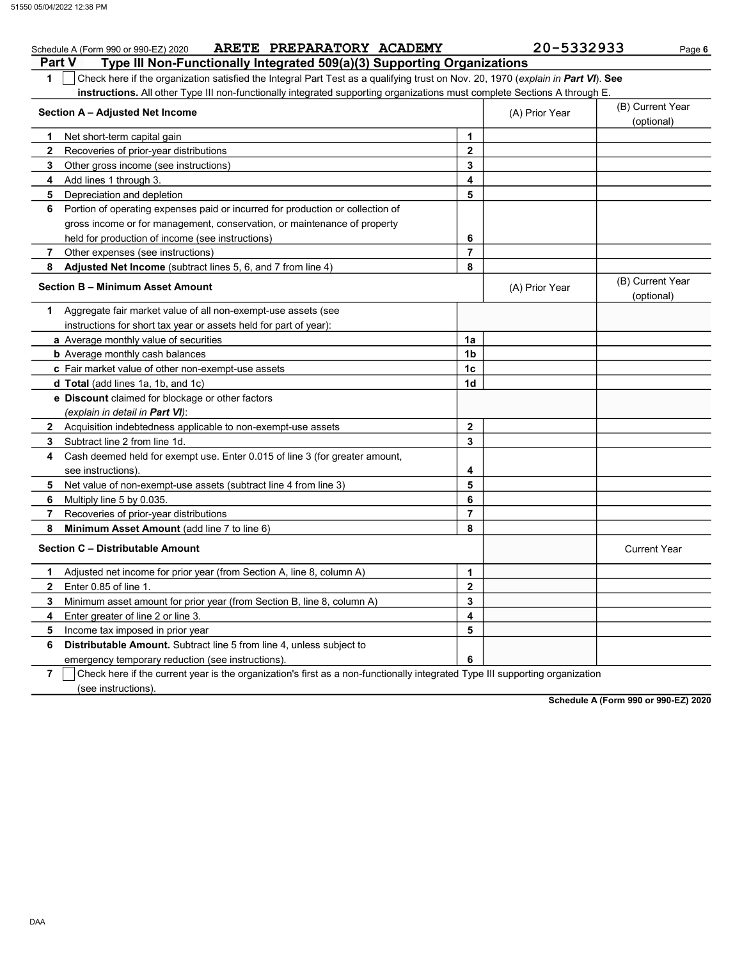|               | ARETE PREPARATORY ACADEMY<br>Schedule A (Form 990 or 990-EZ) 2020                                                                |                  | 20-5332933     | Page 6                         |
|---------------|----------------------------------------------------------------------------------------------------------------------------------|------------------|----------------|--------------------------------|
| <b>Part V</b> | Type III Non-Functionally Integrated 509(a)(3) Supporting Organizations                                                          |                  |                |                                |
| 1             | Check here if the organization satisfied the Integral Part Test as a qualifying trust on Nov. 20, 1970 (explain in Part VI). See |                  |                |                                |
|               | instructions. All other Type III non-functionally integrated supporting organizations must complete Sections A through E.        |                  |                |                                |
|               | Section A - Adjusted Net Income                                                                                                  |                  | (A) Prior Year | (B) Current Year               |
|               |                                                                                                                                  |                  |                | (optional)                     |
| 1             | Net short-term capital gain                                                                                                      | 1                |                |                                |
| $\mathbf{2}$  | Recoveries of prior-year distributions                                                                                           | $\mathbf{2}$     |                |                                |
| 3             | Other gross income (see instructions)                                                                                            | 3                |                |                                |
| 4             | Add lines 1 through 3.                                                                                                           | 4                |                |                                |
| 5             | Depreciation and depletion                                                                                                       | 5                |                |                                |
| 6             | Portion of operating expenses paid or incurred for production or collection of                                                   |                  |                |                                |
|               | gross income or for management, conservation, or maintenance of property                                                         |                  |                |                                |
|               | held for production of income (see instructions)                                                                                 | 6                |                |                                |
| 7             | Other expenses (see instructions)                                                                                                | $\overline{7}$   |                |                                |
| 8             | Adjusted Net Income (subtract lines 5, 6, and 7 from line 4)                                                                     | 8                |                |                                |
|               | Section B – Minimum Asset Amount                                                                                                 |                  | (A) Prior Year | (B) Current Year<br>(optional) |
| 1             | Aggregate fair market value of all non-exempt-use assets (see                                                                    |                  |                |                                |
|               | instructions for short tax year or assets held for part of year):                                                                |                  |                |                                |
|               | a Average monthly value of securities                                                                                            | 1a               |                |                                |
|               | <b>b</b> Average monthly cash balances                                                                                           | 1 <sub>b</sub>   |                |                                |
|               | c Fair market value of other non-exempt-use assets                                                                               | 1 <sub>c</sub>   |                |                                |
|               | d Total (add lines 1a, 1b, and 1c)                                                                                               | 1d               |                |                                |
|               | <b>e</b> Discount claimed for blockage or other factors                                                                          |                  |                |                                |
|               | (explain in detail in <b>Part VI</b> ):                                                                                          |                  |                |                                |
| $\mathbf{2}$  | Acquisition indebtedness applicable to non-exempt-use assets                                                                     | $\mathbf{2}$     |                |                                |
| 3             | Subtract line 2 from line 1d.                                                                                                    | 3                |                |                                |
| 4             | Cash deemed held for exempt use. Enter 0.015 of line 3 (for greater amount,                                                      |                  |                |                                |
|               | see instructions).                                                                                                               | 4                |                |                                |
| 5             | Net value of non-exempt-use assets (subtract line 4 from line 3)                                                                 | 5                |                |                                |
| 6             | Multiply line 5 by 0.035.                                                                                                        | 6                |                |                                |
| 7             | Recoveries of prior-year distributions                                                                                           | $\overline{7}$   |                |                                |
| 8             | Minimum Asset Amount (add line 7 to line 6)                                                                                      | 8                |                |                                |
|               | Section C - Distributable Amount                                                                                                 |                  |                | <b>Current Year</b>            |
| 1             | Adjusted net income for prior year (from Section A, line 8, column A)                                                            | 1                |                |                                |
| $\mathbf{2}$  | Enter 0.85 of line 1.                                                                                                            | $\boldsymbol{2}$ |                |                                |
| 3             | Minimum asset amount for prior year (from Section B, line 8, column A)                                                           | 3                |                |                                |
| 4             | Enter greater of line 2 or line 3.                                                                                               | 4                |                |                                |
| 5             | Income tax imposed in prior year                                                                                                 | 5                |                |                                |
| 6             | <b>Distributable Amount.</b> Subtract line 5 from line 4, unless subject to                                                      |                  |                |                                |
|               | emergency temporary reduction (see instructions).                                                                                | 6                |                |                                |
| ۰.            |                                                                                                                                  |                  |                |                                |

7 Check here if the current year is the organization's first as a non-functionally integrated Type III supporting organization (see instructions).

Schedule A (Form 990 or 990-EZ) 2020

DAA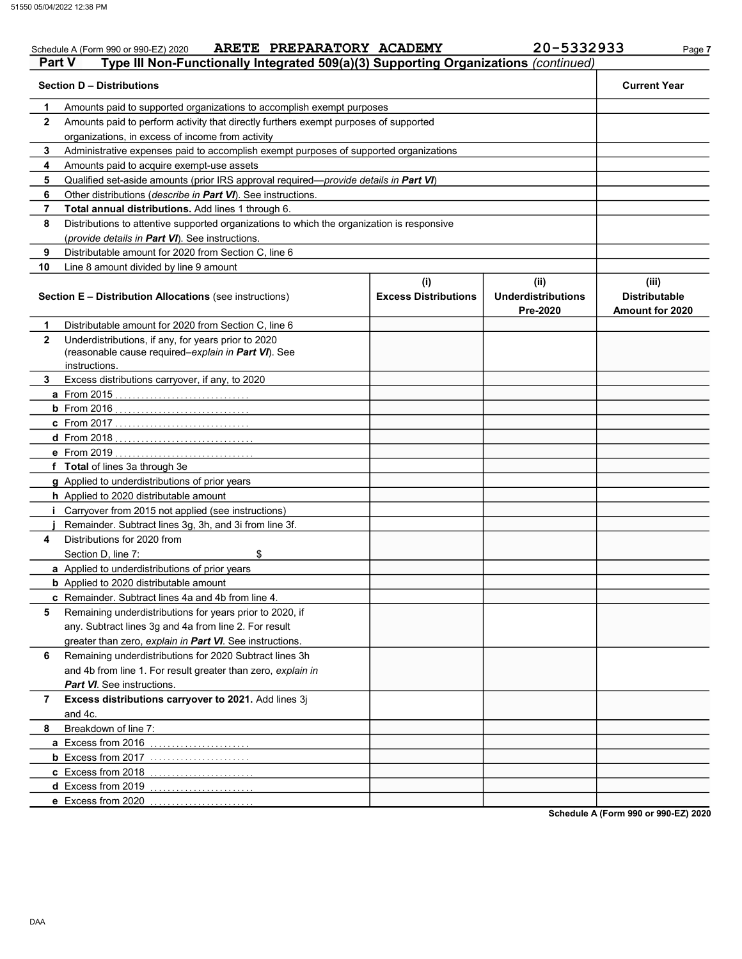#### Schedule A (Form 990 or 990-EZ) 2020 ARETE PREPARATORY ACADEMY 20-5332933 Page 7 Part V Type III Non-Functionally Integrated 509(a)(3) Supporting Organizations (continued) Section D – Distributions Current Year 1 2 3 4 5 6 7 8 9 10 Amounts paid to supported organizations to accomplish exempt purposes Amounts paid to perform activity that directly furthers exempt purposes of supported organizations, in excess of income from activity Administrative expenses paid to accomplish exempt purposes of supported organizations Amounts paid to acquire exempt-use assets Qualified set-aside amounts (prior IRS approval required—provide details in Part VI) Other distributions (describe in Part VI). See instructions. Total annual distributions. Add lines 1 through 6. Distributions to attentive supported organizations to which the organization is responsive (provide details in Part VI). See instructions. Distributable amount for 2020 from Section C, line 6 Line 8 amount divided by line 9 amount Section E – Distribution Allocations (see instructions) Excess Distributions (i) (ii) Underdistributions Pre-2020 (iii) Distributable Amount for 2020 8 7 6 Remaining underdistributions for 2020 Subtract lines 3h 5 4 3 2 1 a From 2015 . . . . . . . . . . . . . . . . . . . . . . . . . . . . . . . b From 2016 . . . . . . . . . . . . . . . . . . . . . . . . . . . . . . . c From 2017 . . . . . . . . . . . . . . . . . . . . . . . . . . . . . . . d From 2018 . . . . . . . . . . . . . . . . . . . . . . . . . . . . . . . . e From 2019 . . . . . . . . . . . . . . . . . . . . . . . . . . . . . . . . f Total of lines 3a through 3e g Applied to underdistributions of prior years h Applied to 2020 distributable amount i Carryover from 2015 not applied (see instructions) j Remainder. Subtract lines 3g, 3h, and 3i from line 3f. a Applied to underdistributions of prior years **b** Applied to 2020 distributable amount c Remainder. Subtract lines 4a and 4b from line 4. a Excess from 2016 ........................ **b** Excess from 2017 ........................ c Excess from 2018 . . . . . . . . . . . . . . . . . . . . . . . . Distributable amount for 2020 from Section C, line 6 Underdistributions, if any, for years prior to 2020 (reasonable cause required–explain in Part VI). See Excess distributions carryover, if any, to 2020 Distributions for 2020 from Section D, line 7: \$ Remaining underdistributions for years prior to 2020, if any. Subtract lines 3g and 4a from line 2. For result greater than zero, explain in Part VI. See instructions. and 4b from line 1. For result greater than zero, explain in Part VI. See instructions. Excess distributions carryover to 2021. Add lines 3j and 4c. Breakdown of line 7: instructions.

Schedule A (Form 990 or 990-EZ) 2020

d Excess from 2019 ......................... e Excess from 2020 . . . . . . . . . . . . . . . . . . . . . . . .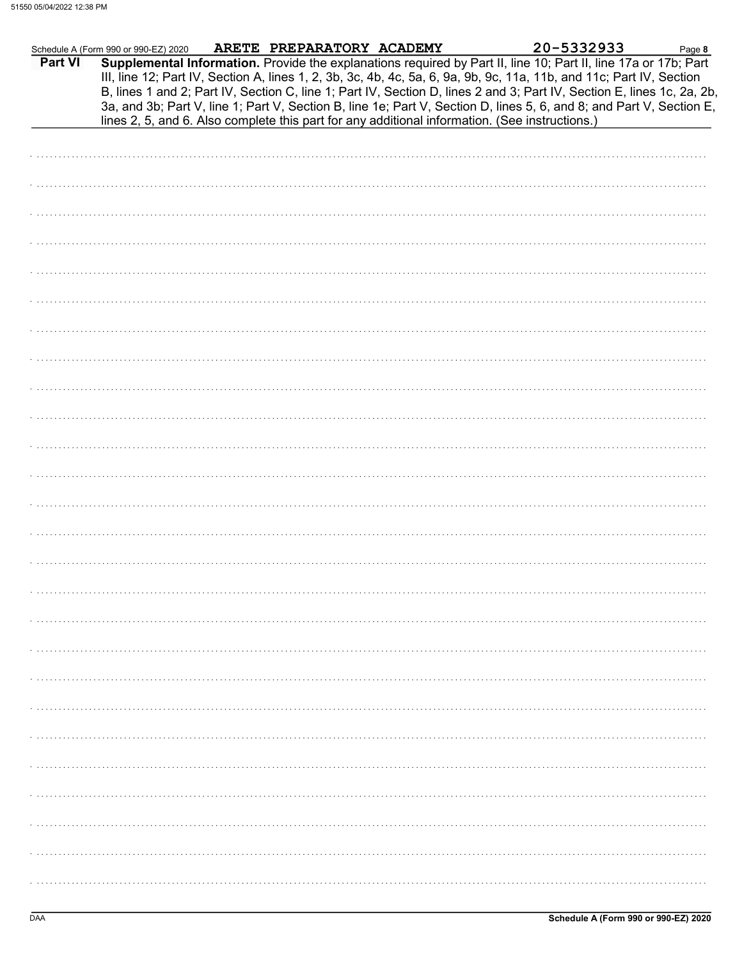|         | Schedule A (Form 990 or 990-EZ) 2020 | ARETE PREPARATORY ACADEMY | 20-5332933                                                                                                                                                                                                                                                                                                                                                                                                                                                                                                                                                                                  | Page 8 |
|---------|--------------------------------------|---------------------------|---------------------------------------------------------------------------------------------------------------------------------------------------------------------------------------------------------------------------------------------------------------------------------------------------------------------------------------------------------------------------------------------------------------------------------------------------------------------------------------------------------------------------------------------------------------------------------------------|--------|
| Part VI |                                      |                           | Supplemental Information. Provide the explanations required by Part II, line 10; Part II, line 17a or 17b; Part<br>III, line 12; Part IV, Section A, lines 1, 2, 3b, 3c, 4b, 4c, 5a, 6, 9a, 9b, 9c, 11a, 11b, and 11c; Part IV, Section<br>B, lines 1 and 2; Part IV, Section C, line 1; Part IV, Section D, lines 2 and 3; Part IV, Section E, lines 1c, 2a, 2b,<br>3a, and 3b; Part V, line 1; Part V, Section B, line 1e; Part V, Section D, lines 5, 6, and 8; and Part V, Section E,<br>lines 2, 5, and 6. Also complete this part for any additional information. (See instructions.) |        |
|         |                                      |                           |                                                                                                                                                                                                                                                                                                                                                                                                                                                                                                                                                                                             |        |
|         |                                      |                           |                                                                                                                                                                                                                                                                                                                                                                                                                                                                                                                                                                                             |        |
|         |                                      |                           |                                                                                                                                                                                                                                                                                                                                                                                                                                                                                                                                                                                             |        |
|         |                                      |                           |                                                                                                                                                                                                                                                                                                                                                                                                                                                                                                                                                                                             |        |
|         |                                      |                           |                                                                                                                                                                                                                                                                                                                                                                                                                                                                                                                                                                                             |        |
|         |                                      |                           |                                                                                                                                                                                                                                                                                                                                                                                                                                                                                                                                                                                             |        |
|         |                                      |                           |                                                                                                                                                                                                                                                                                                                                                                                                                                                                                                                                                                                             |        |
|         |                                      |                           |                                                                                                                                                                                                                                                                                                                                                                                                                                                                                                                                                                                             |        |
|         |                                      |                           |                                                                                                                                                                                                                                                                                                                                                                                                                                                                                                                                                                                             |        |
|         |                                      |                           |                                                                                                                                                                                                                                                                                                                                                                                                                                                                                                                                                                                             |        |
|         |                                      |                           |                                                                                                                                                                                                                                                                                                                                                                                                                                                                                                                                                                                             |        |
|         |                                      |                           |                                                                                                                                                                                                                                                                                                                                                                                                                                                                                                                                                                                             |        |
|         |                                      |                           |                                                                                                                                                                                                                                                                                                                                                                                                                                                                                                                                                                                             |        |
|         |                                      |                           |                                                                                                                                                                                                                                                                                                                                                                                                                                                                                                                                                                                             |        |
|         |                                      |                           |                                                                                                                                                                                                                                                                                                                                                                                                                                                                                                                                                                                             |        |
|         |                                      |                           |                                                                                                                                                                                                                                                                                                                                                                                                                                                                                                                                                                                             |        |
|         |                                      |                           |                                                                                                                                                                                                                                                                                                                                                                                                                                                                                                                                                                                             |        |
|         |                                      |                           |                                                                                                                                                                                                                                                                                                                                                                                                                                                                                                                                                                                             |        |
|         |                                      |                           |                                                                                                                                                                                                                                                                                                                                                                                                                                                                                                                                                                                             |        |
|         |                                      |                           |                                                                                                                                                                                                                                                                                                                                                                                                                                                                                                                                                                                             |        |
|         |                                      |                           |                                                                                                                                                                                                                                                                                                                                                                                                                                                                                                                                                                                             |        |
|         |                                      |                           |                                                                                                                                                                                                                                                                                                                                                                                                                                                                                                                                                                                             |        |
|         |                                      |                           |                                                                                                                                                                                                                                                                                                                                                                                                                                                                                                                                                                                             |        |
|         |                                      |                           |                                                                                                                                                                                                                                                                                                                                                                                                                                                                                                                                                                                             |        |
|         |                                      |                           |                                                                                                                                                                                                                                                                                                                                                                                                                                                                                                                                                                                             |        |
|         |                                      |                           |                                                                                                                                                                                                                                                                                                                                                                                                                                                                                                                                                                                             |        |
|         |                                      |                           |                                                                                                                                                                                                                                                                                                                                                                                                                                                                                                                                                                                             |        |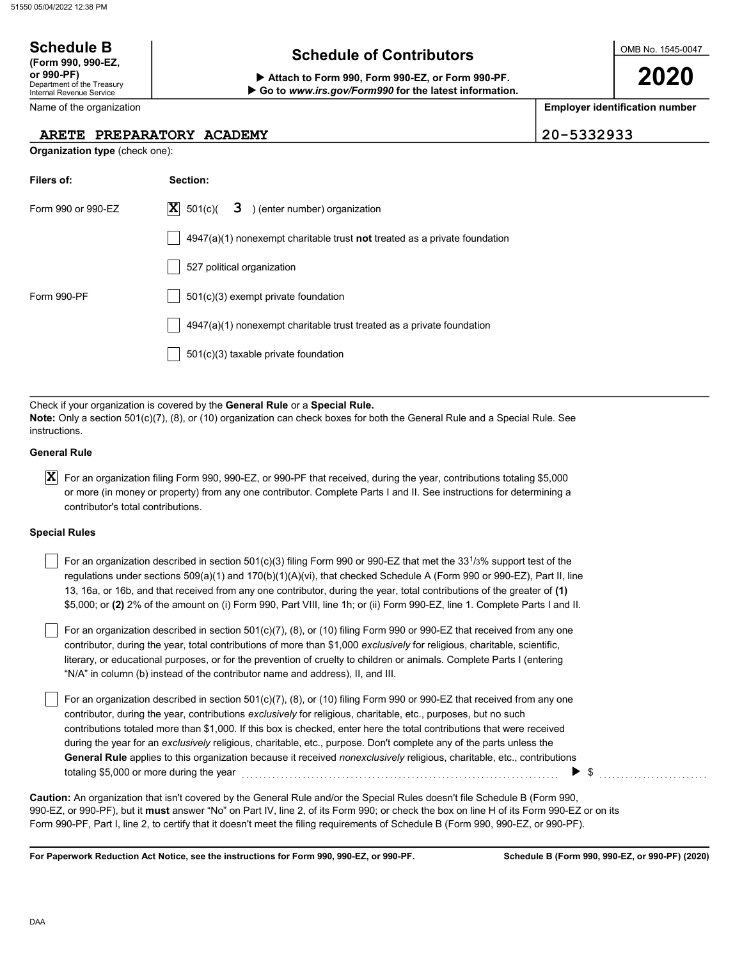## Schedule B<br>
Schedule of Contributors

Attach to Form 990, Form 990-EZ, or Form 990-PF. ▶ Go to www.irs.gov/Form990 for the latest information. OMB No. 1545-0047

2020

Employer identification number

|                                                    | AREIE FREFARAIORI ACADEMI                                                                                                                                                                                                                                                                                                                                                                                                                                                                                                                                                                                                                                       | ZU-JJJZ5JJ |
|----------------------------------------------------|-----------------------------------------------------------------------------------------------------------------------------------------------------------------------------------------------------------------------------------------------------------------------------------------------------------------------------------------------------------------------------------------------------------------------------------------------------------------------------------------------------------------------------------------------------------------------------------------------------------------------------------------------------------------|------------|
| <b>Organization type (check one):</b>              |                                                                                                                                                                                                                                                                                                                                                                                                                                                                                                                                                                                                                                                                 |            |
| Filers of:                                         | Section:                                                                                                                                                                                                                                                                                                                                                                                                                                                                                                                                                                                                                                                        |            |
| Form 990 or 990-EZ                                 | $ {\bf X} $<br>501(c)<br>) (enter number) organization<br>3                                                                                                                                                                                                                                                                                                                                                                                                                                                                                                                                                                                                     |            |
|                                                    | 4947(a)(1) nonexempt charitable trust not treated as a private foundation                                                                                                                                                                                                                                                                                                                                                                                                                                                                                                                                                                                       |            |
|                                                    | 527 political organization                                                                                                                                                                                                                                                                                                                                                                                                                                                                                                                                                                                                                                      |            |
| Form 990-PF                                        | 501(c)(3) exempt private foundation                                                                                                                                                                                                                                                                                                                                                                                                                                                                                                                                                                                                                             |            |
|                                                    | $4947(a)(1)$ nonexempt charitable trust treated as a private foundation                                                                                                                                                                                                                                                                                                                                                                                                                                                                                                                                                                                         |            |
|                                                    | 501(c)(3) taxable private foundation                                                                                                                                                                                                                                                                                                                                                                                                                                                                                                                                                                                                                            |            |
| instructions.                                      | Check if your organization is covered by the General Rule or a Special Rule.<br>Note: Only a section 501(c)(7), (8), or (10) organization can check boxes for both the General Rule and a Special Rule. See                                                                                                                                                                                                                                                                                                                                                                                                                                                     |            |
| <b>General Rule</b>                                |                                                                                                                                                                                                                                                                                                                                                                                                                                                                                                                                                                                                                                                                 |            |
| $\mathbf{x}$<br>contributor's total contributions. | For an organization filing Form 990, 990-EZ, or 990-PF that received, during the year, contributions totaling \$5,000<br>or more (in money or property) from any one contributor. Complete Parts I and II. See instructions for determining a                                                                                                                                                                                                                                                                                                                                                                                                                   |            |
| <b>Special Rules</b>                               |                                                                                                                                                                                                                                                                                                                                                                                                                                                                                                                                                                                                                                                                 |            |
|                                                    | For an organization described in section 501(c)(3) filing Form 990 or 990-EZ that met the 33 <sup>1</sup> /3% support test of the<br>regulations under sections $509(a)(1)$ and $170(b)(1)(A)(vi)$ , that checked Schedule A (Form 990 or 990-EZ), Part II, line<br>13, 16a, or 16b, and that received from any one contributor, during the year, total contributions of the greater of (1)<br>\$5,000; or (2) 2% of the amount on (i) Form 990, Part VIII, line 1h; or (ii) Form 990-EZ, line 1. Complete Parts I and II.                                                                                                                                      |            |
|                                                    | For an organization described in section 501(c)(7), (8), or (10) filing Form 990 or 990-EZ that received from any one<br>contributor, during the year, total contributions of more than \$1,000 exclusively for religious, charitable, scientific,<br>literary, or educational purposes, or for the prevention of cruelty to children or animals. Complete Parts I (entering<br>"N/A" in column (b) instead of the contributor name and address), II, and III.                                                                                                                                                                                                  |            |
|                                                    | For an organization described in section 501(c)(7), (8), or (10) filing Form 990 or 990-EZ that received from any one<br>contributor, during the year, contributions exclusively for religious, charitable, etc., purposes, but no such<br>contributions totaled more than \$1,000. If this box is checked, enter here the total contributions that were received<br>during the year for an exclusively religious, charitable, etc., purpose. Don't complete any of the parts unless the<br>General Rule applies to this organization because it received nonexclusively religious, charitable, etc., contributions<br>totaling \$5,000 or more during the year |            |
|                                                    | Caution: An organization that isn't covered by the General Rule and/or the Special Rules doesn't file Schedule B (Form 990,<br>990-EZ, or 990-PF), but it must answer "No" on Part IV, line 2, of its Form 990; or check the box on line H of its Form 990-EZ or on its<br>Form 990-PF, Part I, line 2, to certify that it doesn't meet the filing requirements of Schedule B (Form 990, 990-EZ, or 990-PF).                                                                                                                                                                                                                                                    |            |

For Paperwork Reduction Act Notice, see the instructions for Form 990, 990-EZ, or 990-PF.

(Form 990, 990-EZ,

## ARETE PREPARATORY ACADEMY 20-5332933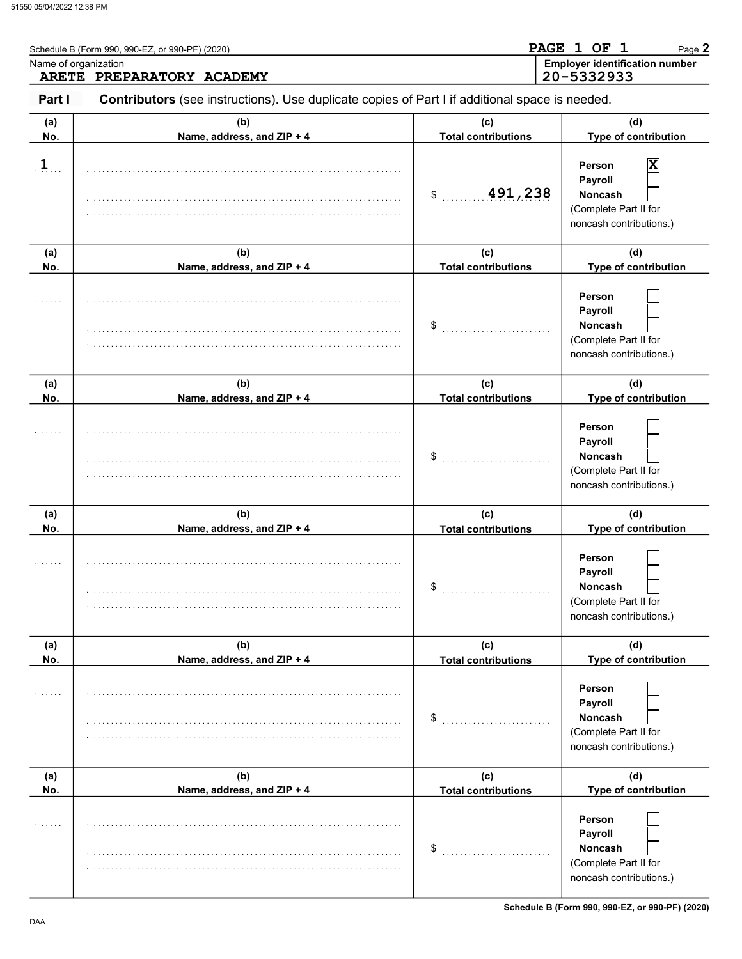|                      | Schedule B (Form 990, 990-EZ, or 990-PF) (2020)<br>Name of organization                        |                                   | PAGE 1 OF 1<br>Page 2<br><b>Employer identification number</b>                          |
|----------------------|------------------------------------------------------------------------------------------------|-----------------------------------|-----------------------------------------------------------------------------------------|
|                      | ARETE PREPARATORY ACADEMY                                                                      |                                   | 20-5332933                                                                              |
| Part I               | Contributors (see instructions). Use duplicate copies of Part I if additional space is needed. |                                   |                                                                                         |
| (a)<br>No.           | (b)<br>Name, address, and ZIP + 4                                                              | (c)<br><b>Total contributions</b> | (d)<br>Type of contribution                                                             |
| $\mathbf{1}_{\cdot}$ |                                                                                                | 491,238<br>$\frac{1}{2}$          | X<br>Person<br>Payroll<br>Noncash<br>(Complete Part II for<br>noncash contributions.)   |
| (a)<br>No.           | (b)<br>Name, address, and ZIP + 4                                                              | (c)<br><b>Total contributions</b> | (d)<br>Type of contribution                                                             |
|                      |                                                                                                | \$                                | Person<br>Payroll<br>Noncash<br>(Complete Part II for<br>noncash contributions.)        |
| (a)<br>No.           | (b)<br>Name, address, and ZIP + 4                                                              | (c)<br><b>Total contributions</b> | (d)<br>Type of contribution                                                             |
|                      |                                                                                                | \$                                | Person<br>Payroll<br>Noncash<br>(Complete Part II for<br>noncash contributions.)        |
| (a)<br>No.           | (b)<br>Name, address, and ZIP + 4                                                              | (c)<br><b>Total contributions</b> | (d)<br>Type of contribution                                                             |
|                      |                                                                                                | \$                                | Person<br><b>Payroll</b><br>Noncash<br>(Complete Part II for<br>noncash contributions.) |
| (a)<br>No.           | (b)<br>Name, address, and ZIP + 4                                                              | (c)<br><b>Total contributions</b> | (d)<br>Type of contribution                                                             |
|                      |                                                                                                | \$                                | Person<br>Payroll<br>Noncash<br>(Complete Part II for<br>noncash contributions.)        |
| (a)<br>No.           | (b)<br>Name, address, and ZIP + 4                                                              | (c)<br><b>Total contributions</b> | (d)<br>Type of contribution                                                             |
|                      |                                                                                                | \$                                | Person<br>Payroll<br>Noncash<br>(Complete Part II for<br>noncash contributions.)        |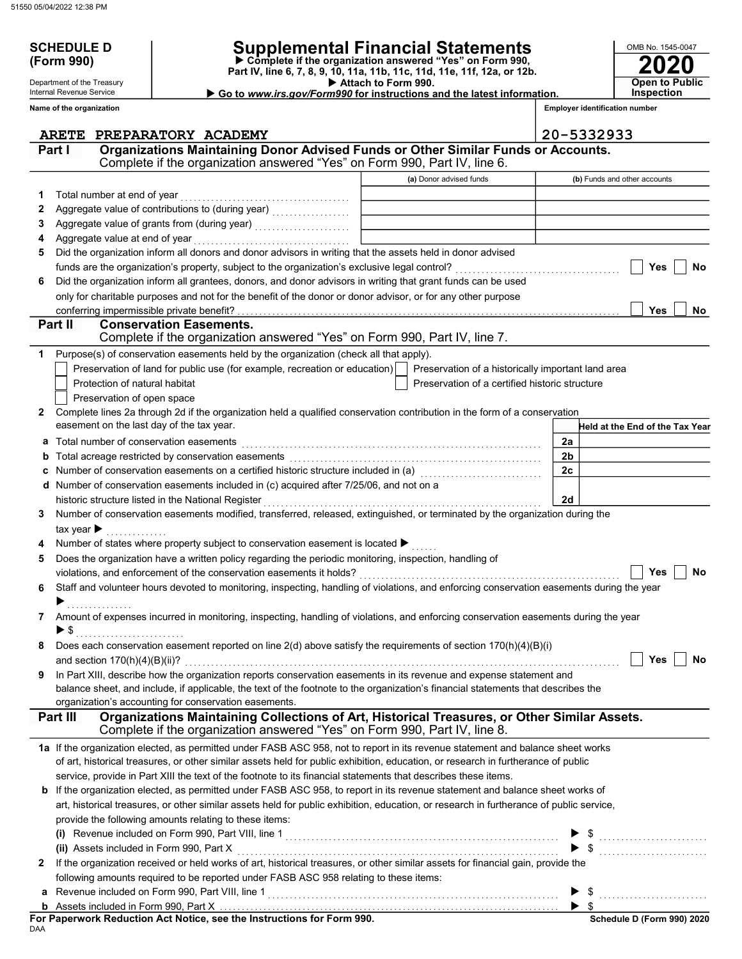SCHEDULE D<br>(Form 990)

Department of the Treasury Internal Revenue Service

## SCHEDULE D | Supplemental Financial Statements

 Attach to Form 990. Part IV, line 6, 7, 8, 9, 10, 11a, 11b, 11c, 11d, 11e, 11f, 12a, or 12b. Complete if the organization answered "Yes" on Form 990,

Go to www.irs.gov/Form990 for instructions and the latest information.

Inspection

2020

**Open to Public** 

OMB No. 1545-0047

|              | Name of the organization       |                                                                                                                                                        |                                                    | <b>Employer identification number</b>                                                                                                                                                                                                                                                                                                                                                              |
|--------------|--------------------------------|--------------------------------------------------------------------------------------------------------------------------------------------------------|----------------------------------------------------|----------------------------------------------------------------------------------------------------------------------------------------------------------------------------------------------------------------------------------------------------------------------------------------------------------------------------------------------------------------------------------------------------|
|              |                                | ARETE PREPARATORY ACADEMY                                                                                                                              |                                                    | 20-5332933                                                                                                                                                                                                                                                                                                                                                                                         |
|              | Part I                         | Organizations Maintaining Donor Advised Funds or Other Similar Funds or Accounts.                                                                      |                                                    |                                                                                                                                                                                                                                                                                                                                                                                                    |
|              |                                | Complete if the organization answered "Yes" on Form 990, Part IV, line 6.                                                                              |                                                    |                                                                                                                                                                                                                                                                                                                                                                                                    |
|              |                                |                                                                                                                                                        | (a) Donor advised funds                            | (b) Funds and other accounts                                                                                                                                                                                                                                                                                                                                                                       |
| 1.           |                                | Total number at end of year                                                                                                                            |                                                    |                                                                                                                                                                                                                                                                                                                                                                                                    |
| 2            |                                | Aggregate value of contributions to (during year)<br>[[[[[[[[[[[[[[[[]]]]]                                                                             |                                                    |                                                                                                                                                                                                                                                                                                                                                                                                    |
| 3            |                                |                                                                                                                                                        |                                                    |                                                                                                                                                                                                                                                                                                                                                                                                    |
| 4            |                                | Aggregate value at end of year                                                                                                                         |                                                    |                                                                                                                                                                                                                                                                                                                                                                                                    |
| 5            |                                | Did the organization inform all donors and donor advisors in writing that the assets held in donor advised                                             |                                                    |                                                                                                                                                                                                                                                                                                                                                                                                    |
|              |                                |                                                                                                                                                        |                                                    | Yes<br>No                                                                                                                                                                                                                                                                                                                                                                                          |
| 6            |                                | Did the organization inform all grantees, donors, and donor advisors in writing that grant funds can be used                                           |                                                    |                                                                                                                                                                                                                                                                                                                                                                                                    |
|              |                                | only for charitable purposes and not for the benefit of the donor or donor advisor, or for any other purpose                                           |                                                    |                                                                                                                                                                                                                                                                                                                                                                                                    |
|              |                                |                                                                                                                                                        |                                                    | Yes<br>No                                                                                                                                                                                                                                                                                                                                                                                          |
|              | Part II                        | <b>Conservation Easements.</b><br>Complete if the organization answered "Yes" on Form 990, Part IV, line 7.                                            |                                                    |                                                                                                                                                                                                                                                                                                                                                                                                    |
| 1            |                                | Purpose(s) of conservation easements held by the organization (check all that apply).                                                                  |                                                    |                                                                                                                                                                                                                                                                                                                                                                                                    |
|              |                                | Preservation of land for public use (for example, recreation or education)                                                                             | Preservation of a historically important land area |                                                                                                                                                                                                                                                                                                                                                                                                    |
|              |                                | Protection of natural habitat                                                                                                                          | Preservation of a certified historic structure     |                                                                                                                                                                                                                                                                                                                                                                                                    |
|              |                                | Preservation of open space                                                                                                                             |                                                    |                                                                                                                                                                                                                                                                                                                                                                                                    |
| $\mathbf{2}$ |                                | Complete lines 2a through 2d if the organization held a qualified conservation contribution in the form of a conservation                              |                                                    |                                                                                                                                                                                                                                                                                                                                                                                                    |
|              |                                | easement on the last day of the tax year.                                                                                                              |                                                    | Held at the End of the Tax Year                                                                                                                                                                                                                                                                                                                                                                    |
| a            |                                | Total number of conservation easements                                                                                                                 |                                                    | 2a                                                                                                                                                                                                                                                                                                                                                                                                 |
| b            |                                |                                                                                                                                                        |                                                    | 2 <sub>b</sub>                                                                                                                                                                                                                                                                                                                                                                                     |
| c            |                                | Number of conservation easements on a certified historic structure included in (a) [[[[[[[[[[[[[[[[[[[[[[[[]]]]]]]                                     |                                                    | 2c                                                                                                                                                                                                                                                                                                                                                                                                 |
| d            |                                | Number of conservation easements included in (c) acquired after 7/25/06, and not on a                                                                  |                                                    |                                                                                                                                                                                                                                                                                                                                                                                                    |
|              |                                | historic structure listed in the National Register                                                                                                     |                                                    | 2d                                                                                                                                                                                                                                                                                                                                                                                                 |
| 3            |                                | Number of conservation easements modified, transferred, released, extinguished, or terminated by the organization during the                           |                                                    |                                                                                                                                                                                                                                                                                                                                                                                                    |
|              | tax year $\blacktriangleright$ |                                                                                                                                                        |                                                    |                                                                                                                                                                                                                                                                                                                                                                                                    |
| 4            |                                | Number of states where property subject to conservation easement is located ▶                                                                          |                                                    |                                                                                                                                                                                                                                                                                                                                                                                                    |
| 5            |                                | Does the organization have a written policy regarding the periodic monitoring, inspection, handling of                                                 |                                                    |                                                                                                                                                                                                                                                                                                                                                                                                    |
|              |                                | violations, and enforcement of the conservation easements it holds?                                                                                    |                                                    | Yes<br>No                                                                                                                                                                                                                                                                                                                                                                                          |
| 6            |                                | Staff and volunteer hours devoted to monitoring, inspecting, handling of violations, and enforcing conservation easements during the year              |                                                    |                                                                                                                                                                                                                                                                                                                                                                                                    |
|              |                                |                                                                                                                                                        |                                                    |                                                                                                                                                                                                                                                                                                                                                                                                    |
| 7            |                                | Amount of expenses incurred in monitoring, inspecting, handling of violations, and enforcing conservation easements during the year                    |                                                    |                                                                                                                                                                                                                                                                                                                                                                                                    |
|              | $\blacktriangleright$ \$       |                                                                                                                                                        |                                                    |                                                                                                                                                                                                                                                                                                                                                                                                    |
|              |                                | Does each conservation easement reported on line 2(d) above satisfy the requirements of section 170(h)(4)(B)(i)                                        |                                                    | Yes<br>No                                                                                                                                                                                                                                                                                                                                                                                          |
| 9            |                                | and section $170(h)(4)(B)(ii)?$<br>In Part XIII, describe how the organization reports conservation easements in its revenue and expense statement and |                                                    |                                                                                                                                                                                                                                                                                                                                                                                                    |
|              |                                | balance sheet, and include, if applicable, the text of the footnote to the organization's financial statements that describes the                      |                                                    |                                                                                                                                                                                                                                                                                                                                                                                                    |
|              |                                | organization's accounting for conservation easements.                                                                                                  |                                                    |                                                                                                                                                                                                                                                                                                                                                                                                    |
|              | Part III                       | Organizations Maintaining Collections of Art, Historical Treasures, or Other Similar Assets.                                                           |                                                    |                                                                                                                                                                                                                                                                                                                                                                                                    |
|              |                                | Complete if the organization answered "Yes" on Form 990, Part IV, line 8.                                                                              |                                                    |                                                                                                                                                                                                                                                                                                                                                                                                    |
|              |                                | 1a If the organization elected, as permitted under FASB ASC 958, not to report in its revenue statement and balance sheet works                        |                                                    |                                                                                                                                                                                                                                                                                                                                                                                                    |
|              |                                | of art, historical treasures, or other similar assets held for public exhibition, education, or research in furtherance of public                      |                                                    |                                                                                                                                                                                                                                                                                                                                                                                                    |
|              |                                | service, provide in Part XIII the text of the footnote to its financial statements that describes these items.                                         |                                                    |                                                                                                                                                                                                                                                                                                                                                                                                    |
|              |                                | <b>b</b> If the organization elected, as permitted under FASB ASC 958, to report in its revenue statement and balance sheet works of                   |                                                    |                                                                                                                                                                                                                                                                                                                                                                                                    |
|              |                                | art, historical treasures, or other similar assets held for public exhibition, education, or research in furtherance of public service,                |                                                    |                                                                                                                                                                                                                                                                                                                                                                                                    |
|              |                                | provide the following amounts relating to these items:                                                                                                 |                                                    |                                                                                                                                                                                                                                                                                                                                                                                                    |
|              |                                |                                                                                                                                                        |                                                    | $\begin{array}{cc}\n\text{\$}\n&\text{\$}\n&\text{\$}\n&\text{\$}\n&\text{\$}\n&\text{\$}\n&\text{\$}\n&\text{\$}\n&\text{\$}\n&\text{\$}\n&\text{\$}\n&\text{\$}\n&\text{\$}\n&\text{\$}\n&\text{\$}\n&\text{\$}\n&\text{\$}\n&\text{\$}\n&\text{\$}\n&\text{\$}\n&\text{\$}\n&\text{\$}\n&\text{\$}\n&\text{\$}\n&\text{\$}\n&\text{\$}\n&\text{\$}\n&\text{\$}\n&\text{\$}\n&\text{\$}\n&\text$ |
|              |                                | (ii) Assets included in Form 990, Part X                                                                                                               |                                                    |                                                                                                                                                                                                                                                                                                                                                                                                    |
| $\mathbf{2}$ |                                | If the organization received or held works of art, historical treasures, or other similar assets for financial gain, provide the                       |                                                    |                                                                                                                                                                                                                                                                                                                                                                                                    |
|              |                                | following amounts required to be reported under FASB ASC 958 relating to these items:                                                                  |                                                    |                                                                                                                                                                                                                                                                                                                                                                                                    |
| a            |                                |                                                                                                                                                        |                                                    | $\blacktriangleright$ \$                                                                                                                                                                                                                                                                                                                                                                           |
|              |                                |                                                                                                                                                        |                                                    |                                                                                                                                                                                                                                                                                                                                                                                                    |

DAA For Paperwork Reduction Act Notice, see the Instructions for Form 990.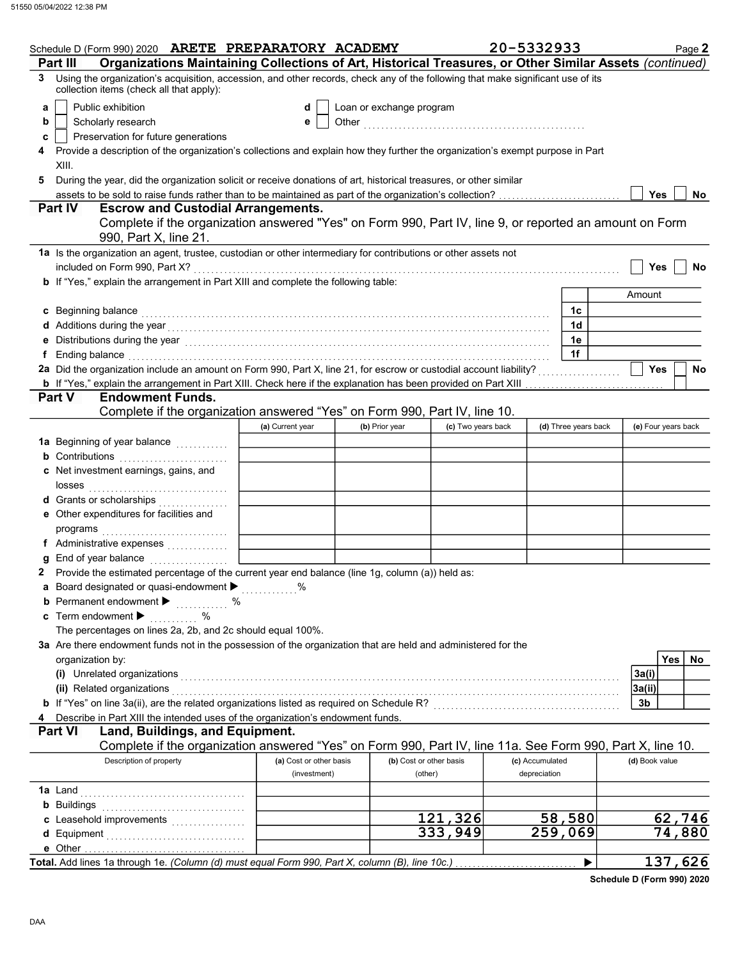|   | Schedule D (Form 990) 2020 ARETE PREPARATORY ACADEMY                                                                                                                                                                           |                         |                          |                         | 20-5332933           | Page 2              |
|---|--------------------------------------------------------------------------------------------------------------------------------------------------------------------------------------------------------------------------------|-------------------------|--------------------------|-------------------------|----------------------|---------------------|
|   | Organizations Maintaining Collections of Art, Historical Treasures, or Other Similar Assets (continued)<br>Part III                                                                                                            |                         |                          |                         |                      |                     |
| 3 | Using the organization's acquisition, accession, and other records, check any of the following that make significant use of its<br>collection items (check all that apply):                                                    |                         |                          |                         |                      |                     |
| a | Public exhibition                                                                                                                                                                                                              | d                       | Loan or exchange program |                         |                      |                     |
| b | Scholarly research                                                                                                                                                                                                             | е                       |                          |                         |                      |                     |
| c | Preservation for future generations                                                                                                                                                                                            |                         |                          |                         |                      |                     |
| 4 | Provide a description of the organization's collections and explain how they further the organization's exempt purpose in Part                                                                                                 |                         |                          |                         |                      |                     |
|   | XIII.                                                                                                                                                                                                                          |                         |                          |                         |                      |                     |
| 5 | During the year, did the organization solicit or receive donations of art, historical treasures, or other similar                                                                                                              |                         |                          |                         |                      |                     |
|   |                                                                                                                                                                                                                                |                         |                          |                         |                      | Yes<br><b>No</b>    |
|   | <b>Part IV</b><br><b>Escrow and Custodial Arrangements.</b>                                                                                                                                                                    |                         |                          |                         |                      |                     |
|   | Complete if the organization answered "Yes" on Form 990, Part IV, line 9, or reported an amount on Form<br>990, Part X, line 21.                                                                                               |                         |                          |                         |                      |                     |
|   | 1a Is the organization an agent, trustee, custodian or other intermediary for contributions or other assets not                                                                                                                |                         |                          |                         |                      |                     |
|   | included on Form 990, Part X?                                                                                                                                                                                                  |                         |                          |                         |                      | Yes<br>No           |
|   | b If "Yes," explain the arrangement in Part XIII and complete the following table:                                                                                                                                             |                         |                          |                         |                      |                     |
|   |                                                                                                                                                                                                                                |                         |                          |                         |                      | Amount              |
|   | c Beginning balance                                                                                                                                                                                                            |                         |                          |                         | 1c                   |                     |
|   | d Additions during the year electron contracts and a set of the set of the year of the set of the set of the set of the set of the set of the set of the set of the set of the set of the set of the set of the set of the set |                         |                          |                         | 1d                   |                     |
|   |                                                                                                                                                                                                                                |                         |                          |                         | 1e                   |                     |
| f | Ending balance with a construction of the construction of the construction of the construction of the construction of the construction of the construction of the construction of the construction of the construction of the  |                         |                          |                         | 1f                   |                     |
|   | 2a Did the organization include an amount on Form 990, Part X, line 21, for escrow or custodial account liability?                                                                                                             |                         |                          |                         |                      | <b>Yes</b><br>No    |
|   |                                                                                                                                                                                                                                |                         |                          |                         |                      |                     |
|   | <b>Endowment Funds.</b><br><b>Part V</b>                                                                                                                                                                                       |                         |                          |                         |                      |                     |
|   | Complete if the organization answered "Yes" on Form 990, Part IV, line 10.                                                                                                                                                     |                         |                          |                         |                      |                     |
|   |                                                                                                                                                                                                                                | (a) Current year        | (b) Prior year           | (c) Two years back      | (d) Three years back | (e) Four years back |
|   | 1a Beginning of year balance                                                                                                                                                                                                   |                         |                          |                         |                      |                     |
|   | <b>b</b> Contributions <b>b</b> Contributions <b>b</b>                                                                                                                                                                         |                         |                          |                         |                      |                     |
|   | c Net investment earnings, gains, and                                                                                                                                                                                          |                         |                          |                         |                      |                     |
|   | losses                                                                                                                                                                                                                         |                         |                          |                         |                      |                     |
|   | d Grants or scholarships<br>.                                                                                                                                                                                                  |                         |                          |                         |                      |                     |
|   | e Other expenditures for facilities and                                                                                                                                                                                        |                         |                          |                         |                      |                     |
|   |                                                                                                                                                                                                                                |                         |                          |                         |                      |                     |
|   | f Administrative expenses                                                                                                                                                                                                      |                         |                          |                         |                      |                     |
| g | End of year balance                                                                                                                                                                                                            |                         |                          |                         |                      |                     |
| 2 | Provide the estimated percentage of the current year end balance (line 1g, column (a)) held as:                                                                                                                                |                         |                          |                         |                      |                     |
|   | a Board designated or quasi-endowment >                                                                                                                                                                                        | ℅                       |                          |                         |                      |                     |
|   | <b>b</b> Permanent endowment $\blacktriangleright$<br>. %                                                                                                                                                                      |                         |                          |                         |                      |                     |
|   | c Term endowment $\blacktriangleright$<br>%                                                                                                                                                                                    |                         |                          |                         |                      |                     |
|   | The percentages on lines 2a, 2b, and 2c should equal 100%.                                                                                                                                                                     |                         |                          |                         |                      |                     |
|   | 3a Are there endowment funds not in the possession of the organization that are held and administered for the                                                                                                                  |                         |                          |                         |                      |                     |
|   | organization by:                                                                                                                                                                                                               |                         |                          |                         |                      | <b>Yes</b><br>No    |
|   | (i) Unrelated organizations                                                                                                                                                                                                    |                         |                          |                         |                      | 3a(i)               |
|   | (ii) Related organizations                                                                                                                                                                                                     |                         |                          |                         |                      | 3a(ii)              |
|   | b If "Yes" on line 3a(ii), are the related organizations listed as required on Schedule R? [[[[[[[[[[[[[[[[[[[                                                                                                                 |                         |                          |                         |                      | 3b                  |
|   | Describe in Part XIII the intended uses of the organization's endowment funds.                                                                                                                                                 |                         |                          |                         |                      |                     |
|   | Land, Buildings, and Equipment.<br><b>Part VI</b>                                                                                                                                                                              |                         |                          |                         |                      |                     |
|   | Complete if the organization answered "Yes" on Form 990, Part IV, line 11a. See Form 990, Part X, line 10.                                                                                                                     |                         |                          |                         |                      |                     |
|   | Description of property                                                                                                                                                                                                        | (a) Cost or other basis |                          | (b) Cost or other basis | (c) Accumulated      | (d) Book value      |
|   |                                                                                                                                                                                                                                | (investment)            |                          | (other)                 | depreciation         |                     |
|   | <b>1a</b> Land                                                                                                                                                                                                                 |                         |                          |                         |                      |                     |
|   |                                                                                                                                                                                                                                |                         |                          |                         |                      |                     |
|   | c Leasehold improvements                                                                                                                                                                                                       |                         |                          | 121,326                 | 58,580               | 62,746              |
|   |                                                                                                                                                                                                                                |                         |                          | 333,949                 | 259,069              | 74,880              |
|   |                                                                                                                                                                                                                                |                         |                          |                         |                      |                     |
|   |                                                                                                                                                                                                                                |                         |                          |                         |                      | 137,626             |

Schedule D (Form 990) 2020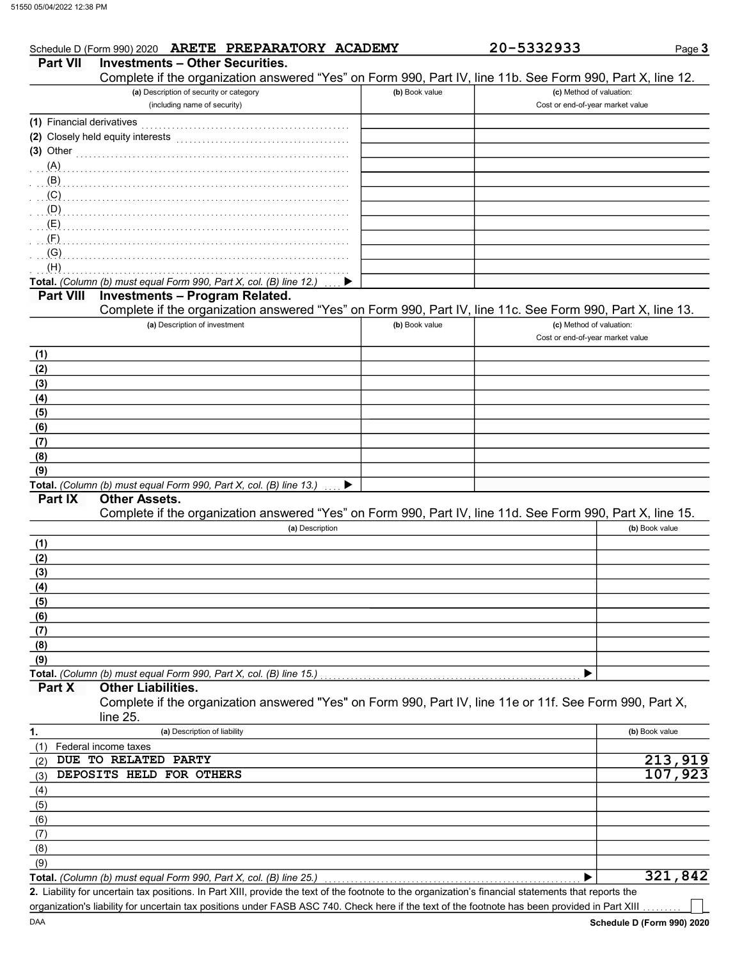| (1) Financial derivatives<br>(2) Closely held equity interests<br>$(3)$ Other<br>(A)<br>(B)<br>(C)<br>$\bigcup_{i=1}^{n}$ (D)<br>(E)<br>(F)<br>(G)<br>(H)<br><b>Part VIII</b><br>(1)<br>(2)<br>(3) | Complete if the organization answered "Yes" on Form 990, Part IV, line 11b. See Form 990, Part X, line 12.<br>(a) Description of security or category<br>(including name of security)<br>Total. (Column (b) must equal Form 990, Part X, col. (B) line 12.)<br><b>Investments - Program Related.</b><br>Complete if the organization answered "Yes" on Form 990, Part IV, line 11c. See Form 990, Part X, line 13.<br>(a) Description of investment | (b) Book value<br>(b) Book value | (c) Method of valuation:<br>Cost or end-of-year market value<br>(c) Method of valuation:<br>Cost or end-of-year market value |                    |
|----------------------------------------------------------------------------------------------------------------------------------------------------------------------------------------------------|-----------------------------------------------------------------------------------------------------------------------------------------------------------------------------------------------------------------------------------------------------------------------------------------------------------------------------------------------------------------------------------------------------------------------------------------------------|----------------------------------|------------------------------------------------------------------------------------------------------------------------------|--------------------|
|                                                                                                                                                                                                    |                                                                                                                                                                                                                                                                                                                                                                                                                                                     |                                  |                                                                                                                              |                    |
|                                                                                                                                                                                                    |                                                                                                                                                                                                                                                                                                                                                                                                                                                     |                                  |                                                                                                                              |                    |
|                                                                                                                                                                                                    |                                                                                                                                                                                                                                                                                                                                                                                                                                                     |                                  |                                                                                                                              |                    |
|                                                                                                                                                                                                    |                                                                                                                                                                                                                                                                                                                                                                                                                                                     |                                  |                                                                                                                              |                    |
|                                                                                                                                                                                                    |                                                                                                                                                                                                                                                                                                                                                                                                                                                     |                                  |                                                                                                                              |                    |
|                                                                                                                                                                                                    |                                                                                                                                                                                                                                                                                                                                                                                                                                                     |                                  |                                                                                                                              |                    |
|                                                                                                                                                                                                    |                                                                                                                                                                                                                                                                                                                                                                                                                                                     |                                  |                                                                                                                              |                    |
|                                                                                                                                                                                                    |                                                                                                                                                                                                                                                                                                                                                                                                                                                     |                                  |                                                                                                                              |                    |
|                                                                                                                                                                                                    |                                                                                                                                                                                                                                                                                                                                                                                                                                                     |                                  |                                                                                                                              |                    |
|                                                                                                                                                                                                    |                                                                                                                                                                                                                                                                                                                                                                                                                                                     |                                  |                                                                                                                              |                    |
|                                                                                                                                                                                                    |                                                                                                                                                                                                                                                                                                                                                                                                                                                     |                                  |                                                                                                                              |                    |
|                                                                                                                                                                                                    |                                                                                                                                                                                                                                                                                                                                                                                                                                                     |                                  |                                                                                                                              |                    |
|                                                                                                                                                                                                    |                                                                                                                                                                                                                                                                                                                                                                                                                                                     |                                  |                                                                                                                              |                    |
|                                                                                                                                                                                                    |                                                                                                                                                                                                                                                                                                                                                                                                                                                     |                                  |                                                                                                                              |                    |
|                                                                                                                                                                                                    |                                                                                                                                                                                                                                                                                                                                                                                                                                                     |                                  |                                                                                                                              |                    |
|                                                                                                                                                                                                    |                                                                                                                                                                                                                                                                                                                                                                                                                                                     |                                  |                                                                                                                              |                    |
|                                                                                                                                                                                                    |                                                                                                                                                                                                                                                                                                                                                                                                                                                     |                                  |                                                                                                                              |                    |
|                                                                                                                                                                                                    |                                                                                                                                                                                                                                                                                                                                                                                                                                                     |                                  |                                                                                                                              |                    |
|                                                                                                                                                                                                    |                                                                                                                                                                                                                                                                                                                                                                                                                                                     |                                  |                                                                                                                              |                    |
|                                                                                                                                                                                                    |                                                                                                                                                                                                                                                                                                                                                                                                                                                     |                                  |                                                                                                                              |                    |
|                                                                                                                                                                                                    |                                                                                                                                                                                                                                                                                                                                                                                                                                                     |                                  |                                                                                                                              |                    |
|                                                                                                                                                                                                    |                                                                                                                                                                                                                                                                                                                                                                                                                                                     |                                  |                                                                                                                              |                    |
| (4)                                                                                                                                                                                                |                                                                                                                                                                                                                                                                                                                                                                                                                                                     |                                  |                                                                                                                              |                    |
| (5)                                                                                                                                                                                                |                                                                                                                                                                                                                                                                                                                                                                                                                                                     |                                  |                                                                                                                              |                    |
| (6)                                                                                                                                                                                                |                                                                                                                                                                                                                                                                                                                                                                                                                                                     |                                  |                                                                                                                              |                    |
| (7)                                                                                                                                                                                                |                                                                                                                                                                                                                                                                                                                                                                                                                                                     |                                  |                                                                                                                              |                    |
| (8)                                                                                                                                                                                                |                                                                                                                                                                                                                                                                                                                                                                                                                                                     |                                  |                                                                                                                              |                    |
| (9)                                                                                                                                                                                                |                                                                                                                                                                                                                                                                                                                                                                                                                                                     |                                  |                                                                                                                              |                    |
|                                                                                                                                                                                                    | Total. (Column (b) must equal Form 990, Part X, col. (B) line 13.)                                                                                                                                                                                                                                                                                                                                                                                  |                                  |                                                                                                                              |                    |
| Part IX                                                                                                                                                                                            | <b>Other Assets.</b>                                                                                                                                                                                                                                                                                                                                                                                                                                |                                  |                                                                                                                              |                    |
|                                                                                                                                                                                                    | Complete if the organization answered "Yes" on Form 990, Part IV, line 11d. See Form 990, Part X, line 15.                                                                                                                                                                                                                                                                                                                                          |                                  |                                                                                                                              |                    |
|                                                                                                                                                                                                    | (a) Description                                                                                                                                                                                                                                                                                                                                                                                                                                     |                                  |                                                                                                                              | (b) Book value     |
| (1)                                                                                                                                                                                                |                                                                                                                                                                                                                                                                                                                                                                                                                                                     |                                  |                                                                                                                              |                    |
| (2)                                                                                                                                                                                                |                                                                                                                                                                                                                                                                                                                                                                                                                                                     |                                  |                                                                                                                              |                    |
| (3)                                                                                                                                                                                                |                                                                                                                                                                                                                                                                                                                                                                                                                                                     |                                  |                                                                                                                              |                    |
| (4)                                                                                                                                                                                                |                                                                                                                                                                                                                                                                                                                                                                                                                                                     |                                  |                                                                                                                              |                    |
| (5)                                                                                                                                                                                                |                                                                                                                                                                                                                                                                                                                                                                                                                                                     |                                  |                                                                                                                              |                    |
| (6)                                                                                                                                                                                                |                                                                                                                                                                                                                                                                                                                                                                                                                                                     |                                  |                                                                                                                              |                    |
| (7)                                                                                                                                                                                                |                                                                                                                                                                                                                                                                                                                                                                                                                                                     |                                  |                                                                                                                              |                    |
| (8)                                                                                                                                                                                                |                                                                                                                                                                                                                                                                                                                                                                                                                                                     |                                  |                                                                                                                              |                    |
| (9)                                                                                                                                                                                                |                                                                                                                                                                                                                                                                                                                                                                                                                                                     |                                  |                                                                                                                              |                    |
|                                                                                                                                                                                                    | Total. (Column (b) must equal Form 990, Part X, col. (B) line 15.)                                                                                                                                                                                                                                                                                                                                                                                  |                                  |                                                                                                                              |                    |
| Part X                                                                                                                                                                                             | <b>Other Liabilities.</b>                                                                                                                                                                                                                                                                                                                                                                                                                           |                                  |                                                                                                                              |                    |
|                                                                                                                                                                                                    | Complete if the organization answered "Yes" on Form 990, Part IV, line 11e or 11f. See Form 990, Part X,                                                                                                                                                                                                                                                                                                                                            |                                  |                                                                                                                              |                    |
|                                                                                                                                                                                                    | line 25.                                                                                                                                                                                                                                                                                                                                                                                                                                            |                                  |                                                                                                                              |                    |
| 1.                                                                                                                                                                                                 | (a) Description of liability                                                                                                                                                                                                                                                                                                                                                                                                                        |                                  |                                                                                                                              | (b) Book value     |
| Federal income taxes<br>(1)                                                                                                                                                                        | DUE TO RELATED PARTY                                                                                                                                                                                                                                                                                                                                                                                                                                |                                  |                                                                                                                              |                    |
| (2)                                                                                                                                                                                                |                                                                                                                                                                                                                                                                                                                                                                                                                                                     |                                  |                                                                                                                              | 213,919<br>107,923 |
| (3)                                                                                                                                                                                                | DEPOSITS HELD FOR OTHERS                                                                                                                                                                                                                                                                                                                                                                                                                            |                                  |                                                                                                                              |                    |
| (4)                                                                                                                                                                                                |                                                                                                                                                                                                                                                                                                                                                                                                                                                     |                                  |                                                                                                                              |                    |
| (5)                                                                                                                                                                                                |                                                                                                                                                                                                                                                                                                                                                                                                                                                     |                                  |                                                                                                                              |                    |
| (6)                                                                                                                                                                                                |                                                                                                                                                                                                                                                                                                                                                                                                                                                     |                                  |                                                                                                                              |                    |
| (7)                                                                                                                                                                                                |                                                                                                                                                                                                                                                                                                                                                                                                                                                     |                                  |                                                                                                                              |                    |
| (8)                                                                                                                                                                                                |                                                                                                                                                                                                                                                                                                                                                                                                                                                     |                                  |                                                                                                                              |                    |
| (9)                                                                                                                                                                                                | Total. (Column (b) must equal Form 990, Part X, col. (B) line 25.)                                                                                                                                                                                                                                                                                                                                                                                  |                                  | ▶                                                                                                                            | 321,842            |

Liability for uncertain tax positions. In Part XIII, provide the text of the footnote to the organization's financial statements that reports the 2. organization's liability for uncertain tax positions under FASB ASC 740. Check here if the text of the footnote has been provided in Part XIII

┓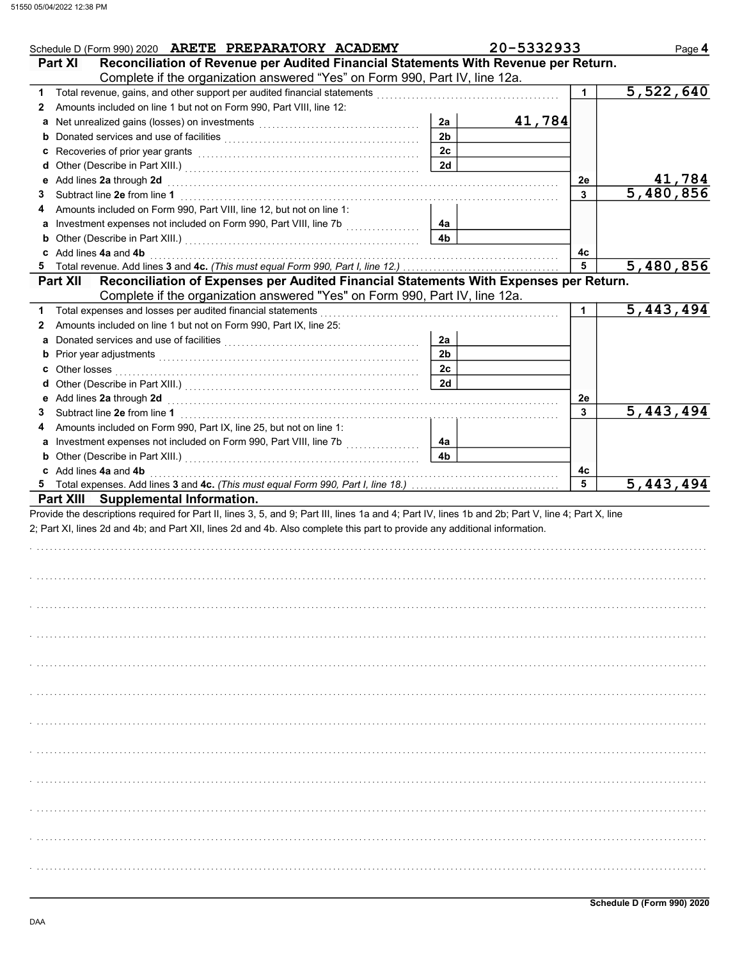| Schedule D (Form 990) 2020 ARETE PREPARATORY ACADEMY                                                                                                                                                                                                                                   |                | 20-5332933 |    | Page 4                 |
|----------------------------------------------------------------------------------------------------------------------------------------------------------------------------------------------------------------------------------------------------------------------------------------|----------------|------------|----|------------------------|
| Reconciliation of Revenue per Audited Financial Statements With Revenue per Return.<br><b>Part XI</b>                                                                                                                                                                                  |                |            |    |                        |
| Complete if the organization answered "Yes" on Form 990, Part IV, line 12a.                                                                                                                                                                                                            |                |            |    |                        |
| $\mathbf 1$                                                                                                                                                                                                                                                                            |                |            | 1. | $\overline{5,522,640}$ |
| Amounts included on line 1 but not on Form 990, Part VIII, line 12:<br>$\mathbf{2}$                                                                                                                                                                                                    |                |            |    |                        |
|                                                                                                                                                                                                                                                                                        | 2a             | 41,784     |    |                        |
|                                                                                                                                                                                                                                                                                        | 2 <sub>b</sub> |            |    |                        |
|                                                                                                                                                                                                                                                                                        | 2c             |            |    |                        |
|                                                                                                                                                                                                                                                                                        | 2d             |            |    |                        |
| Add lines 2a through 2d <b>contained a contained a contained a contained a contained a contained a contained a contained a</b><br>е                                                                                                                                                    |                |            | 2e | 41,784                 |
| 3                                                                                                                                                                                                                                                                                      |                |            | 3  | 5,480,856              |
| Amounts included on Form 990, Part VIII, line 12, but not on line 1:<br>4                                                                                                                                                                                                              |                |            |    |                        |
|                                                                                                                                                                                                                                                                                        | 4a             |            |    |                        |
| <b>b</b> Other (Describe in Part XIII.) <b>CONSUMER</b> 2014 11: <b>DESCRIPTION CONSUMER</b> 30 10 10: <b>CONSUMER</b> 30 10: <b>CONSUMER</b> 30 10: <b>CONSUMER</b> 30 10: <b>CONSUMER</b> 30 10: <b>CONSUMER</b> 30 10: <b>CONSUMER</b> 30 10: <b>CONSUMER</b> 30 10: <b>CONSUME</b> | 4 <sub>b</sub> |            |    |                        |
| c Add lines 4a and 4b                                                                                                                                                                                                                                                                  |                |            | 4с |                        |
| 5                                                                                                                                                                                                                                                                                      |                |            | 5  | 5,480,856              |
| Reconciliation of Expenses per Audited Financial Statements With Expenses per Return.<br><b>Part XII</b>                                                                                                                                                                               |                |            |    |                        |
| Complete if the organization answered "Yes" on Form 990, Part IV, line 12a.                                                                                                                                                                                                            |                |            |    |                        |
| Total expenses and losses per audited financial statements<br>1                                                                                                                                                                                                                        |                |            | 1  | 5,443,494              |
| Amounts included on line 1 but not on Form 990, Part IX, line 25:<br>$\mathbf{2}$                                                                                                                                                                                                      |                |            |    |                        |
| a Donated services and use of facilities [11] production contracts and a Donated Service and Donated Services                                                                                                                                                                          | 2a             |            |    |                        |
|                                                                                                                                                                                                                                                                                        | 2 <sub>b</sub> |            |    |                        |
| Other losses <b>contracts Other losses</b><br>c                                                                                                                                                                                                                                        | 2c             |            |    |                        |
| a                                                                                                                                                                                                                                                                                      | 2d             |            |    |                        |
| Add lines 2a through 2d [11, 12] March 2014 (12) March 2014 (12) March 2014 (12) March 2014 (12) March 2015 (1<br>е                                                                                                                                                                    |                |            | 2e |                        |
| 3                                                                                                                                                                                                                                                                                      |                |            | 3  | 5,443,494              |
| Amounts included on Form 990, Part IX, line 25, but not on line 1:<br>4                                                                                                                                                                                                                |                |            |    |                        |
| a Investment expenses not included on Form 990, Part VIII, line 7b                                                                                                                                                                                                                     | 4a             |            |    |                        |
|                                                                                                                                                                                                                                                                                        | 4 <sub>b</sub> |            |    |                        |
| c Add lines 4a and 4b                                                                                                                                                                                                                                                                  |                |            | 4c |                        |
|                                                                                                                                                                                                                                                                                        |                |            | 5  | 5,443,494              |
| Part XIII Supplemental Information.                                                                                                                                                                                                                                                    |                |            |    |                        |
| Provide the descriptions required for Part II, lines 3, 5, and 9; Part III, lines 1a and 4; Part IV, lines 1b and 2b; Part V, line 4; Part X, line                                                                                                                                     |                |            |    |                        |
| 2; Part XI, lines 2d and 4b; and Part XII, lines 2d and 4b. Also complete this part to provide any additional information.                                                                                                                                                             |                |            |    |                        |
|                                                                                                                                                                                                                                                                                        |                |            |    |                        |
|                                                                                                                                                                                                                                                                                        |                |            |    |                        |
|                                                                                                                                                                                                                                                                                        |                |            |    |                        |
|                                                                                                                                                                                                                                                                                        |                |            |    |                        |
|                                                                                                                                                                                                                                                                                        |                |            |    |                        |
|                                                                                                                                                                                                                                                                                        |                |            |    |                        |
|                                                                                                                                                                                                                                                                                        |                |            |    |                        |
|                                                                                                                                                                                                                                                                                        |                |            |    |                        |
|                                                                                                                                                                                                                                                                                        |                |            |    |                        |
|                                                                                                                                                                                                                                                                                        |                |            |    |                        |
|                                                                                                                                                                                                                                                                                        |                |            |    |                        |
|                                                                                                                                                                                                                                                                                        |                |            |    |                        |
|                                                                                                                                                                                                                                                                                        |                |            |    |                        |
|                                                                                                                                                                                                                                                                                        |                |            |    |                        |
|                                                                                                                                                                                                                                                                                        |                |            |    |                        |
|                                                                                                                                                                                                                                                                                        |                |            |    |                        |
|                                                                                                                                                                                                                                                                                        |                |            |    |                        |
|                                                                                                                                                                                                                                                                                        |                |            |    |                        |
|                                                                                                                                                                                                                                                                                        |                |            |    |                        |
|                                                                                                                                                                                                                                                                                        |                |            |    |                        |
|                                                                                                                                                                                                                                                                                        |                |            |    |                        |
|                                                                                                                                                                                                                                                                                        |                |            |    |                        |
|                                                                                                                                                                                                                                                                                        |                |            |    |                        |
|                                                                                                                                                                                                                                                                                        |                |            |    |                        |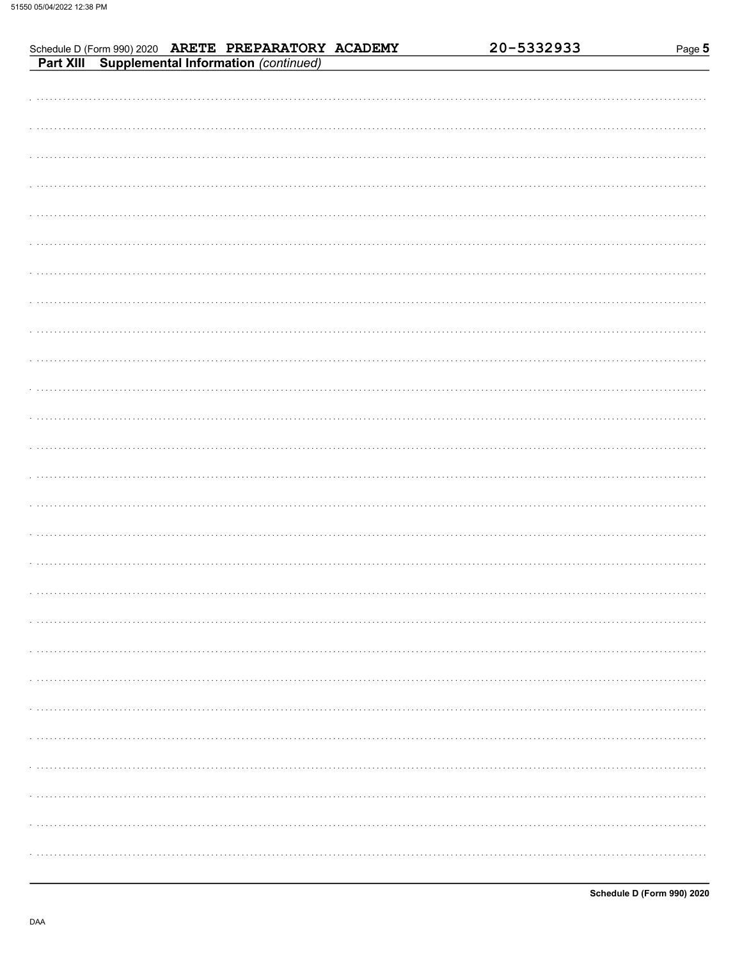| Schedule D (Form 990) 2020 ARETE PREPARATORY ACADEMY<br>Part XIII Supplemental Information (continued) | 20-5332933 | Page 5 |
|--------------------------------------------------------------------------------------------------------|------------|--------|
|                                                                                                        |            |        |
|                                                                                                        |            |        |
|                                                                                                        |            |        |
|                                                                                                        |            |        |
|                                                                                                        |            |        |
|                                                                                                        |            |        |
|                                                                                                        |            |        |
|                                                                                                        |            |        |
|                                                                                                        |            |        |
|                                                                                                        |            |        |
|                                                                                                        |            |        |
|                                                                                                        |            |        |
|                                                                                                        |            |        |
|                                                                                                        |            |        |
|                                                                                                        |            |        |
|                                                                                                        |            |        |
|                                                                                                        |            |        |
|                                                                                                        |            |        |
|                                                                                                        |            |        |
|                                                                                                        |            |        |
|                                                                                                        |            |        |
|                                                                                                        |            |        |
|                                                                                                        |            |        |
|                                                                                                        |            |        |
|                                                                                                        |            |        |
|                                                                                                        |            |        |
|                                                                                                        |            |        |
|                                                                                                        |            |        |
|                                                                                                        |            |        |
|                                                                                                        |            |        |
|                                                                                                        |            |        |
|                                                                                                        |            |        |
|                                                                                                        |            |        |
|                                                                                                        |            |        |
|                                                                                                        |            |        |
|                                                                                                        |            |        |
|                                                                                                        |            |        |
|                                                                                                        |            |        |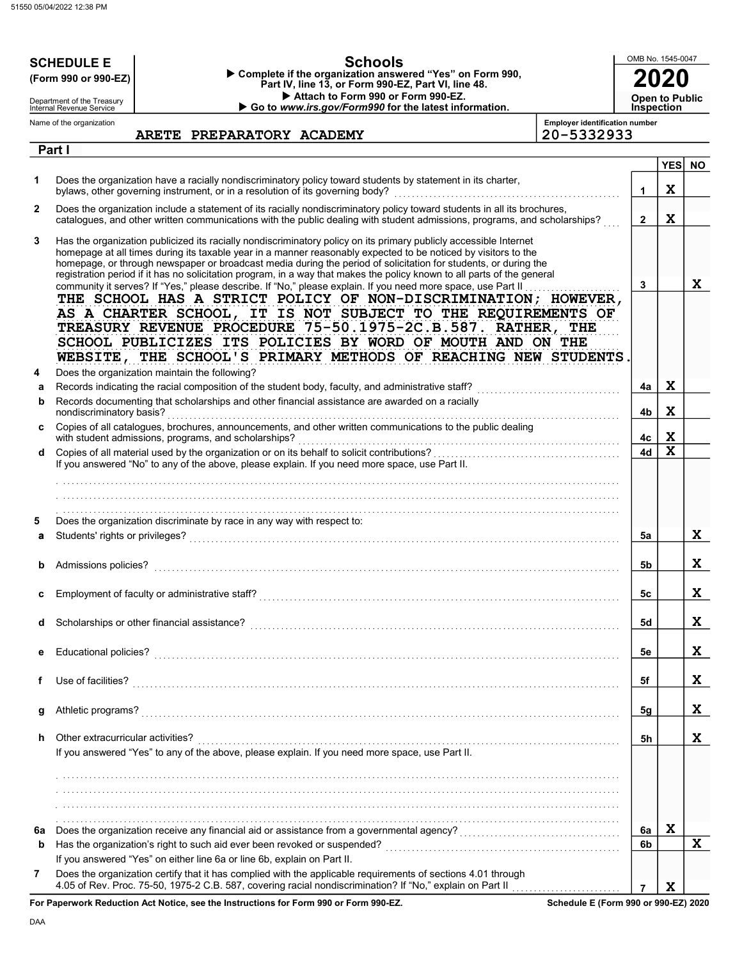|              | <b>SCHEDULE E</b>                                                                                                                                                                                                                                                                                                                                                                                                                                                                 |                           |  |  |  |  | <b>Schools</b> |                                                                                             |  |                                                          |  |                                       | OMB No. 1545-0047                          |                  |           |  |  |  |
|--------------|-----------------------------------------------------------------------------------------------------------------------------------------------------------------------------------------------------------------------------------------------------------------------------------------------------------------------------------------------------------------------------------------------------------------------------------------------------------------------------------|---------------------------|--|--|--|--|----------------|---------------------------------------------------------------------------------------------|--|----------------------------------------------------------|--|---------------------------------------|--------------------------------------------|------------------|-----------|--|--|--|
|              | (Form 990 or 990-EZ)                                                                                                                                                                                                                                                                                                                                                                                                                                                              |                           |  |  |  |  |                | Part IV, line 13, or Form 990-EZ, Part VI, line 48.                                         |  | Complete if the organization answered "Yes" on Form 990, |  |                                       |                                            |                  |           |  |  |  |
|              | Department of the Treasury<br>Internal Revenue Service                                                                                                                                                                                                                                                                                                                                                                                                                            |                           |  |  |  |  |                | Attach to Form 990 or Form 990-EZ.<br>Go to www.irs.gov/Form990 for the latest information. |  |                                                          |  |                                       | <b>Open to Public</b><br><b>Inspection</b> |                  |           |  |  |  |
|              | Name of the organization                                                                                                                                                                                                                                                                                                                                                                                                                                                          |                           |  |  |  |  |                |                                                                                             |  |                                                          |  | <b>Employer identification number</b> |                                            |                  |           |  |  |  |
|              | Part I                                                                                                                                                                                                                                                                                                                                                                                                                                                                            | ARETE PREPARATORY ACADEMY |  |  |  |  |                |                                                                                             |  |                                                          |  | 20-5332933                            |                                            |                  |           |  |  |  |
|              |                                                                                                                                                                                                                                                                                                                                                                                                                                                                                   |                           |  |  |  |  |                |                                                                                             |  |                                                          |  |                                       |                                            | <b>YES</b>       | <b>NO</b> |  |  |  |
| 1            | Does the organization have a racially nondiscriminatory policy toward students by statement in its charter,                                                                                                                                                                                                                                                                                                                                                                       |                           |  |  |  |  |                |                                                                                             |  |                                                          |  |                                       | $\mathbf{1}$                               | X                |           |  |  |  |
| $\mathbf{2}$ | Does the organization include a statement of its racially nondiscriminatory policy toward students in all its brochures,<br>catalogues, and other written communications with the public dealing with student admissions, programs, and scholarships?                                                                                                                                                                                                                             |                           |  |  |  |  |                |                                                                                             |  |                                                          |  |                                       | $\overline{2}$                             | X                |           |  |  |  |
| 3            | Has the organization publicized its racially nondiscriminatory policy on its primary publicly accessible Internet<br>homepage at all times during its taxable year in a manner reasonably expected to be noticed by visitors to the<br>homepage, or through newspaper or broadcast media during the period of solicitation for students, or during the<br>registration period if it has no solicitation program, in a way that makes the policy known to all parts of the general |                           |  |  |  |  |                |                                                                                             |  |                                                          |  |                                       |                                            |                  |           |  |  |  |
|              | community it serves? If "Yes," please describe. If "No," please explain. If you need more space, use Part II<br>THE SCHOOL HAS A STRICT POLICY OF NON-DISCRIMINATION; HOWEVER,<br>AS A CHARTER SCHOOL, IT IS NOT SUBJECT TO THE REQUIREMENTS OF<br>TREASURY REVENUE PROCEDURE 75-50.1975-2C.B.587. RATHER, THE<br>SCHOOL PUBLICIZES ITS POLICIES BY WORD OF MOUTH AND ON THE<br>WEBSITE, THE SCHOOL'S PRIMARY METHODS OF REACHING NEW STUDENTS                                    |                           |  |  |  |  |                |                                                                                             |  |                                                          |  |                                       | $\mathbf{3}$                               |                  | X         |  |  |  |
|              | Does the organization maintain the following?                                                                                                                                                                                                                                                                                                                                                                                                                                     |                           |  |  |  |  |                |                                                                                             |  |                                                          |  |                                       |                                            |                  |           |  |  |  |
| a<br>b       | Records documenting that scholarships and other financial assistance are awarded on a racially<br>nondiscriminatory basis?                                                                                                                                                                                                                                                                                                                                                        |                           |  |  |  |  |                |                                                                                             |  |                                                          |  |                                       | 4a<br>4b                                   | X<br>$\mathbf x$ |           |  |  |  |
|              | Copies of all catalogues, brochures, announcements, and other written communications to the public dealing<br>with student admissions, programs, and scholarships?                                                                                                                                                                                                                                                                                                                |                           |  |  |  |  |                |                                                                                             |  |                                                          |  |                                       | 4с                                         | X                |           |  |  |  |
| d            | If you answered "No" to any of the above, please explain. If you need more space, use Part II.                                                                                                                                                                                                                                                                                                                                                                                    |                           |  |  |  |  |                |                                                                                             |  |                                                          |  |                                       | 4d                                         | X                |           |  |  |  |
|              |                                                                                                                                                                                                                                                                                                                                                                                                                                                                                   |                           |  |  |  |  |                |                                                                                             |  |                                                          |  |                                       |                                            |                  |           |  |  |  |
| 5            | Does the organization discriminate by race in any way with respect to:                                                                                                                                                                                                                                                                                                                                                                                                            |                           |  |  |  |  |                |                                                                                             |  |                                                          |  |                                       |                                            |                  |           |  |  |  |
| a            | Students' rights or privileges?                                                                                                                                                                                                                                                                                                                                                                                                                                                   |                           |  |  |  |  |                |                                                                                             |  |                                                          |  |                                       | 5a                                         |                  | X         |  |  |  |
|              | Admissions policies?                                                                                                                                                                                                                                                                                                                                                                                                                                                              |                           |  |  |  |  |                |                                                                                             |  |                                                          |  |                                       | 5b                                         |                  | X         |  |  |  |
| c            |                                                                                                                                                                                                                                                                                                                                                                                                                                                                                   |                           |  |  |  |  |                |                                                                                             |  |                                                          |  |                                       | 5c                                         |                  | X         |  |  |  |
| d            |                                                                                                                                                                                                                                                                                                                                                                                                                                                                                   |                           |  |  |  |  |                |                                                                                             |  |                                                          |  |                                       | 5d                                         |                  | X         |  |  |  |
| е            |                                                                                                                                                                                                                                                                                                                                                                                                                                                                                   |                           |  |  |  |  |                |                                                                                             |  |                                                          |  |                                       | 5e                                         |                  | X         |  |  |  |
| f            |                                                                                                                                                                                                                                                                                                                                                                                                                                                                                   |                           |  |  |  |  |                |                                                                                             |  |                                                          |  |                                       | 5f                                         |                  | X         |  |  |  |
| g            |                                                                                                                                                                                                                                                                                                                                                                                                                                                                                   |                           |  |  |  |  |                |                                                                                             |  |                                                          |  |                                       | 5g                                         |                  | X         |  |  |  |
| h.           | Other extracurricular activities?<br>If you answered "Yes" to any of the above, please explain. If you need more space, use Part II.                                                                                                                                                                                                                                                                                                                                              |                           |  |  |  |  |                |                                                                                             |  |                                                          |  |                                       | 5h                                         |                  | X         |  |  |  |
|              |                                                                                                                                                                                                                                                                                                                                                                                                                                                                                   |                           |  |  |  |  |                |                                                                                             |  |                                                          |  |                                       |                                            |                  |           |  |  |  |
|              |                                                                                                                                                                                                                                                                                                                                                                                                                                                                                   |                           |  |  |  |  |                |                                                                                             |  |                                                          |  |                                       |                                            |                  |           |  |  |  |
|              |                                                                                                                                                                                                                                                                                                                                                                                                                                                                                   |                           |  |  |  |  |                |                                                                                             |  |                                                          |  |                                       |                                            |                  |           |  |  |  |
| 6a           |                                                                                                                                                                                                                                                                                                                                                                                                                                                                                   |                           |  |  |  |  |                |                                                                                             |  |                                                          |  |                                       | 6a                                         | X                |           |  |  |  |
| b            |                                                                                                                                                                                                                                                                                                                                                                                                                                                                                   |                           |  |  |  |  |                |                                                                                             |  |                                                          |  |                                       | 6b                                         |                  | X         |  |  |  |
| 7            | If you answered "Yes" on either line 6a or line 6b, explain on Part II.<br>Does the organization certify that it has complied with the applicable requirements of sections 4.01 through<br>4.05 of Rev. Proc. 75-50, 1975-2 C.B. 587, covering racial nondiscrimination? If "No," explain on Part II                                                                                                                                                                              |                           |  |  |  |  |                |                                                                                             |  |                                                          |  |                                       |                                            |                  |           |  |  |  |
|              | For Panomuork Poduction Act Notice, can the Instructions for Form 000 or Form 000 FZ                                                                                                                                                                                                                                                                                                                                                                                              |                           |  |  |  |  |                |                                                                                             |  |                                                          |  | Schodule E (Form 880 or 880 EZ) 2020  | $\overline{7}$                             | $\mathbf x$      |           |  |  |  |

For Paperwork Reduction Act Notice, see the Instructions for Form 990 or Form 990-EZ.

Schedule E (Form 990 or 990-EZ) 2020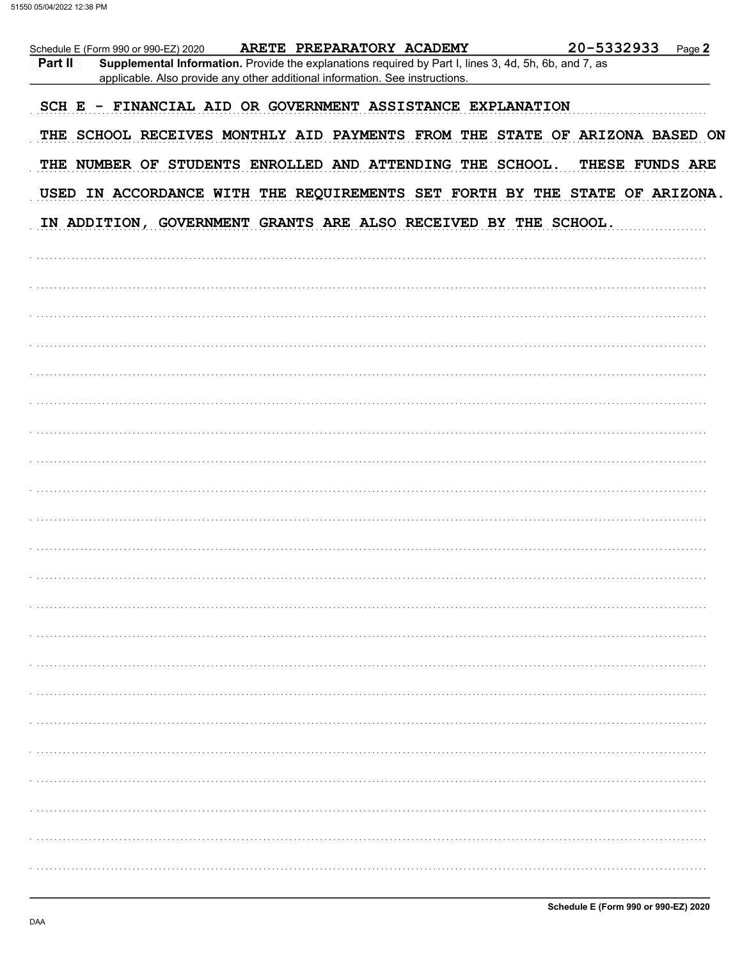| ARETE PREPARATORY ACADEMY<br>Schedule E (Form 990 or 990-EZ) 2020                                                                                                                                | 20-5332933<br>Page 2 |
|--------------------------------------------------------------------------------------------------------------------------------------------------------------------------------------------------|----------------------|
| Part II<br>Supplemental Information. Provide the explanations required by Part I, lines 3, 4d, 5h, 6b, and 7, as<br>applicable. Also provide any other additional information. See instructions. |                      |
| SCH E - FINANCIAL AID OR GOVERNMENT ASSISTANCE EXPLANATION                                                                                                                                       |                      |
| THE SCHOOL RECEIVES MONTHLY AID PAYMENTS FROM THE STATE OF ARIZONA BASED ON                                                                                                                      |                      |
| THE NUMBER OF STUDENTS ENROLLED AND ATTENDING THE SCHOOL.                                                                                                                                        | THESE FUNDS ARE      |
| USED IN ACCORDANCE WITH THE REQUIREMENTS SET FORTH BY THE STATE OF ARIZONA.                                                                                                                      |                      |
| IN ADDITION, GOVERNMENT GRANTS ARE ALSO RECEIVED BY THE SCHOOL.                                                                                                                                  |                      |
|                                                                                                                                                                                                  |                      |
|                                                                                                                                                                                                  |                      |
|                                                                                                                                                                                                  |                      |
|                                                                                                                                                                                                  |                      |
|                                                                                                                                                                                                  |                      |
|                                                                                                                                                                                                  |                      |
|                                                                                                                                                                                                  |                      |
|                                                                                                                                                                                                  |                      |
|                                                                                                                                                                                                  |                      |
|                                                                                                                                                                                                  |                      |
|                                                                                                                                                                                                  |                      |
|                                                                                                                                                                                                  |                      |
|                                                                                                                                                                                                  |                      |
|                                                                                                                                                                                                  |                      |
|                                                                                                                                                                                                  |                      |
|                                                                                                                                                                                                  |                      |
|                                                                                                                                                                                                  |                      |
|                                                                                                                                                                                                  |                      |
|                                                                                                                                                                                                  |                      |
|                                                                                                                                                                                                  |                      |
|                                                                                                                                                                                                  |                      |
|                                                                                                                                                                                                  |                      |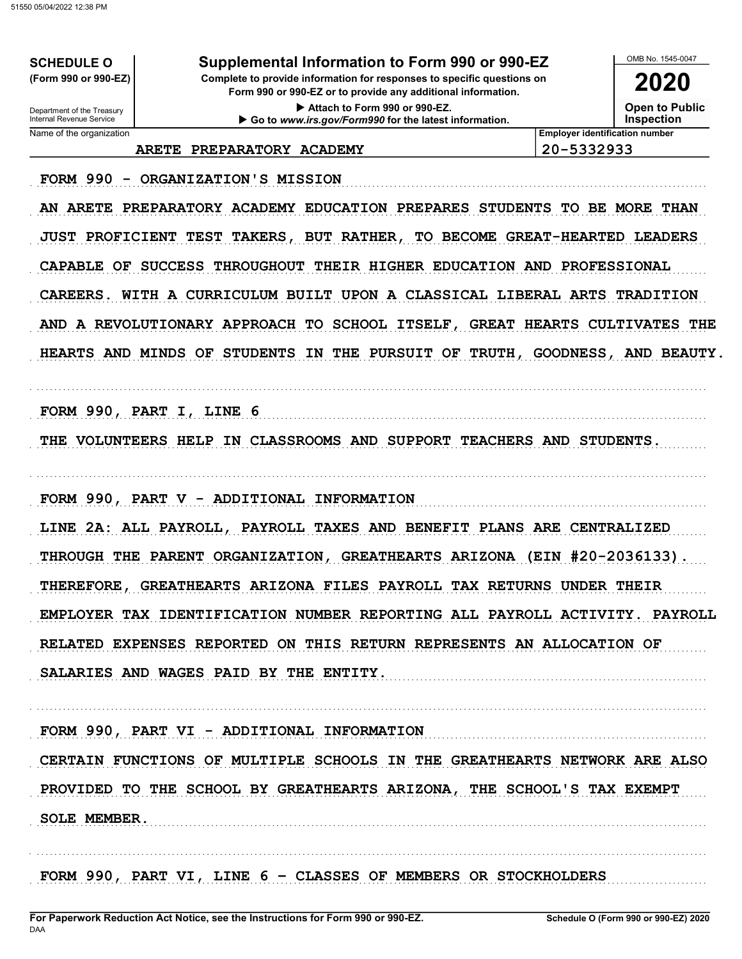**SCHEDULE O** (Form 990 or 990-EZ)

Supplemental Information to Form 990 or 990-EZ

Complete to provide information for responses to specific questions on Form 990 or 990-EZ or to provide any additional information.

> Attach to Form 990 or 990-EZ. Go to www.irs.gov/Form990 for the latest information.

OMB No 1545-0047 2020

**Open to Public** 

**Inspection** 

Department of the Treasury<br>Internal Revenue Service Name of the organization

ARETE PREPARATORY ACADEMY

20-5332933

**Employer identification number** 

FORM 990 - ORGANIZATION'S MISSION

AN ARETE PREPARATORY ACADEMY EDUCATION PREPARES STUDENTS TO BE MORE THAN JUST PROFICIENT TEST TAKERS, BUT RATHER, TO BECOME GREAT-HEARTED LEADERS CAPABLE OF SUCCESS THROUGHOUT THEIR HIGHER EDUCATION AND PROFESSIONAL CAREERS. WITH A CURRICULUM BUILT UPON A CLASSICAL LIBERAL ARTS TRADITION AND A REVOLUTIONARY APPROACH TO SCHOOL ITSELF, GREAT HEARTS CULTIVATES THE HEARTS AND MINDS OF STUDENTS IN THE PURSUIT OF TRUTH, GOODNESS, AND BEAUTY.

FORM 990, PART I, LINE 6

THE VOLUNTEERS HELP IN CLASSROOMS AND SUPPORT TEACHERS AND STUDENTS.

FORM 990, PART V - ADDITIONAL INFORMATION

LINE 2A: ALL PAYROLL, PAYROLL TAXES AND BENEFIT PLANS ARE CENTRALIZED THROUGH THE PARENT ORGANIZATION, GREATHEARTS ARIZONA (EIN #20-2036133). THEREFORE, GREATHEARTS ARIZONA FILES PAYROLL TAX RETURNS UNDER THEIR EMPLOYER TAX IDENTIFICATION NUMBER REPORTING ALL PAYROLL ACTIVITY. PAYROLL RELATED EXPENSES REPORTED ON THIS RETURN REPRESENTS AN ALLOCATION OF SALARIES AND WAGES PAID BY THE ENTITY.

FORM 990, PART VI - ADDITIONAL INFORMATION CERTAIN FUNCTIONS OF MULTIPLE SCHOOLS IN THE GREATHEARTS NETWORK ARE ALSO PROVIDED TO THE SCHOOL BY GREATHEARTS ARIZONA, THE SCHOOL'S TAX EXEMPT SOLE MEMBER.

FORM 990, PART VI, LINE 6 - CLASSES OF MEMBERS OR STOCKHOLDERS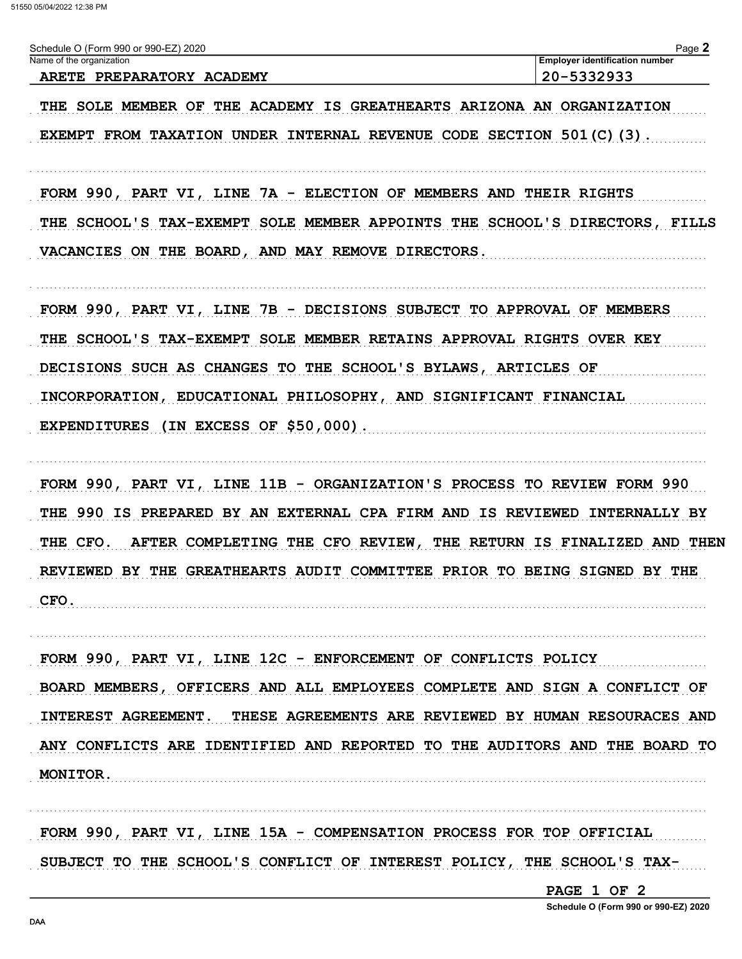| Schedule O (Form 990 or 990-EZ) 2020 | Page $\blacktriangle$                 |
|--------------------------------------|---------------------------------------|
| Name of the organization             | <b>Employer identification number</b> |
| ARETE PREPARATORY ACADEMY            | 20-5332933                            |
|                                      |                                       |

THE SOLE MEMBER OF THE ACADEMY IS GREATHEARTS ARIZONA AN ORGANIZATION EXEMPT FROM TAXATION UNDER INTERNAL REVENUE CODE SECTION 501(C)(3).

FORM 990, PART VI, LINE 7A - ELECTION OF MEMBERS AND THEIR RIGHTS THE SCHOOL'S TAX-EXEMPT SOLE MEMBER APPOINTS THE SCHOOL'S DIRECTORS, FILLS VACANCIES ON THE BOARD, AND MAY REMOVE DIRECTORS.

FORM 990, PART VI, LINE 7B - DECISIONS SUBJECT TO APPROVAL OF MEMBERS THE SCHOOL'S TAX-EXEMPT SOLE MEMBER RETAINS APPROVAL RIGHTS OVER KEY DECISIONS SUCH AS CHANGES TO THE SCHOOL'S BYLAWS, ARTICLES OF INCORPORATION, EDUCATIONAL PHILOSOPHY, AND SIGNIFICANT FINANCIAL EXPENDITURES (IN EXCESS OF \$50,000).

FORM 990, PART VI, LINE 11B - ORGANIZATION'S PROCESS TO REVIEW FORM 990 THE 990 IS PREPARED BY AN EXTERNAL CPA FIRM AND IS REVIEWED INTERNALLY BY THE CFO. AFTER COMPLETING THE CFO REVIEW, THE RETURN IS FINALIZED AND THEN REVIEWED BY THE GREATHEARTS AUDIT COMMITTEE PRIOR TO BEING SIGNED BY THE CFO.

FORM 990, PART VI, LINE 12C - ENFORCEMENT OF CONFLICTS POLICY BOARD MEMBERS, OFFICERS AND ALL EMPLOYEES COMPLETE AND SIGN A CONFLICT OF INTEREST AGREEMENT. THESE AGREEMENTS ARE REVIEWED BY HUMAN RESOURACES AND ANY CONFLICTS ARE IDENTIFIED AND REPORTED TO THE AUDITORS AND THE BOARD TO MONITOR.

FORM 990, PART VI, LINE 15A - COMPENSATION PROCESS FOR TOP OFFICIAL SUBJECT TO THE SCHOOL'S CONFLICT OF INTEREST POLICY, THE SCHOOL'S TAX-

PAGE 1 OF 2

Schedule O (Form 990 or 990-EZ) 2020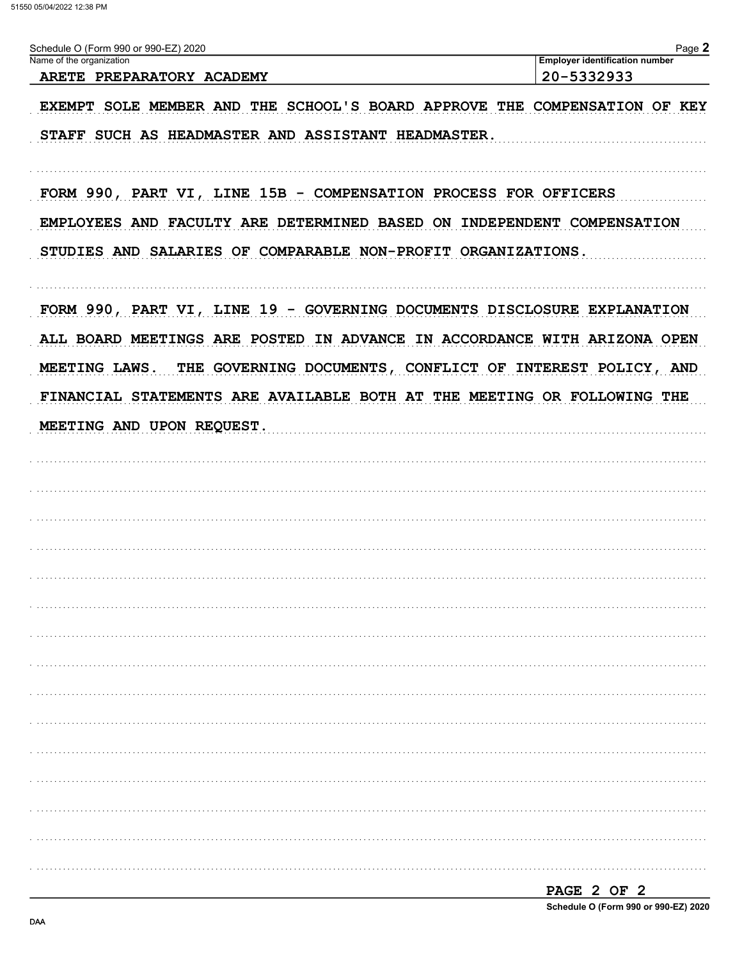| Schedule O (Form 990 or 990-EZ) 2020<br>Name of the organization           | Page 2                                              |
|----------------------------------------------------------------------------|-----------------------------------------------------|
| ARETE PREPARATORY ACADEMY                                                  | <b>Employer identification number</b><br>20-5332933 |
| EXEMPT SOLE MEMBER AND THE SCHOOL'S BOARD APPROVE THE COMPENSATION OF KEY  |                                                     |
| STAFF SUCH AS HEADMASTER AND ASSISTANT HEADMASTER.                         |                                                     |
|                                                                            |                                                     |
| FORM 990, PART VI, LINE 15B - COMPENSATION PROCESS FOR OFFICERS            |                                                     |
| EMPLOYEES AND FACULTY ARE DETERMINED BASED ON INDEPENDENT COMPENSATION     |                                                     |
| STUDIES AND SALARIES OF COMPARABLE NON-PROFIT ORGANIZATIONS.               |                                                     |
|                                                                            |                                                     |
| FORM 990, PART VI, LINE 19 - GOVERNING DOCUMENTS DISCLOSURE EXPLANATION    |                                                     |
| ALL BOARD MEETINGS ARE POSTED IN ADVANCE IN ACCORDANCE WITH ARIZONA OPEN   |                                                     |
| THE GOVERNING DOCUMENTS, CONFLICT OF INTEREST POLICY, AND<br>MEETING LAWS. |                                                     |
| FINANCIAL STATEMENTS ARE AVAILABLE BOTH AT THE MEETING OR FOLLOWING THE    |                                                     |
|                                                                            |                                                     |
| MEETING AND UPON REQUEST.                                                  |                                                     |
|                                                                            |                                                     |
|                                                                            |                                                     |
|                                                                            |                                                     |
|                                                                            |                                                     |
|                                                                            |                                                     |
|                                                                            |                                                     |
|                                                                            |                                                     |
|                                                                            |                                                     |
|                                                                            |                                                     |
|                                                                            |                                                     |
|                                                                            |                                                     |
|                                                                            |                                                     |
|                                                                            |                                                     |
|                                                                            |                                                     |
|                                                                            |                                                     |
|                                                                            |                                                     |
|                                                                            |                                                     |

| PAGE 2 OF 2 |  |                                      |
|-------------|--|--------------------------------------|
|             |  | Schedule O (Form 990 or 990-EZ) 2020 |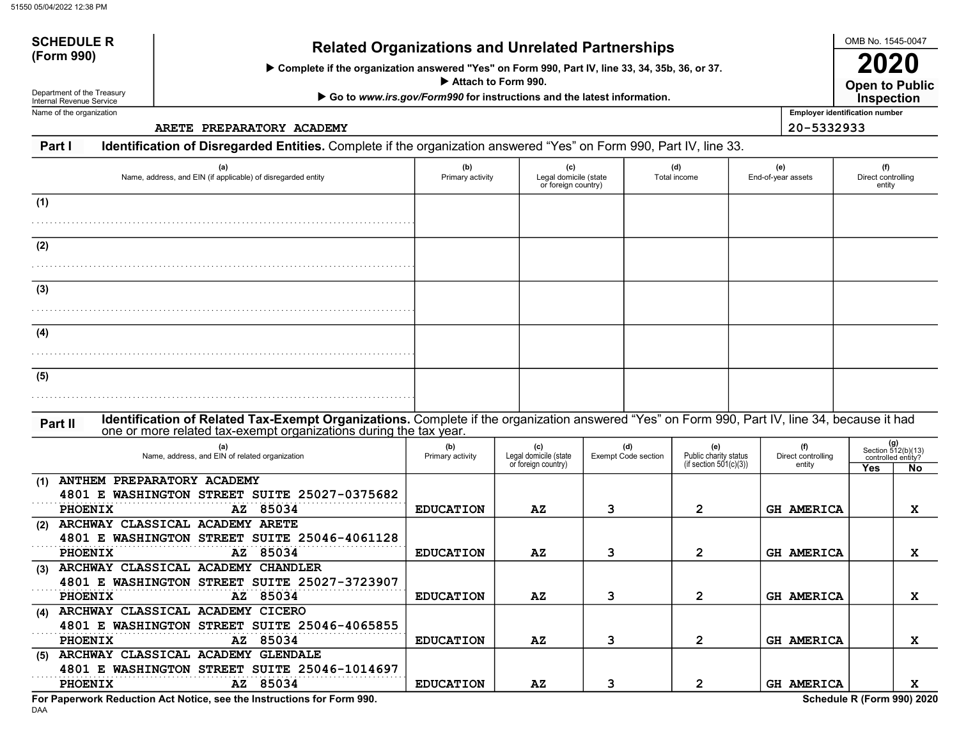## SCHEDULE R<br>(Form 990) Related Organizations and Unrelated Partnerships

Complete if the organization answered "Yes" on Form 990, Part IV, line 33, 34, 35b, 36, or 37.

Attach to Form 990.

▶ Go to www.irs.gov/Form990 for instructions and the latest information.

Department of the Treasury Internal Revenue Service Name of the organization

SCHEDULE R

ARETE PREPARATORY ACADEMY 20-5332933

Open to Public 2020 **inspection** 

OMB No. 1545-0047

Employer identification number

Part I Identification of Disregarded Entities. Complete if the organization answered "Yes" on Form 990, Part IV, line 33.

| (a)<br>Name, address, and EIN (if applicable) of disregarded entity                                                                                                                                                           | (b)<br>Primary activity | (c)<br>Legal domicile (state<br>or foreign country) |                                   | (d)<br>Total income |                                                           | (e)<br>End-of-year assets           | (f)<br>Direct controlling<br>entity |                                                         |  |
|-------------------------------------------------------------------------------------------------------------------------------------------------------------------------------------------------------------------------------|-------------------------|-----------------------------------------------------|-----------------------------------|---------------------|-----------------------------------------------------------|-------------------------------------|-------------------------------------|---------------------------------------------------------|--|
| (1)                                                                                                                                                                                                                           |                         |                                                     |                                   |                     |                                                           |                                     |                                     |                                                         |  |
| (2)                                                                                                                                                                                                                           |                         |                                                     |                                   |                     |                                                           |                                     |                                     |                                                         |  |
| (3)                                                                                                                                                                                                                           |                         |                                                     |                                   |                     |                                                           |                                     |                                     |                                                         |  |
| (4)                                                                                                                                                                                                                           |                         |                                                     |                                   |                     |                                                           |                                     |                                     |                                                         |  |
| (5)                                                                                                                                                                                                                           |                         |                                                     |                                   |                     |                                                           |                                     |                                     |                                                         |  |
| Identification of Related Tax-Exempt Organizations. Complete if the organization answered "Yes" on Form 990, Part IV, line 34, because it had<br>Part II<br>one or more related tax-exempt organizations during the tax year. |                         |                                                     |                                   |                     |                                                           |                                     |                                     |                                                         |  |
| (a)<br>Name, address, and EIN of related organization                                                                                                                                                                         | (b)<br>Primary activity | (c)<br>Legal domicile (state<br>or foreign country) | (d)<br><b>Exempt Code section</b> |                     | (e)<br>Public charity status<br>(if section $501(c)(3)$ ) | (f)<br>Direct controlling<br>entity | Yes                                 | $(g)$<br>Section 512(b)(13)<br>controlled entity?<br>No |  |
| ANTHEM PREPARATORY ACADEMY<br>(1)<br>4801 E WASHINGTON STREET SUITE 25027-0375682<br>PHOENIX<br>85034<br>AZ                                                                                                                   | <b>EDUCATION</b>        | $\mathbf{A} \mathbf{Z}$                             | 3                                 |                     | $\overline{2}$                                            | <b>GH AMERICA</b>                   |                                     | X                                                       |  |
| ARCHWAY CLASSICAL ACADEMY ARETE<br>(2)<br>4801 E WASHINGTON STREET SUITE 25046-4061128<br>85034<br><b>PHOENIX</b><br>AZ                                                                                                       | <b>EDUCATION</b>        | $\mathbf{A} \mathbf{Z}$                             | 3                                 |                     | $\overline{2}$                                            | <b>GH AMERICA</b>                   |                                     | X                                                       |  |
| ARCHWAY CLASSICAL ACADEMY CHANDLER<br>(3)<br>4801 E WASHINGTON STREET SUITE 25027-3723907                                                                                                                                     |                         |                                                     |                                   |                     |                                                           |                                     |                                     |                                                         |  |
| PHOENIX<br>85034<br>AZ<br>ARCHWAY CLASSICAL ACADEMY CICERO<br>(4)<br>4801 E WASHINGTON STREET SUITE 25046-4065855                                                                                                             | <b>EDUCATION</b>        | AZ                                                  | 3                                 |                     | $\overline{2}$                                            | <b>GH AMERICA</b>                   |                                     | X                                                       |  |
| 85034<br>PHOENIX<br>AZ<br>ARCHWAY CLASSICAL ACADEMY GLENDALE<br>(5)<br>4801 E WASHINGTON STREET SUITE 25046-1014697                                                                                                           | <b>EDUCATION</b>        | $\mathbf{A} \mathbf{Z}$                             | 3                                 |                     | $\overline{2}$                                            | <b>GH AMERICA</b>                   |                                     | X                                                       |  |
| AZ 85034<br><b>PHOENIX</b>                                                                                                                                                                                                    | <b>EDUCATION</b>        | AZ                                                  | 3                                 |                     | $\mathbf{2}$                                              | <b>GH AMERICA</b>                   |                                     | x                                                       |  |

For Paperwork Reduction Act Notice, see the Instructions for Form 990. Schedule R (Form 990) 2020

DAA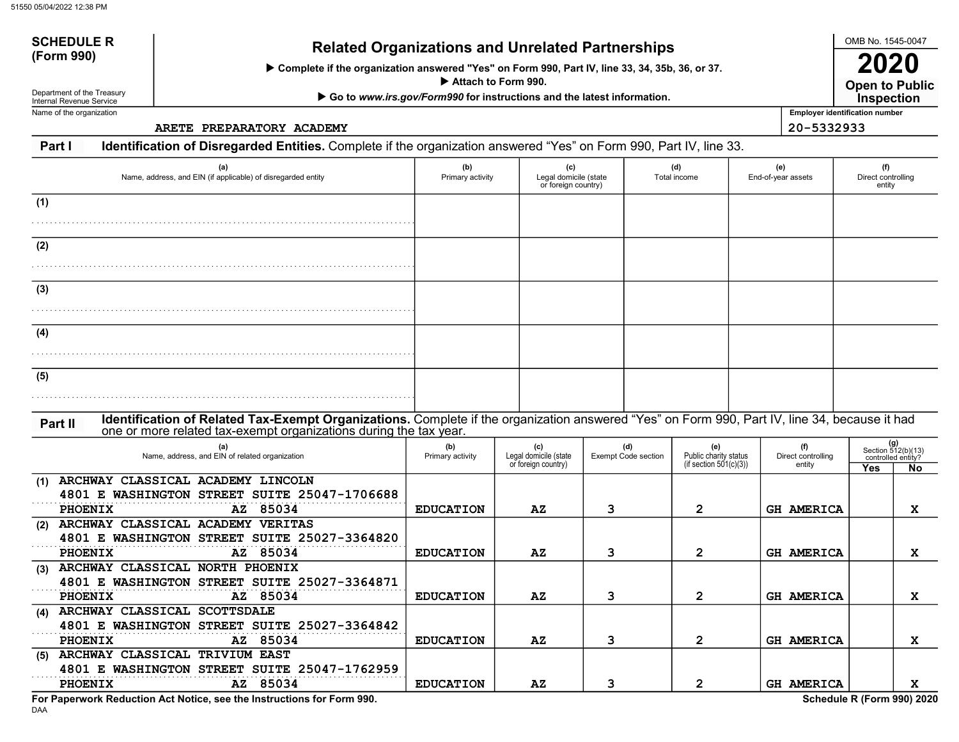## SCHEDULE R<br>(Form 990) Related Organizations and Unrelated Partnerships

Complete if the organization answered "Yes" on Form 990, Part IV, line 33, 34, 35b, 36, or 37.

Attach to Form 990.

▶ Go to www.irs.gov/Form990 for instructions and the latest information.

Department of the Treasury Internal Revenue Service Name of the organization

SCHEDULE R

ARETE PREPARATORY ACADEMY 20-5332933

Open to Public 2020 **inspection** 

Employer identification number

Part I Identification of Disregarded Entities. Complete if the organization answered "Yes" on Form 990, Part IV, line 33.

| (a)<br>Name, address, and EIN (if applicable) of disregarded entity                                                                                                                                                           | (b)<br>Primary activity | (c)<br>Legal domicile (state<br>or foreign country) |                                   | (d)<br>Total income                                       | (e)<br>End-of-year assets           | (f)<br>Direct controlling<br>entity                          |
|-------------------------------------------------------------------------------------------------------------------------------------------------------------------------------------------------------------------------------|-------------------------|-----------------------------------------------------|-----------------------------------|-----------------------------------------------------------|-------------------------------------|--------------------------------------------------------------|
| (1)                                                                                                                                                                                                                           |                         |                                                     |                                   |                                                           |                                     |                                                              |
| (2)                                                                                                                                                                                                                           |                         |                                                     |                                   |                                                           |                                     |                                                              |
| (3)                                                                                                                                                                                                                           |                         |                                                     |                                   |                                                           |                                     |                                                              |
| (4)                                                                                                                                                                                                                           |                         |                                                     |                                   |                                                           |                                     |                                                              |
| (5)                                                                                                                                                                                                                           |                         |                                                     |                                   |                                                           |                                     |                                                              |
| Identification of Related Tax-Exempt Organizations. Complete if the organization answered "Yes" on Form 990, Part IV, line 34, because it had<br>Part II<br>one or more related tax-exempt organizations during the tax year. |                         |                                                     |                                   |                                                           |                                     |                                                              |
| (a)<br>Name, address, and EIN of related organization                                                                                                                                                                         | (b)<br>Primary activity | (c)<br>Legal domicile (state<br>or foreign country) | (d)<br><b>Exempt Code section</b> | (e)<br>Public charity status<br>(if section $501(c)(3)$ ) | (f)<br>Direct controlling<br>entity | (g)<br>Section 512(b)(13)<br>controlled entity?<br>Yes<br>No |
| ARCHWAY CLASSICAL ACADEMY LINCOLN<br>(1)<br>4801 E WASHINGTON STREET SUITE 25047-1706688<br>AZ 85034<br>PHOENIX                                                                                                               | <b>EDUCATION</b>        | $\mathbf{A} \mathbf{Z}$                             | 3                                 | $\overline{2}$                                            | <b>GH AMERICA</b>                   | X                                                            |
| (2) ARCHWAY CLASSICAL ACADEMY VERITAS<br>4801 E WASHINGTON STREET SUITE 25027-3364820<br>AZ 85034<br><b>PHOENIX</b>                                                                                                           | <b>EDUCATION</b>        | AZ                                                  | 3                                 | $\overline{2}$                                            | <b>GH AMERICA</b>                   | X                                                            |
| (3) ARCHWAY CLASSICAL NORTH PHOENIX<br>4801 E WASHINGTON STREET SUITE 25027-3364871<br>AZ 85034<br><b>PHOENIX</b>                                                                                                             | <b>EDUCATION</b>        | AZ                                                  | 3                                 | $\overline{2}$                                            | <b>GH AMERICA</b>                   | X                                                            |
| (4) ARCHWAY CLASSICAL SCOTTSDALE<br>4801 E WASHINGTON STREET SUITE 25027-3364842<br>PHOENIX<br>85034<br>AZ                                                                                                                    | <b>EDUCATION</b>        | AZ                                                  | 3                                 | $\overline{2}$                                            | <b>GH AMERICA</b>                   | X                                                            |
| (5) ARCHWAY CLASSICAL TRIVIUM EAST<br>4801 E WASHINGTON STREET SUITE 25047-1762959<br>AZ 85034<br><b>PHOENIX</b>                                                                                                              | <b>EDUCATION</b>        | AZ                                                  | 3                                 | $\mathbf{2}$                                              | <b>GH AMERICA</b>                   | x                                                            |

DAA For Paperwork Reduction Act Notice, see the Instructions for Form 990. Schedule R (Form 990) 2020

OMB No. 1545-0047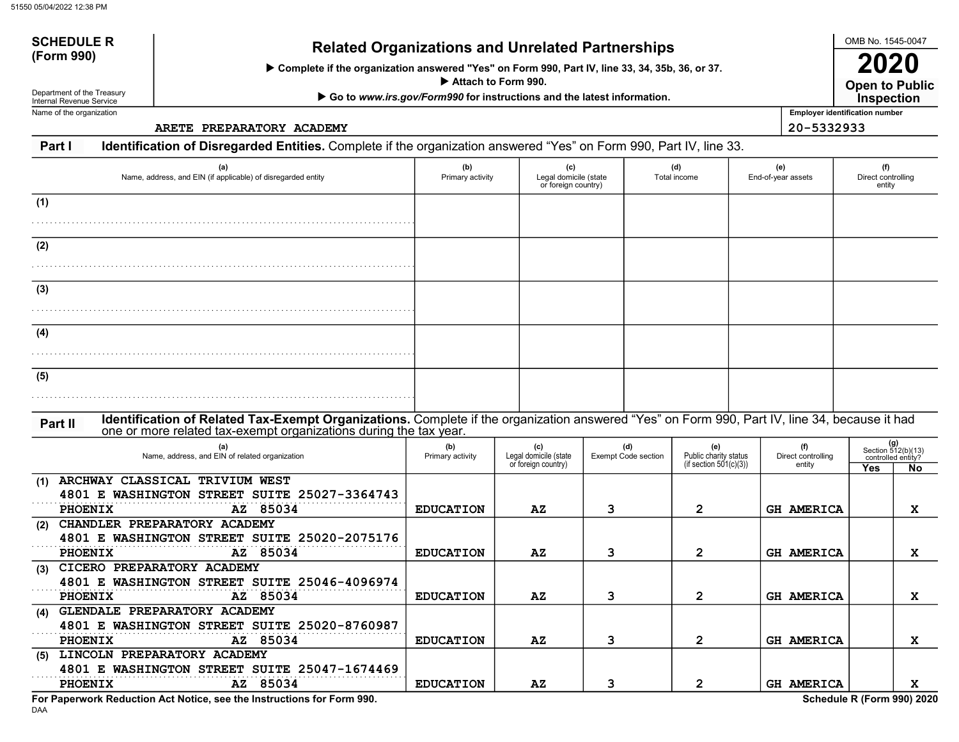# SCHEDULE Related Organizations and Unrelated Partnerships (Form 990)

Complete if the organization answered "Yes" on Form 990, Part IV, line 33, 34, 35b, 36, or 37.

Attach to Form 990.

▶ Go to www.irs.gov/Form990 for instructions and the latest information.

Department of the Treasury Internal Revenue Service Name of the organization

SCHEDULE R

ARETE PREPARATORY ACADEMY 20-5332933

Open to Public 2020 **inspection** 

Employer identification number

Part I Identification of Disregarded Entities. Complete if the organization answered "Yes" on Form 990, Part IV, line 33.

| (a)<br>Name, address, and EIN (if applicable) of disregarded entity                                                                                                                                                           | (b)<br>Primary activity | (c)<br>Legal domicile (state<br>or foreign country) |                                   | (d)<br>Total income |                                                           |                                     | (e)<br>End-of-year assets | (f)<br>Direct controlling<br>entity |                                                       |  |
|-------------------------------------------------------------------------------------------------------------------------------------------------------------------------------------------------------------------------------|-------------------------|-----------------------------------------------------|-----------------------------------|---------------------|-----------------------------------------------------------|-------------------------------------|---------------------------|-------------------------------------|-------------------------------------------------------|--|
| (1)                                                                                                                                                                                                                           |                         |                                                     |                                   |                     |                                                           |                                     |                           |                                     |                                                       |  |
| (2)                                                                                                                                                                                                                           |                         |                                                     |                                   |                     |                                                           |                                     |                           |                                     |                                                       |  |
| (3)                                                                                                                                                                                                                           |                         |                                                     |                                   |                     |                                                           |                                     |                           |                                     |                                                       |  |
| (4)                                                                                                                                                                                                                           |                         |                                                     |                                   |                     |                                                           |                                     |                           |                                     |                                                       |  |
| (5)                                                                                                                                                                                                                           |                         |                                                     |                                   |                     |                                                           |                                     |                           |                                     |                                                       |  |
| Identification of Related Tax-Exempt Organizations. Complete if the organization answered "Yes" on Form 990, Part IV, line 34, because it had<br>Part II<br>one or more related tax-exempt organizations during the tax year. |                         |                                                     |                                   |                     |                                                           |                                     |                           |                                     |                                                       |  |
| (a)<br>Name, address, and EIN of related organization                                                                                                                                                                         | (b)<br>Primary activity | (c)<br>Legal domicile (state<br>or foreign country) | (d)<br><b>Exempt Code section</b> |                     | (e)<br>Public charity status<br>(if section $501(c)(3)$ ) | (f)<br>Direct controlling<br>entity |                           | Yes                                 | (g)<br>Section 512(b)(13)<br>controlled entity?<br>No |  |
| (1) ARCHWAY CLASSICAL TRIVIUM WEST<br>4801 E WASHINGTON STREET SUITE 25027-3364743<br><b>PHOENIX</b><br>AZ 85034                                                                                                              | <b>EDUCATION</b>        | AZ                                                  | 3                                 |                     | $\overline{2}$                                            |                                     | <b>GH AMERICA</b>         |                                     | x                                                     |  |
| CHANDLER PREPARATORY ACADEMY<br>(2)<br>4801 E WASHINGTON STREET SUITE 25020-2075176<br>PHOENIX<br>AZ 85034                                                                                                                    | <b>EDUCATION</b>        | $\mathbf{A} \mathbf{Z}$                             | 3                                 |                     | $\mathbf{2}$                                              |                                     | <b>GH AMERICA</b>         |                                     | X                                                     |  |
| CICERO PREPARATORY ACADEMY<br>(3)<br>4801 E WASHINGTON STREET SUITE 25046-4096974<br>AZ 85034<br><b>PHOENIX</b>                                                                                                               | <b>EDUCATION</b>        | AZ                                                  | 3                                 |                     | $\overline{2}$                                            |                                     | <b>GH AMERICA</b>         |                                     | x                                                     |  |
| GLENDALE PREPARATORY ACADEMY<br>(4)<br>4801 E WASHINGTON STREET SUITE 25020-8760987<br>AZ 85034<br><b>PHOENIX</b>                                                                                                             | <b>EDUCATION</b>        | $\mathbf{A} \mathbf{Z}$                             | 3                                 |                     | $\overline{2}$                                            |                                     | <b>GH AMERICA</b>         |                                     | X                                                     |  |
| (5) LINCOLN PREPARATORY ACADEMY<br>4801 E WASHINGTON STREET SUITE 25047-1674469<br>AZ 85034<br><b>PHOENIX</b>                                                                                                                 | <b>EDUCATION</b>        | AZ                                                  | 3                                 |                     | $\overline{2}$                                            |                                     | <b>GH AMERICA</b>         |                                     | X                                                     |  |

DAA For Paperwork Reduction Act Notice, see the Instructions for Form 990. Schedule R (Form 990) 2020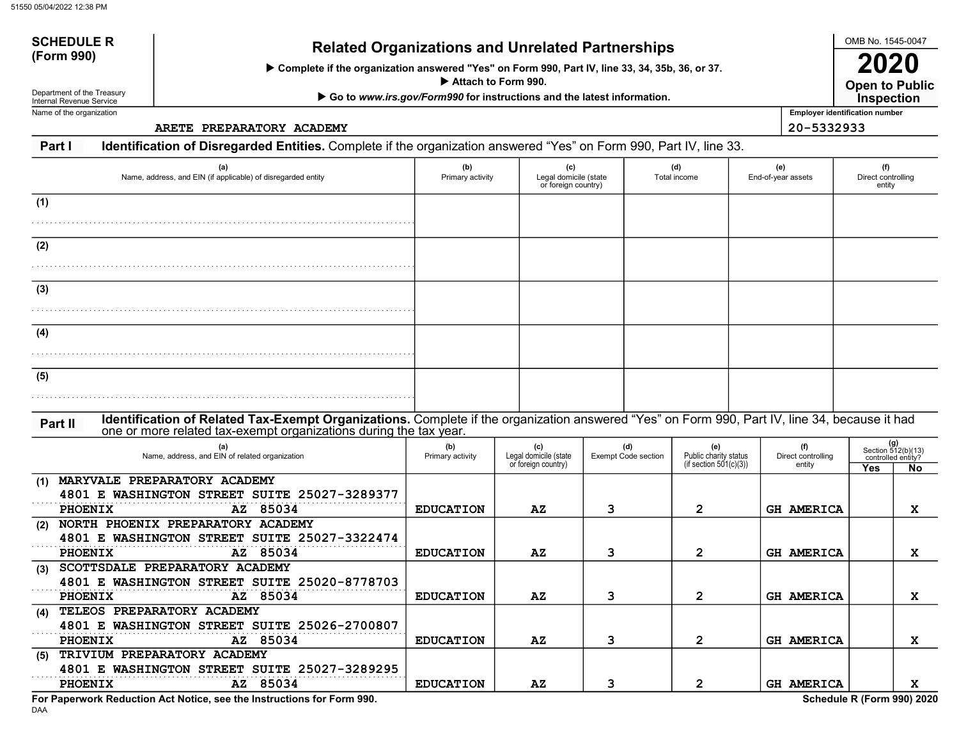# SCHEDULE Related Organizations and Unrelated Partnerships (Form 990)

Complete if the organization answered "Yes" on Form 990, Part IV, line 33, 34, 35b, 36, or 37.

Attach to Form 990.

▶ Go to www.irs.gov/Form990 for instructions and the latest information.

Department of the Treasury Internal Revenue Service Name of the organization

SCHEDULE R

ARETE PREPARATORY ACADEMY 20-5332933

Open to Public 2020 **Inspection** 

OMB No. 1545-0047

Employer identification number

Part I Identification of Disregarded Entities. Complete if the organization answered "Yes" on Form 990, Part IV, line 33.

| (a)<br>Name, address, and EIN (if applicable) of disregarded entity                                                                                                                                                           | (b)<br>Primary activity | (c)<br>Legal domicile (state<br>or foreign country) |                                   | (d)<br>Total income                                    | (e)<br>End-of-year assets           | (f)<br>Direct controlling<br>entity                                          |                                                       |
|-------------------------------------------------------------------------------------------------------------------------------------------------------------------------------------------------------------------------------|-------------------------|-----------------------------------------------------|-----------------------------------|--------------------------------------------------------|-------------------------------------|------------------------------------------------------------------------------|-------------------------------------------------------|
| (1)                                                                                                                                                                                                                           |                         |                                                     |                                   |                                                        |                                     |                                                                              |                                                       |
| (2)                                                                                                                                                                                                                           |                         |                                                     |                                   |                                                        |                                     |                                                                              |                                                       |
| (3)                                                                                                                                                                                                                           |                         |                                                     |                                   |                                                        |                                     |                                                                              |                                                       |
| (4)                                                                                                                                                                                                                           |                         |                                                     |                                   |                                                        |                                     |                                                                              |                                                       |
| (5)                                                                                                                                                                                                                           |                         |                                                     |                                   |                                                        |                                     |                                                                              |                                                       |
| Identification of Related Tax-Exempt Organizations. Complete if the organization answered "Yes" on Form 990, Part IV, line 34, because it had<br>Part II<br>one or more related tax-exempt organizations during the tax year. |                         |                                                     |                                   |                                                        |                                     |                                                                              |                                                       |
| (a)<br>Name, address, and EIN of related organization                                                                                                                                                                         | (b)<br>Primary activity | (c)<br>Legal domicile (state<br>or foreign country) | (d)<br><b>Exempt Code section</b> | (e)<br>Public charity status<br>(if section 501(c)(3)) | (f)<br>Direct controlling<br>entity | Yes                                                                          | (g)<br>Section 512(b)(13)<br>controlled entity?<br>No |
| MARYVALE PREPARATORY ACADEMY<br>(1)<br>4801 E WASHINGTON STREET SUITE 25027-3289377<br>AZ 85034<br>PHOENIX                                                                                                                    | <b>EDUCATION</b>        | AZ                                                  | 3                                 | $\overline{2}$                                         | <b>GH AMERICA</b>                   |                                                                              | $\mathbf{x}$                                          |
| (2) NORTH PHOENIX PREPARATORY ACADEMY<br>4801 E WASHINGTON STREET SUITE 25027-3322474<br>PHOENIX<br>AZ 85034                                                                                                                  | <b>EDUCATION</b>        | $\mathbf{A} \mathbf{Z}$                             | 3                                 | $\overline{2}$                                         | <b>GH AMERICA</b>                   |                                                                              | $\mathbf{x}$                                          |
| (3) SCOTTSDALE PREPARATORY ACADEMY<br>4801 E WASHINGTON STREET SUITE 25020-8778703<br><b>PHOENIX</b>                                                                                                                          |                         |                                                     | 3                                 | $\overline{2}$                                         |                                     |                                                                              |                                                       |
| AZ 85034<br>(4) TELEOS PREPARATORY ACADEMY<br>4801 E WASHINGTON STREET SUITE 25026-2700807                                                                                                                                    | <b>EDUCATION</b>        | $\mathbf{A} \mathbf{Z}$                             |                                   |                                                        | <b>GH AMERICA</b>                   |                                                                              | $\mathbf{x}$                                          |
| AZ 85034<br><b>PHOENIX</b><br>(5) TRIVIUM PREPARATORY ACADEMY<br>4801 E WASHINGTON STREET SUITE 25027-3289295                                                                                                                 | <b>EDUCATION</b>        | $\mathbf{A} \mathbf{Z}$                             | 3                                 | $\overline{2}$                                         | <b>GH AMERICA</b>                   |                                                                              | X                                                     |
| AZ 85034<br><b>PHOENIX</b><br>Pau Banancial: Badication, Ant Nation, and the Instrumetions for Parm 000.                                                                                                                      | <b>EDUCATION</b>        | $\mathbf{A} \mathbf{Z}$                             | 3                                 | $\overline{2}$                                         | GH AMERICA<br>$\sim$ $\sim$ $\sim$  | $\text{d} \cdot \text{d} = \text{D} / \text{F}$ and $\text{O}(\text{O})$ and | X.                                                    |

DAA For Paperwork Reduction Act Notice, see the Instructions for Form 990. Schedule R (Form 990) 2020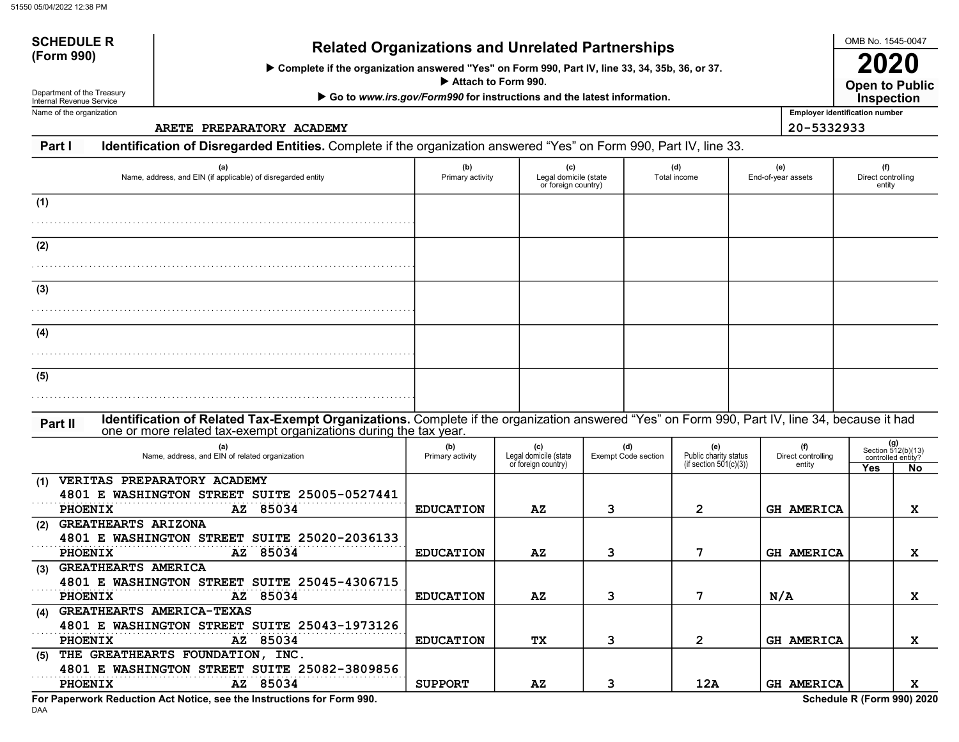# SCHEDULE Related Organizations and Unrelated Partnerships<br>(Form 990)

Complete if the organization answered "Yes" on Form 990, Part IV, line 33, 34, 35b, 36, or 37.

Attach to Form 990.

▶ Go to www.irs.gov/Form990 for instructions and the latest information.

Department of the Treasury Internal Revenue Service Name of the organization

SCHEDULE R

ARETE PREPARATORY ACADEMY 20-5332933

Open to Public 2020

**inspection** 

Employer identification number

Part I Identification of Disregarded Entities. Complete if the organization answered "Yes" on Form 990, Part IV, line 33.

| (a)<br>Name, address, and EIN (if applicable) of disregarded entity                                                                                                                                                           | (b)<br>Primary activity | (c)<br>Legal domicile (state<br>or foreign country) |                                   | (d)<br>Total income                                       | (e)<br>End-of-year assets           | (f)<br>Direct controlling<br>entity |                                                         |
|-------------------------------------------------------------------------------------------------------------------------------------------------------------------------------------------------------------------------------|-------------------------|-----------------------------------------------------|-----------------------------------|-----------------------------------------------------------|-------------------------------------|-------------------------------------|---------------------------------------------------------|
| (1)                                                                                                                                                                                                                           |                         |                                                     |                                   |                                                           |                                     |                                     |                                                         |
| (2)                                                                                                                                                                                                                           |                         |                                                     |                                   |                                                           |                                     |                                     |                                                         |
| (3)                                                                                                                                                                                                                           |                         |                                                     |                                   |                                                           |                                     |                                     |                                                         |
| (4)                                                                                                                                                                                                                           |                         |                                                     |                                   |                                                           |                                     |                                     |                                                         |
| (5)                                                                                                                                                                                                                           |                         |                                                     |                                   |                                                           |                                     |                                     |                                                         |
| Identification of Related Tax-Exempt Organizations. Complete if the organization answered "Yes" on Form 990, Part IV, line 34, because it had<br>Part II<br>one or more related tax-exempt organizations during the tax year. |                         |                                                     |                                   |                                                           |                                     |                                     |                                                         |
| (a)<br>Name, address, and EIN of related organization                                                                                                                                                                         | (b)<br>Primary activity | (c)<br>Legal domicile (state<br>or foreign country) | (d)<br><b>Exempt Code section</b> | (e)<br>Public charity status<br>(if section $501(c)(3)$ ) | (f)<br>Direct controlling<br>entity | Yes                                 | $(g)$<br>Section 512(b)(13)<br>controlled entity?<br>No |
| (1) VERITAS PREPARATORY ACADEMY<br>4801 E WASHINGTON STREET SUITE 25005-0527441<br>PHOENIX<br>AZ 85034                                                                                                                        | <b>EDUCATION</b>        | AZ                                                  | 3                                 | $\mathbf{2}$                                              | <b>GH AMERICA</b>                   |                                     | X                                                       |
| <b>GREATHEARTS ARIZONA</b><br>(2)<br>4801 E WASHINGTON STREET SUITE 25020-2036133<br>PHOENIX<br>AZ 85034                                                                                                                      | <b>EDUCATION</b>        | $\overline{\mathbf{A}}\mathbf{Z}$                   | 3                                 | 7                                                         | <b>GH AMERICA</b>                   |                                     | X                                                       |
| <b>GREATHEARTS AMERICA</b><br>(3)<br>4801 E WASHINGTON STREET SUITE 25045-4306715<br>AZ 85034<br><b>PHOENIX</b>                                                                                                               | <b>EDUCATION</b>        | $\mathbf{A} \mathbf{Z}$                             | 3                                 | 7                                                         | N/A                                 |                                     | X                                                       |
| (4) GREATHEARTS AMERICA-TEXAS<br>4801 E WASHINGTON STREET SUITE 25043-1973126<br>AZ 85034<br>PHOENIX                                                                                                                          | <b>EDUCATION</b>        | <b>TX</b>                                           | 3                                 | $\overline{2}$                                            | <b>GH AMERICA</b>                   |                                     | X                                                       |
| (5) THE GREATHEARTS FOUNDATION, INC.<br>4801 E WASHINGTON STREET SUITE 25082-3809856<br>AZ 85034<br><b>PHOENIX</b>                                                                                                            | <b>SUPPORT</b>          | $\mathbf{A} \mathbf{Z}$                             | 3                                 | 12A                                                       | <b>GH AMERICA</b>                   |                                     | X.                                                      |
| For Paperwork Reduction Act Notice, see the Instructions for Form 990.                                                                                                                                                        |                         |                                                     |                                   |                                                           |                                     | Schedule R (Form 990) 2020          |                                                         |

DAA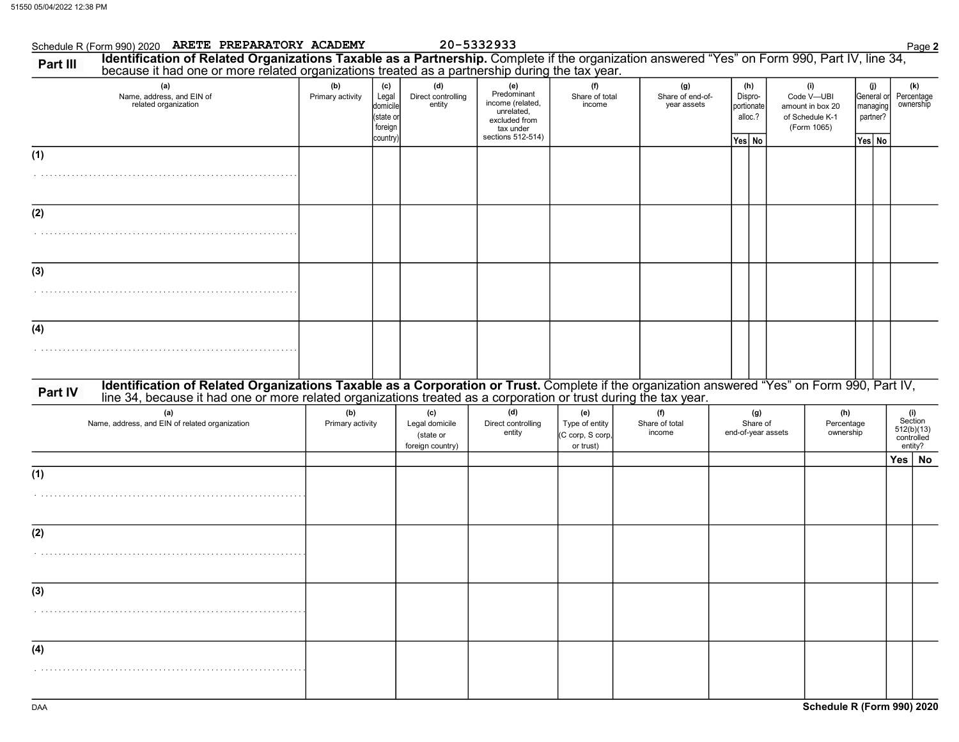| Schedule R (Form 990) 2020 ARETE PREPARATORY ACADEMY<br>Identification of Related Organizations Taxable as a Partnership. Complete if the organization answered "Yes" on Form 990, Part IV, line 34, because it had one or more related organizations treated as a partnership during<br>Part III |                         |                                                              |                                                        | 20-5332933                                                                                              |                                                        |                                                       |  |                                                   |  |                                                                         |                                                     |     | Page 2                                                |  |
|---------------------------------------------------------------------------------------------------------------------------------------------------------------------------------------------------------------------------------------------------------------------------------------------------|-------------------------|--------------------------------------------------------------|--------------------------------------------------------|---------------------------------------------------------------------------------------------------------|--------------------------------------------------------|-------------------------------------------------------|--|---------------------------------------------------|--|-------------------------------------------------------------------------|-----------------------------------------------------|-----|-------------------------------------------------------|--|
|                                                                                                                                                                                                                                                                                                   |                         |                                                              |                                                        |                                                                                                         |                                                        |                                                       |  |                                                   |  |                                                                         |                                                     |     |                                                       |  |
| (a)<br>Name, address, and EIN of<br>related organization                                                                                                                                                                                                                                          | (b)<br>Primary activity | (c)<br>Legal<br>domicile<br>(state or<br>foreign<br>country) | (d)<br>Direct controlling<br>entity                    | (e)<br>Predominant<br>income (related,<br>unrelated,<br>excluded from<br>tax under<br>sections 512-514) | (f)<br>Share of total<br>income                        | (g)<br>Share of end-of-<br>year assets                |  | (h)<br>Dispro-<br>portionate<br>alloc.?<br>Yes No |  | (i)<br>Code V-UBI<br>amount in box 20<br>of Schedule K-1<br>(Form 1065) | (j)<br>General or<br>managing<br>partner?<br>Yes No |     | (k)<br>Percentage<br>ownership                        |  |
| (1)                                                                                                                                                                                                                                                                                               |                         |                                                              |                                                        |                                                                                                         |                                                        |                                                       |  |                                                   |  |                                                                         |                                                     |     |                                                       |  |
| (2)                                                                                                                                                                                                                                                                                               |                         |                                                              |                                                        |                                                                                                         |                                                        |                                                       |  |                                                   |  |                                                                         |                                                     |     |                                                       |  |
| (3)                                                                                                                                                                                                                                                                                               |                         |                                                              |                                                        |                                                                                                         |                                                        |                                                       |  |                                                   |  |                                                                         |                                                     |     |                                                       |  |
|                                                                                                                                                                                                                                                                                                   |                         |                                                              |                                                        |                                                                                                         |                                                        |                                                       |  |                                                   |  |                                                                         |                                                     |     |                                                       |  |
| (4)                                                                                                                                                                                                                                                                                               |                         |                                                              |                                                        |                                                                                                         |                                                        |                                                       |  |                                                   |  |                                                                         |                                                     |     |                                                       |  |
| Identification of Related Organizations Taxable as a Corporation or Trust. Complete if the organization answered "Yes" on Form 990, Part IV, line 34, because it had one or more related organizations treated as a corporatio<br>Part IV                                                         |                         |                                                              |                                                        |                                                                                                         |                                                        |                                                       |  |                                                   |  |                                                                         |                                                     |     |                                                       |  |
| (a)<br>Name, address, and EIN of related organization                                                                                                                                                                                                                                             | (b)<br>Primary activity |                                                              | (c)<br>Legal domicile<br>(state or<br>foreign country) | (d)<br>Direct controlling<br>entity                                                                     | (e)<br>Type of entity<br>(C corp, S corp,<br>or trust) | (f)<br>Share of total<br>end-of-year assets<br>income |  | (g)<br>Share of                                   |  |                                                                         | (h)<br>Percentage<br>ownership                      |     | (i)<br>Section<br>512(b)(13)<br>controlled<br>entity? |  |
|                                                                                                                                                                                                                                                                                                   |                         |                                                              |                                                        |                                                                                                         |                                                        |                                                       |  |                                                   |  |                                                                         |                                                     | Yes | No                                                    |  |
| (1)                                                                                                                                                                                                                                                                                               |                         |                                                              |                                                        |                                                                                                         |                                                        |                                                       |  |                                                   |  |                                                                         |                                                     |     |                                                       |  |
| (2)                                                                                                                                                                                                                                                                                               |                         |                                                              |                                                        |                                                                                                         |                                                        |                                                       |  |                                                   |  |                                                                         |                                                     |     |                                                       |  |
| (3)                                                                                                                                                                                                                                                                                               |                         |                                                              |                                                        |                                                                                                         |                                                        |                                                       |  |                                                   |  |                                                                         |                                                     |     |                                                       |  |
| (4)                                                                                                                                                                                                                                                                                               |                         |                                                              |                                                        |                                                                                                         |                                                        |                                                       |  |                                                   |  |                                                                         |                                                     |     |                                                       |  |
|                                                                                                                                                                                                                                                                                                   |                         |                                                              |                                                        |                                                                                                         |                                                        |                                                       |  |                                                   |  |                                                                         |                                                     |     |                                                       |  |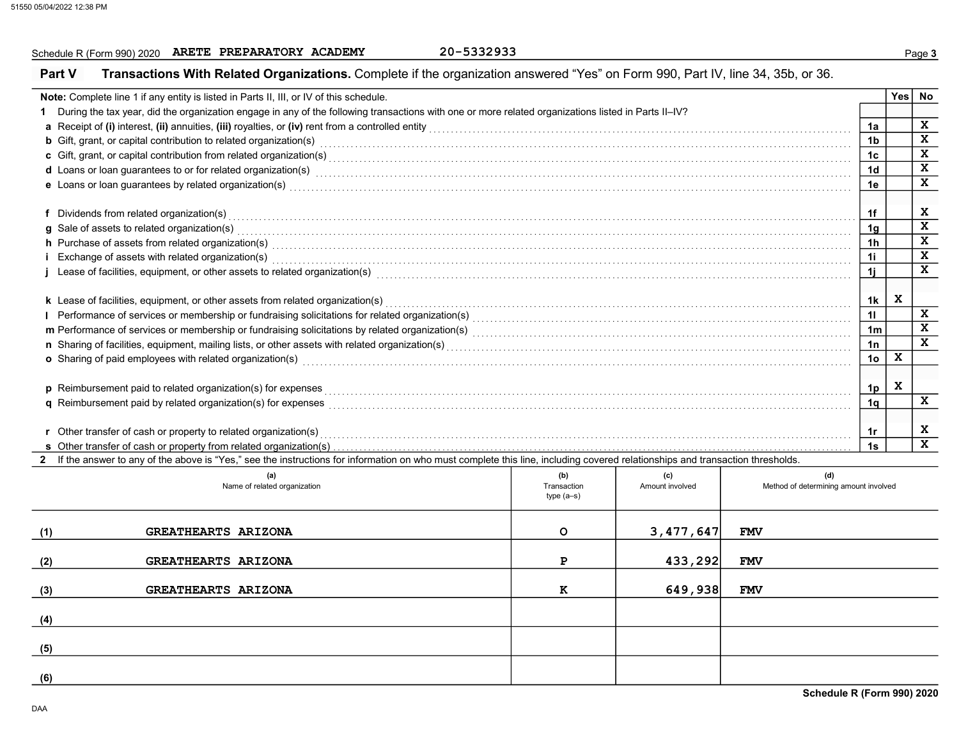#### Part V Transactions With Related Organizations. Complete if the organization answered "Yes" on Form 990, Part IV, line 34, 35b, or 36. Schedule R (Form 990) 2020 ARETE PREPARATORY ACADEMY 20-5332933 Page 3 Page 3 Note: Complete line 1 if any entity is listed in Parts II, III, or IV of this schedule. 1 During the tax year, did the organization engage in any of the following transactions with one or more related organizations listed in Parts II–IV? a Receipt of (i) interest, (ii) annuities, (iii) royalties, or (iv) rent from a controlled entity . . . . . . . . . . . . . . . . . . . . . . . . . . . . . . . . . . . . . . . . . . . . . . . . . . . . . . . . . . . . . . . . . . . . . . . . . . . . . . . . . . . . . . . . . . . . . . . . . **b** Gift, grant, or capital contribution to related organization(s) with an example conserved conserved conserved conserved conserved conserved conserved conserved conserved conserved conserved conserved conserved conserv  $\bm{c}$  Gift, grant, or capital contribution from related organization(s) with an interaction of the content of the content of the contribution from related organization(s) with an interaction of the content of the conten d Loans or loan guarantees to or for related organization(s) with an example contained and contained a contained a contained a contained a contained a contained a contained a contained a contained a contained a contained a  $e$  Loans or loan guarantees by related organization(s) with an example construction and construction construction  $\mathbf{s}$  $f$  Dividends from related organization(s) with an array construction of the construction of the construction of the construction  $\mathbf{s}_1$ g h Purchase of assets from related organization(s) with according the control of the control of the control of the control or control or control or control or control or control or control or control or control or control o i j Lease of facilities, equipment, or other assets to related organization(s) . . . . . . . . . . . . . . . . . . . . . . . . . . . . . . . . . . . . . . . . . . . . . . . . . . . . . . . . . . . . . . . . . . . . . . . . . . . . . . . . . . . . . . . . . . . . . . . . . . . . . . . . . . . . . k Lease of facilities, equipment, or other assets from related organization(s) with an accommunity conservation contain an accommunity conservation of facilities, equipment, or other assets from related organization(s) wit l Performance of services or membership or fundraising solicitations for related organization(s) . . . . . . . . . . . . . . . . . . . . . . . . . . . . . . . . . . . . . . . . . . . . . . . . . . . . . . . . . . . . . . . . . . . . . . . . . . . . . . . . . . . . . . . m Performance of services or membership or fundraising solicitations by related organization(s) . . . . . . . . . . . . . . . . . . . . . . . . . . . . . . . . . . . . . . . . . . . . . . . . . . . . . . . . . . . . . . . . . . . . . . . . . . . . . . . . . . . . . . . n Sharing of facilities, equipment, mailing lists, or other assets with related organization(s)<sub>………………………………………………………………………………………</sub> o Sharing of paid employees with related organization(s) with an example construction and contained construction and construction of the state or sharing of paid employees with related organization(s) with construction and **p** Reimbursement paid to related organization(s) for expenses q s Other transfer of cash or property from related organization(s) . . . . . . . . . . . . . . . . . . . . . . . . . . . . . . . . . . . . . . . . . . . . . . . . . . . . . . . . . . . . . . . . . . . . . . . . . . . . . . . . . . . . . . . . . . . . . . . . . . . . . . . . . . . . . . . . . . . . . . . Sale of assets to related organization(s) www.community.com/www.community.com/www.community.com/www.community.com/www.community.com/www.community.com/www.community.com/www.community.com/www.community.com/www.community.com/ Exchange of assets with related organization(s) . . . . . . . . . . . . . . . . . . . . . . . . . . . . . . . . . . . . . . . . . . . . . . . . . . . . . . . . . . . . . . . . . . . . . . . . . . . . . . . . . . . . . . . . . . . . . . . . . . . . . . . . . . . . . . . . . . . . . . . . . . . . . . . . . . . . . Reimbursement paid by related organization(s) for expenses example and the control of the control of the control of the control of the control of the control of the control of the control of the control of the control of t Other transfer of cash or property to related organization(s) . . . . . . . . . . . . . . . . . . . . . . . . . . . . . . . . . . . . . . . . . . . . . . . . . . . . . . . . . . . . . . . . . . . . . . . . . . . . . . . . . . . . . . . . . . . . . . . . . . . . . . . . . . . . . . . . . . . . . . . . . . r 1r 1a 1b 1c 1d 1e 1f 1g 1h 1i 1j 1k 1l 1m 1n 1o 1p 1q 1s Yes No 2 If the answer to any of the above is "Yes," see the instructions for information on who must complete this line, including covered relationships and transaction thresholds. Name of related organization **Name of related** organization **Name of related** organization type (a–s) Amount involved (a)  $\qquad \qquad$  (b)  $\qquad \qquad$  (c) (1) (2) (3) (d) Method of determining amount involved X X X X X X X X X X X X X X X X X X X GREATHEARTS ARIZONA  $\begin{array}{|c|c|c|c|c|c|}\hline & & & & \multicolumn{2}{c|}{\textbf{O}} & & \multicolumn{2}{c|}{\textbf{3,477,647}} & \multicolumn{2}{c|}{\textbf{FMV}}\ \hline \end{array}$ GREATHEARTS ARIZONA  $\begin{array}{|c|c|c|c|c|}\hline & P & 433,292 & FMV\end{array}$ GREATHEARTS ARIZONA  $\overline{K}$  649,938 FMV

| (1) | <b>GREATHEARTS ARIZONA</b> | $\Omega$ | 3,477,647 | <b>FMV</b> |
|-----|----------------------------|----------|-----------|------------|
|     |                            |          |           |            |
| (2) | <b>GREATHEARTS ARIZONA</b> | P        | 433,292   | FMV        |
| (3) | <b>GREATHEARTS ARIZONA</b> | K        | 649,938   | <b>FMV</b> |
|     |                            |          |           |            |
| (4) |                            |          |           |            |
|     |                            |          |           |            |
| (5) |                            |          |           |            |
|     |                            |          |           |            |
| (6) |                            |          |           |            |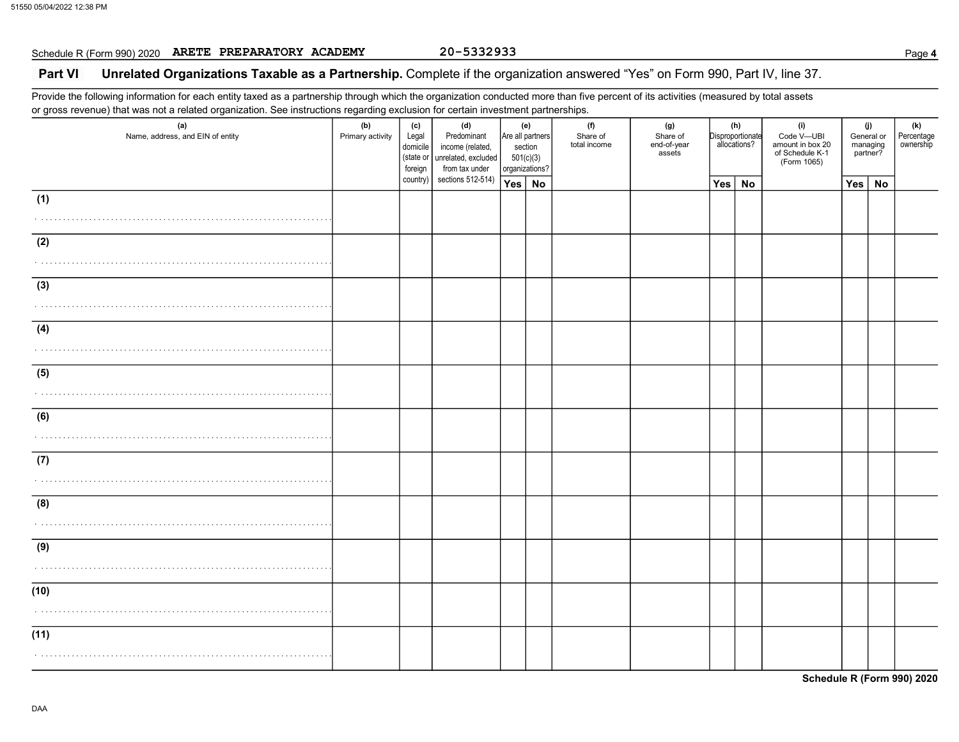## Schedule R (Form 990) 2020 ARETE PREPARATORY ACADEMY 20-5332933 Page 4

### Part VI Unrelated Organizations Taxable as a Partnership. Complete if the organization answered "Yes" on Form 990, Part IV, line 37.

Provide the following information for each entity taxed as a partnership through which the organization conducted more than five percent of its activities (measured by total assets or gross revenue) that was not a related organization. See instructions regarding exclusion for certain investment partnerships.

| $\overline{\phantom{a}}$<br>(a)<br>Name, address, and EIN of entity | ັ<br>ັ<br>(b)<br>Primary activity | (c)<br>Legal<br>domicile<br>(state or<br>foreign | (d)<br>Predominant<br>income (related,<br>unrelated, excluded<br>from tax under | (e)<br>Are all partners<br>section<br>501(c)(3)<br>organizations? |  | (f)<br>Share of<br>total income | (g)<br>Share of<br>end-of-year<br>assets |            | (h)<br>Disproportionate<br>allocations? | (i)<br>Code V-UBI<br>amount in box 20<br>of Schedule K-1<br>(Form 1065) | managing<br>partner? | (j)<br>General or | (k)<br>Percentage<br>ownership |
|---------------------------------------------------------------------|-----------------------------------|--------------------------------------------------|---------------------------------------------------------------------------------|-------------------------------------------------------------------|--|---------------------------------|------------------------------------------|------------|-----------------------------------------|-------------------------------------------------------------------------|----------------------|-------------------|--------------------------------|
|                                                                     |                                   | country)                                         | sections 512-514)                                                               | Yes   No                                                          |  |                                 |                                          | <b>Yes</b> | <b>No</b>                               |                                                                         | Yes                  | <b>No</b>         |                                |
| (1)                                                                 |                                   |                                                  |                                                                                 |                                                                   |  |                                 |                                          |            |                                         |                                                                         |                      |                   |                                |
|                                                                     |                                   |                                                  |                                                                                 |                                                                   |  |                                 |                                          |            |                                         |                                                                         |                      |                   |                                |
| (2)                                                                 |                                   |                                                  |                                                                                 |                                                                   |  |                                 |                                          |            |                                         |                                                                         |                      |                   |                                |
|                                                                     |                                   |                                                  |                                                                                 |                                                                   |  |                                 |                                          |            |                                         |                                                                         |                      |                   |                                |
| (3)                                                                 |                                   |                                                  |                                                                                 |                                                                   |  |                                 |                                          |            |                                         |                                                                         |                      |                   |                                |
|                                                                     |                                   |                                                  |                                                                                 |                                                                   |  |                                 |                                          |            |                                         |                                                                         |                      |                   |                                |
| (4)                                                                 |                                   |                                                  |                                                                                 |                                                                   |  |                                 |                                          |            |                                         |                                                                         |                      |                   |                                |
|                                                                     |                                   |                                                  |                                                                                 |                                                                   |  |                                 |                                          |            |                                         |                                                                         |                      |                   |                                |
| (5)                                                                 |                                   |                                                  |                                                                                 |                                                                   |  |                                 |                                          |            |                                         |                                                                         |                      |                   |                                |
|                                                                     |                                   |                                                  |                                                                                 |                                                                   |  |                                 |                                          |            |                                         |                                                                         |                      |                   |                                |
| (6)                                                                 |                                   |                                                  |                                                                                 |                                                                   |  |                                 |                                          |            |                                         |                                                                         |                      |                   |                                |
|                                                                     |                                   |                                                  |                                                                                 |                                                                   |  |                                 |                                          |            |                                         |                                                                         |                      |                   |                                |
| (7)                                                                 |                                   |                                                  |                                                                                 |                                                                   |  |                                 |                                          |            |                                         |                                                                         |                      |                   |                                |
|                                                                     |                                   |                                                  |                                                                                 |                                                                   |  |                                 |                                          |            |                                         |                                                                         |                      |                   |                                |
| (8)                                                                 |                                   |                                                  |                                                                                 |                                                                   |  |                                 |                                          |            |                                         |                                                                         |                      |                   |                                |
|                                                                     |                                   |                                                  |                                                                                 |                                                                   |  |                                 |                                          |            |                                         |                                                                         |                      |                   |                                |
| (9)                                                                 |                                   |                                                  |                                                                                 |                                                                   |  |                                 |                                          |            |                                         |                                                                         |                      |                   |                                |
|                                                                     |                                   |                                                  |                                                                                 |                                                                   |  |                                 |                                          |            |                                         |                                                                         |                      |                   |                                |
| (10)                                                                |                                   |                                                  |                                                                                 |                                                                   |  |                                 |                                          |            |                                         |                                                                         |                      |                   |                                |
|                                                                     |                                   |                                                  |                                                                                 |                                                                   |  |                                 |                                          |            |                                         |                                                                         |                      |                   |                                |
| (11)                                                                |                                   |                                                  |                                                                                 |                                                                   |  |                                 |                                          |            |                                         |                                                                         |                      |                   |                                |
|                                                                     |                                   |                                                  |                                                                                 |                                                                   |  |                                 |                                          |            |                                         |                                                                         |                      |                   |                                |

Schedule R (Form 990) 2020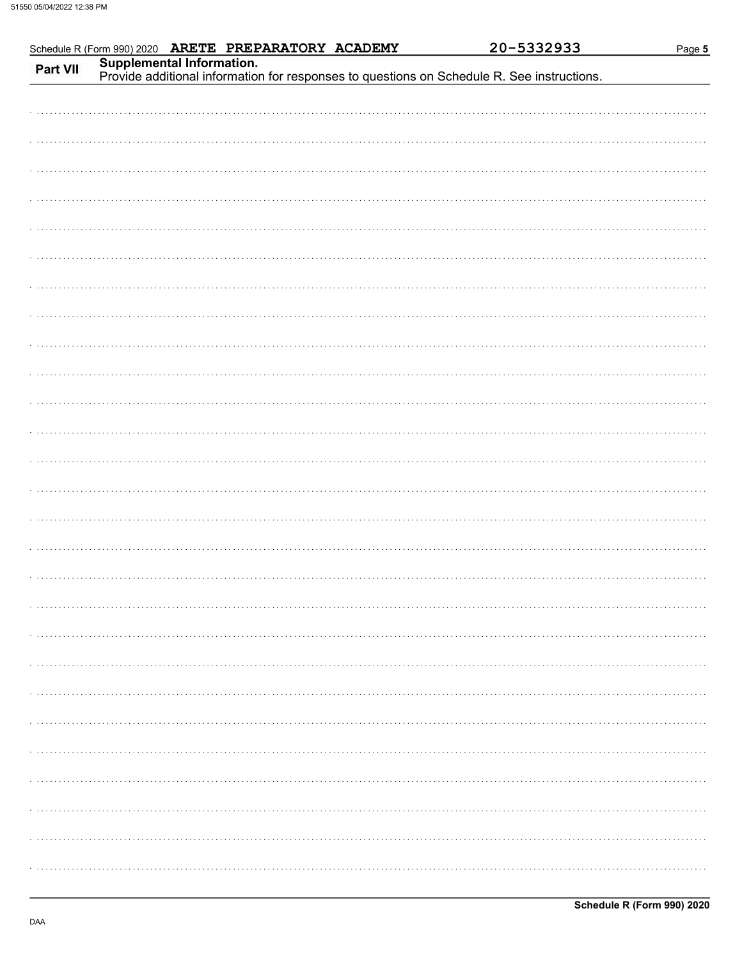| Supplemental Information.<br>Provide additional information for responses to questions on Schedule R. See instructions.<br>Part VII |  | Schedule R (Form 990) 2020 ARETE PREPARATORY ACADEMY |  | 20-5332933 | Page 5 |
|-------------------------------------------------------------------------------------------------------------------------------------|--|------------------------------------------------------|--|------------|--------|
|                                                                                                                                     |  |                                                      |  |            |        |
|                                                                                                                                     |  |                                                      |  |            |        |
|                                                                                                                                     |  |                                                      |  |            |        |
|                                                                                                                                     |  |                                                      |  |            |        |
|                                                                                                                                     |  |                                                      |  |            |        |
|                                                                                                                                     |  |                                                      |  |            |        |
|                                                                                                                                     |  |                                                      |  |            |        |
|                                                                                                                                     |  |                                                      |  |            |        |
|                                                                                                                                     |  |                                                      |  |            |        |
|                                                                                                                                     |  |                                                      |  |            |        |
|                                                                                                                                     |  |                                                      |  |            |        |
|                                                                                                                                     |  |                                                      |  |            |        |
|                                                                                                                                     |  |                                                      |  |            |        |
|                                                                                                                                     |  |                                                      |  |            |        |
|                                                                                                                                     |  |                                                      |  |            |        |
|                                                                                                                                     |  |                                                      |  |            |        |
|                                                                                                                                     |  |                                                      |  |            |        |
|                                                                                                                                     |  |                                                      |  |            |        |
|                                                                                                                                     |  |                                                      |  |            |        |
|                                                                                                                                     |  |                                                      |  |            |        |
|                                                                                                                                     |  |                                                      |  |            |        |
|                                                                                                                                     |  |                                                      |  |            |        |
|                                                                                                                                     |  |                                                      |  |            |        |
|                                                                                                                                     |  |                                                      |  |            |        |
|                                                                                                                                     |  |                                                      |  |            |        |
|                                                                                                                                     |  |                                                      |  |            |        |
|                                                                                                                                     |  |                                                      |  |            |        |
|                                                                                                                                     |  |                                                      |  |            |        |
|                                                                                                                                     |  |                                                      |  |            |        |
|                                                                                                                                     |  |                                                      |  |            |        |
|                                                                                                                                     |  |                                                      |  |            |        |
|                                                                                                                                     |  |                                                      |  |            |        |
|                                                                                                                                     |  |                                                      |  |            |        |
|                                                                                                                                     |  |                                                      |  |            |        |
|                                                                                                                                     |  |                                                      |  |            |        |
|                                                                                                                                     |  |                                                      |  |            |        |
|                                                                                                                                     |  |                                                      |  |            |        |
|                                                                                                                                     |  |                                                      |  |            |        |
|                                                                                                                                     |  |                                                      |  |            |        |

 $\overline{a}$ 

|  |  |  | 20-5332933 |  |  |
|--|--|--|------------|--|--|
|  |  |  |            |  |  |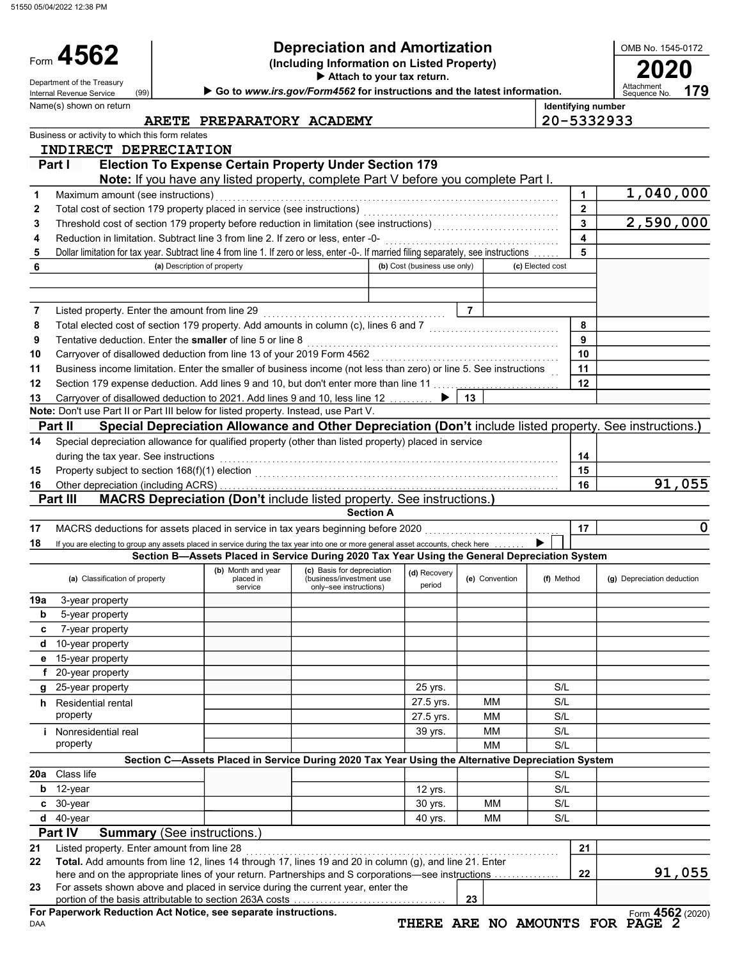51550 05/04/2022 12:38 PM

|        | <b>Depreciation and Amortization</b><br>Form 4562<br>(Including Information on Listed Property)<br>Attach to your tax return.                                                         |                                    |                                                                                                   |                                                    |                  |                              |                |                  | OMB No. 1545-0172         |                                                                                                          |
|--------|---------------------------------------------------------------------------------------------------------------------------------------------------------------------------------------|------------------------------------|---------------------------------------------------------------------------------------------------|----------------------------------------------------|------------------|------------------------------|----------------|------------------|---------------------------|----------------------------------------------------------------------------------------------------------|
|        |                                                                                                                                                                                       |                                    |                                                                                                   |                                                    |                  |                              |                |                  |                           | <b>2020</b>                                                                                              |
|        | Department of the Treasury                                                                                                                                                            | Attachment                         |                                                                                                   |                                                    |                  |                              |                |                  |                           |                                                                                                          |
|        | (99)<br>Internal Revenue Service                                                                                                                                                      |                                    | Go to www.irs.gov/Form4562 for instructions and the latest information.                           |                                                    |                  |                              |                |                  |                           | 179<br>Sequence No.                                                                                      |
|        | Name(s) shown on return                                                                                                                                                               |                                    | ARETE PREPARATORY ACADEMY                                                                         |                                                    |                  |                              |                |                  | <b>Identifying number</b> | 20-5332933                                                                                               |
|        | Business or activity to which this form relates                                                                                                                                       |                                    |                                                                                                   |                                                    |                  |                              |                |                  |                           |                                                                                                          |
|        | INDIRECT DEPRECIATION                                                                                                                                                                 |                                    |                                                                                                   |                                                    |                  |                              |                |                  |                           |                                                                                                          |
|        | Part I                                                                                                                                                                                |                                    | <b>Election To Expense Certain Property Under Section 179</b>                                     |                                                    |                  |                              |                |                  |                           |                                                                                                          |
|        |                                                                                                                                                                                       |                                    | Note: If you have any listed property, complete Part V before you complete Part I.                |                                                    |                  |                              |                |                  |                           |                                                                                                          |
| 1      | Maximum amount (see instructions)                                                                                                                                                     |                                    |                                                                                                   |                                                    |                  |                              |                |                  | 1                         | 1,040,000                                                                                                |
| 2      | Total cost of section 179 property placed in service (see instructions)                                                                                                               |                                    |                                                                                                   |                                                    |                  |                              |                |                  | $\mathbf{2}$              |                                                                                                          |
| 3      |                                                                                                                                                                                       |                                    |                                                                                                   |                                                    |                  |                              |                |                  | $\overline{\mathbf{3}}$   | 2,590,000                                                                                                |
| 4      | Reduction in limitation. Subtract line 3 from line 2. If zero or less, enter -0-                                                                                                      |                                    |                                                                                                   |                                                    |                  |                              |                |                  | 4                         |                                                                                                          |
| 5      | Dollar limitation for tax year. Subtract line 4 from line 1. If zero or less, enter -0-. If married filing separately, see instructions                                               |                                    |                                                                                                   |                                                    |                  |                              |                |                  | 5                         |                                                                                                          |
| 6      |                                                                                                                                                                                       | (a) Description of property        |                                                                                                   |                                                    |                  | (b) Cost (business use only) |                | (c) Elected cost |                           |                                                                                                          |
|        |                                                                                                                                                                                       |                                    |                                                                                                   |                                                    |                  |                              |                |                  |                           |                                                                                                          |
|        |                                                                                                                                                                                       |                                    |                                                                                                   |                                                    |                  |                              | $\overline{7}$ |                  |                           |                                                                                                          |
| 7      | Listed property. Enter the amount from line 29                                                                                                                                        |                                    |                                                                                                   |                                                    |                  |                              |                |                  | 8                         |                                                                                                          |
| 8<br>9 | Total elected cost of section 179 property. Add amounts in column (c), lines 6 and 7<br>Tentative deduction. Enter the smaller of line 5 or line 8                                    |                                    |                                                                                                   |                                                    |                  |                              |                |                  | 9                         |                                                                                                          |
| 10     | Carryover of disallowed deduction from line 13 of your 2019 Form 4562                                                                                                                 |                                    |                                                                                                   |                                                    |                  |                              |                |                  | 10                        |                                                                                                          |
| 11     | Business income limitation. Enter the smaller of business income (not less than zero) or line 5. See instructions                                                                     |                                    |                                                                                                   |                                                    |                  |                              |                |                  | 11                        |                                                                                                          |
| 12     | Section 179 expense deduction. Add lines 9 and 10, but don't enter more than line 11                                                                                                  |                                    |                                                                                                   |                                                    |                  |                              |                |                  | 12                        |                                                                                                          |
| 13     | Carryover of disallowed deduction to 2021. Add lines 9 and 10, less line 12                                                                                                           |                                    |                                                                                                   |                                                    |                  |                              | 13             |                  |                           |                                                                                                          |
|        | Note: Don't use Part II or Part III below for listed property. Instead, use Part V.                                                                                                   |                                    |                                                                                                   |                                                    |                  |                              |                |                  |                           |                                                                                                          |
|        | Part II                                                                                                                                                                               |                                    |                                                                                                   |                                                    |                  |                              |                |                  |                           | Special Depreciation Allowance and Other Depreciation (Don't include listed property. See instructions.) |
| 14     | Special depreciation allowance for qualified property (other than listed property) placed in service                                                                                  |                                    |                                                                                                   |                                                    |                  |                              |                |                  |                           |                                                                                                          |
|        | during the tax year. See instructions                                                                                                                                                 |                                    |                                                                                                   |                                                    |                  |                              |                |                  | 14                        |                                                                                                          |
| 15     |                                                                                                                                                                                       |                                    |                                                                                                   |                                                    |                  |                              |                |                  | 15                        |                                                                                                          |
| 16     | Other depreciation (including ACRS).                                                                                                                                                  |                                    |                                                                                                   |                                                    |                  |                              |                |                  | 16                        | 91,055                                                                                                   |
|        | <b>Part III</b>                                                                                                                                                                       |                                    | MACRS Depreciation (Don't include listed property. See instructions.)                             |                                                    |                  |                              |                |                  |                           |                                                                                                          |
|        |                                                                                                                                                                                       |                                    |                                                                                                   |                                                    | <b>Section A</b> |                              |                |                  |                           |                                                                                                          |
| 17     | MACRS deductions for assets placed in service in tax years beginning before 2020                                                                                                      |                                    |                                                                                                   |                                                    |                  |                              |                |                  | 17                        | 0                                                                                                        |
| 18     | If you are electing to group any assets placed in service during the tax year into one or more general asset accounts, check here                                                     |                                    | Section B-Assets Placed in Service During 2020 Tax Year Using the General Depreciation System     |                                                    |                  |                              |                |                  |                           |                                                                                                          |
|        |                                                                                                                                                                                       |                                    | (b) Month and year                                                                                | (c) Basis for depreciation                         |                  |                              |                |                  |                           |                                                                                                          |
|        | (a) Classification of property                                                                                                                                                        |                                    | placed in<br>service                                                                              | (business/investment use<br>only-see instructions) |                  | (d) Recovery<br>period       | (e) Convention | (f) Method       |                           | (g) Depreciation deduction                                                                               |
| 19a    | 3-year property                                                                                                                                                                       |                                    |                                                                                                   |                                                    |                  |                              |                |                  |                           |                                                                                                          |
| b      | 5-year property                                                                                                                                                                       |                                    |                                                                                                   |                                                    |                  |                              |                |                  |                           |                                                                                                          |
| c      | 7-year property                                                                                                                                                                       |                                    |                                                                                                   |                                                    |                  |                              |                |                  |                           |                                                                                                          |
|        | d 10-year property                                                                                                                                                                    |                                    |                                                                                                   |                                                    |                  |                              |                |                  |                           |                                                                                                          |
|        | e 15-year property                                                                                                                                                                    |                                    |                                                                                                   |                                                    |                  |                              |                |                  |                           |                                                                                                          |
| f<br>g | 20-year property<br>25-year property                                                                                                                                                  |                                    |                                                                                                   |                                                    |                  | 25 yrs.                      |                | S/L              |                           |                                                                                                          |
|        | <b>h</b> Residential rental                                                                                                                                                           |                                    |                                                                                                   |                                                    |                  | 27.5 yrs.                    | <b>MM</b>      | S/L              |                           |                                                                                                          |
|        | property                                                                                                                                                                              |                                    |                                                                                                   |                                                    |                  | 27.5 yrs.                    | MM             | S/L              |                           |                                                                                                          |
|        | <i>i</i> Nonresidential real                                                                                                                                                          |                                    |                                                                                                   |                                                    |                  | 39 yrs.                      | <b>MM</b>      | S/L              |                           |                                                                                                          |
|        | property                                                                                                                                                                              |                                    |                                                                                                   |                                                    |                  |                              | MM             | S/L              |                           |                                                                                                          |
|        |                                                                                                                                                                                       |                                    | Section C-Assets Placed in Service During 2020 Tax Year Using the Alternative Depreciation System |                                                    |                  |                              |                |                  |                           |                                                                                                          |
|        | 20a Class life                                                                                                                                                                        |                                    |                                                                                                   |                                                    |                  |                              |                | S/L              |                           |                                                                                                          |
|        | $b$ 12-year                                                                                                                                                                           |                                    |                                                                                                   |                                                    |                  | 12 yrs.                      |                | S/L              |                           |                                                                                                          |
|        | c 30-year                                                                                                                                                                             |                                    |                                                                                                   |                                                    |                  | 30 yrs.                      | MМ             | S/L              |                           |                                                                                                          |
|        | d 40-year                                                                                                                                                                             |                                    |                                                                                                   |                                                    |                  | 40 yrs.                      | MM             | S/L              |                           |                                                                                                          |
|        | Part IV                                                                                                                                                                               | <b>Summary (See instructions.)</b> |                                                                                                   |                                                    |                  |                              |                |                  |                           |                                                                                                          |
| 21     | Listed property. Enter amount from line 28                                                                                                                                            |                                    |                                                                                                   |                                                    |                  |                              |                |                  | 21                        |                                                                                                          |
| 22     | Total. Add amounts from line 12, lines 14 through 17, lines 19 and 20 in column (g), and line 21. Enter                                                                               |                                    |                                                                                                   |                                                    |                  |                              |                |                  |                           |                                                                                                          |
| 23     | here and on the appropriate lines of your return. Partnerships and S corporations—see instructions<br>For assets shown above and placed in service during the current year, enter the |                                    |                                                                                                   |                                                    |                  |                              |                |                  | 22                        | 91,055                                                                                                   |
|        |                                                                                                                                                                                       |                                    |                                                                                                   |                                                    |                  |                              |                |                  |                           |                                                                                                          |

portion of the basis attributable to section 263A costs . . . . . . . . . . . . . . . . . . . . . . . . . . . . . . . . . . . For Paperwork Reduction Act Notice, see separate instructions. | 23  $|$ 

Form 4562 (2020) THERE ARE NO AMOUNTS FOR PAGE 2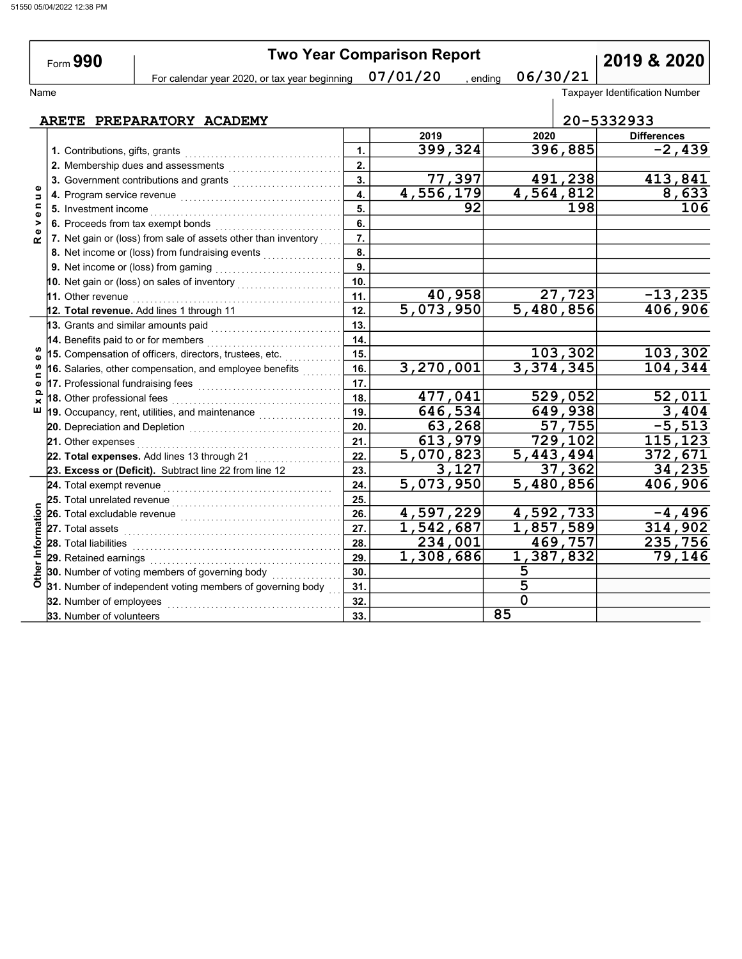|                             | Form 990                            | <b>Two Year Comparison Report</b>                                                                                                                                                                                                    |                  |          |                          |                |      |                        | 2019 & 2020                           |           |
|-----------------------------|-------------------------------------|--------------------------------------------------------------------------------------------------------------------------------------------------------------------------------------------------------------------------------------|------------------|----------|--------------------------|----------------|------|------------------------|---------------------------------------|-----------|
|                             |                                     | For calendar year 2020, or tax year beginning $07/01/20$                                                                                                                                                                             |                  | , ending |                          | 06/30/21       |      |                        |                                       |           |
| Name                        |                                     |                                                                                                                                                                                                                                      |                  |          |                          |                |      |                        | <b>Taxpayer Identification Number</b> |           |
|                             |                                     |                                                                                                                                                                                                                                      |                  |          |                          |                |      |                        |                                       |           |
|                             |                                     | ARETE PREPARATORY ACADEMY                                                                                                                                                                                                            |                  |          |                          |                |      |                        | 20-5332933                            |           |
|                             |                                     |                                                                                                                                                                                                                                      |                  | 2019     |                          |                | 2020 |                        | <b>Differences</b>                    |           |
|                             | 1. Contributions, gifts, grants     |                                                                                                                                                                                                                                      | 1.               |          | 399,324                  |                |      | 396,885                |                                       | $-2,439$  |
|                             |                                     | 2. Membership dues and assessments                                                                                                                                                                                                   | $\overline{2}$ . |          |                          |                |      |                        |                                       |           |
| Φ                           |                                     | 3. Government contributions and grants                                                                                                                                                                                               | 3.               |          | 77,397                   |                |      | 491,238                |                                       | 413,841   |
| Б                           |                                     |                                                                                                                                                                                                                                      | 4.               |          | 4,556,179                |                |      | 4,564,812              |                                       | 8,633     |
| $\blacksquare$<br>$\bullet$ |                                     |                                                                                                                                                                                                                                      | 5.               |          | 92                       |                |      | 198                    |                                       | 106       |
| ><br>$\bullet$              |                                     | 6. Proceeds from tax exempt bonds                                                                                                                                                                                                    | $\overline{6}$ . |          |                          |                |      |                        |                                       |           |
| $\alpha$                    |                                     | 7. Net gain or (loss) from sale of assets other than inventory                                                                                                                                                                       | $\overline{7}$ . |          |                          |                |      |                        |                                       |           |
|                             |                                     |                                                                                                                                                                                                                                      | 8.               |          |                          |                |      |                        |                                       |           |
|                             |                                     |                                                                                                                                                                                                                                      | $\overline{9}$   |          |                          |                |      |                        |                                       |           |
|                             |                                     | 10. Net gain or (loss) on sales of inventory [10. Net gain or success                                                                                                                                                                | 10.              |          |                          |                |      |                        |                                       |           |
|                             | 11. Other revenue                   |                                                                                                                                                                                                                                      | 11.              |          | 40,958                   |                |      | 27,723                 |                                       | $-13,235$ |
|                             |                                     | 12. Total revenue. Add lines 1 through 11                                                                                                                                                                                            | 12.              |          | 5,073,950                |                |      | $\overline{5,480,856}$ |                                       | 406,906   |
|                             |                                     | 13. Grants and similar amounts paid<br>.                                                                                                                                                                                             | 13.              |          |                          |                |      |                        |                                       |           |
|                             | 14. Benefits paid to or for members |                                                                                                                                                                                                                                      | 14.              |          |                          |                |      |                        |                                       |           |
| w                           |                                     | 15. Compensation of officers, directors, trustees, etc.                                                                                                                                                                              | 15.              |          |                          |                |      | 103,302                |                                       | 103,302   |
| ഗ<br>c                      |                                     | 16. Salaries, other compensation, and employee benefits                                                                                                                                                                              | 16.              |          | 3,270,001                |                |      | 3,374,345              |                                       | 104, 344  |
| Φ                           |                                     | 17. Professional fundraising fees <b>contract and report to the final state of the state of the state of the state of the state of the state of the state of the state of the state of the state of the state of the state of th</b> | 17.              |          |                          |                |      |                        |                                       |           |
| Q<br>$\times$               | 18. Other professional fees         |                                                                                                                                                                                                                                      | 18.              |          | 477,041                  |                |      | 529,052                |                                       | 52,011    |
| ш                           |                                     | 19. Occupancy, rent, utilities, and maintenance <i>mimimimimimimimi</i>                                                                                                                                                              | 19.              |          | 646,534                  |                |      | 649,938                |                                       | 3,404     |
|                             |                                     | 20. Depreciation and Depletion                                                                                                                                                                                                       | 20.              |          | 63,268                   |                |      | 57,755                 |                                       | $-5,513$  |
|                             | 21. Other expenses                  |                                                                                                                                                                                                                                      | 21.              |          | 613,979                  |                |      | $\overline{729}$ , 102 |                                       | 115,123   |
|                             |                                     | 22. Total expenses. Add lines 13 through 21                                                                                                                                                                                          | 22.              |          | $\overline{5,070,823}$   |                |      | 5,443,494              |                                       | 372,671   |
|                             |                                     | 23. Excess or (Deficit). Subtract line 22 from line 12                                                                                                                                                                               | 23.              |          | 3,127                    |                |      | 37,362                 |                                       | 34,235    |
|                             |                                     |                                                                                                                                                                                                                                      | 24.              |          | 5,073,950                |                |      | 5,480,856              |                                       | 406,906   |
|                             |                                     | 25. Total unrelated revenue $\ldots \ldots \ldots \ldots \ldots \ldots \ldots \ldots \ldots \ldots$                                                                                                                                  | 25.              |          |                          |                |      |                        |                                       |           |
| Other Information           | 26. Total excludable revenue        |                                                                                                                                                                                                                                      | 26.              |          | 4,597,229                |                |      | 4,592,733              |                                       | $-4,496$  |
|                             | 27. Total assets                    |                                                                                                                                                                                                                                      | 27.              |          | $\overline{1,542}$ , 687 |                |      | <u>1,857,589 </u>      |                                       | 314,902   |
|                             | 28. Total liabilities               |                                                                                                                                                                                                                                      | 28.              |          | 234,001                  |                |      | 469,757                |                                       | 235,756   |
|                             | 29. Retained earnings               |                                                                                                                                                                                                                                      | 29.              |          | 1,308,686                |                |      | 1,387,832              |                                       | 79,146    |
|                             |                                     | 30. Number of voting members of governing body                                                                                                                                                                                       | 30.              |          |                          | 5              |      |                        |                                       |           |
|                             |                                     | 31. Number of independent voting members of governing body                                                                                                                                                                           | 31.              |          |                          | $\overline{5}$ |      |                        |                                       |           |

32.

 $\overline{0}$ 

85

**31.** Number of independent voting members of governing body  $\frac{1}{11}$ 32. Number of employees . . . . . . . . . . . . . . . . . . . . . . . . . . . . . . . . . . . . . . . . 33. Number of volunteers 33.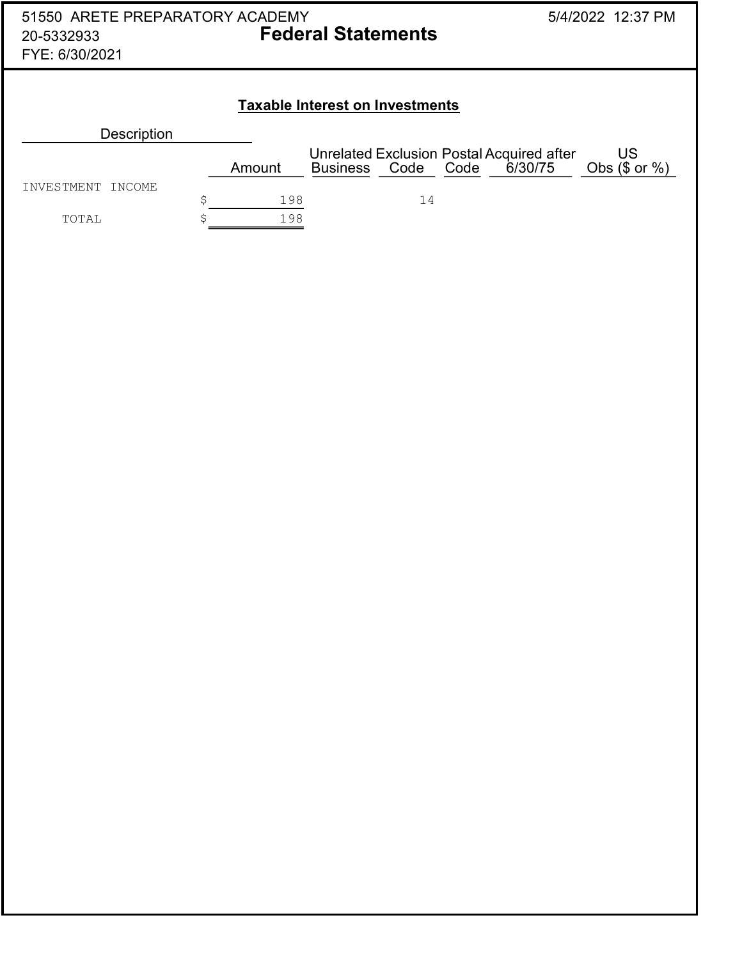| 51550 ARETE PREPARATORY ACADEMY<br>20-5332933<br>FYE: 6/30/2021 |        | <b>Federal Statements</b>                                                    | 5/4/2022 12:37 PM                   |  |  |  |  |  |  |  |
|-----------------------------------------------------------------|--------|------------------------------------------------------------------------------|-------------------------------------|--|--|--|--|--|--|--|
| <b>Taxable Interest on Investments</b>                          |        |                                                                              |                                     |  |  |  |  |  |  |  |
| Description                                                     |        |                                                                              |                                     |  |  |  |  |  |  |  |
|                                                                 | Amount | Unrelated Exclusion Postal Acquired after<br>Code<br>Code<br><b>Business</b> | US<br>6/30/75<br>Obs $(\$$ or $%$ ) |  |  |  |  |  |  |  |
| INVESTMENT<br>INCOME                                            | Ś      | 198<br>14                                                                    |                                     |  |  |  |  |  |  |  |
| TOTAL                                                           |        | 198                                                                          |                                     |  |  |  |  |  |  |  |